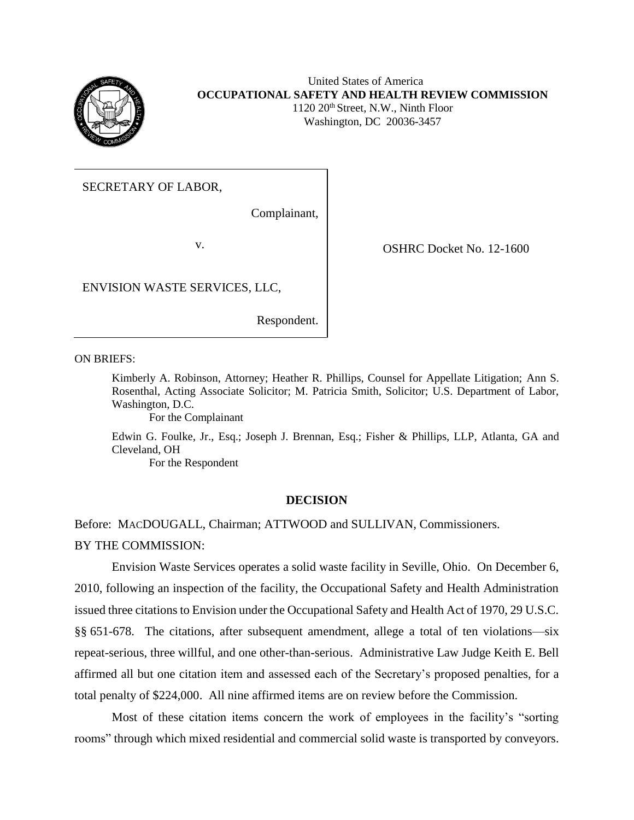

# United States of America **OCCUPATIONAL SAFETY AND HEALTH REVIEW COMMISSION** 1120 20<sup>th</sup> Street, N.W., Ninth Floor

Washington, DC 20036-3457

# SECRETARY OF LABOR,

Complainant,

v. COSHRC Docket No. 12-1600

ENVISION WASTE SERVICES, LLC,

Respondent.

ON BRIEFS:

Kimberly A. Robinson, Attorney; Heather R. Phillips, Counsel for Appellate Litigation; Ann S. Rosenthal, Acting Associate Solicitor; M. Patricia Smith, Solicitor; U.S. Department of Labor, Washington, D.C.

For the Complainant

Edwin G. Foulke, Jr., Esq.; Joseph J. Brennan, Esq.; Fisher & Phillips, LLP, Atlanta, GA and Cleveland, OH

For the Respondent

## **DECISION**

Before: MACDOUGALL, Chairman; ATTWOOD and SULLIVAN, Commissioners. BY THE COMMISSION:

Envision Waste Services operates a solid waste facility in Seville, Ohio. On December 6, 2010, following an inspection of the facility, the Occupational Safety and Health Administration issued three citations to Envision under the Occupational Safety and Health Act of 1970, 29 U.S.C. §§ 651-678. The citations, after subsequent amendment, allege a total of ten violations—six repeat-serious, three willful, and one other-than-serious. Administrative Law Judge Keith E. Bell affirmed all but one citation item and assessed each of the Secretary's proposed penalties, for a total penalty of \$224,000. All nine affirmed items are on review before the Commission.

Most of these citation items concern the work of employees in the facility's "sorting rooms" through which mixed residential and commercial solid waste is transported by conveyors.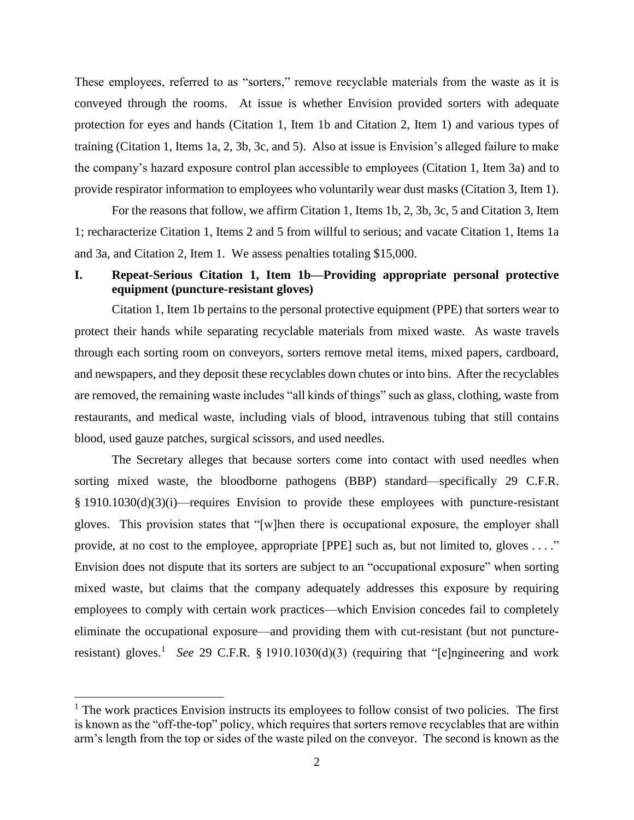These employees, referred to as "sorters," remove recyclable materials from the waste as it is conveyed through the rooms. At issue is whether Envision provided sorters with adequate protection for eyes and hands (Citation 1, Item 1b and Citation 2, Item 1) and various types of training (Citation 1, Items 1a, 2, 3b, 3c, and 5). Also at issue is Envision's alleged failure to make the company's hazard exposure control plan accessible to employees (Citation 1, Item 3a) and to provide respirator information to employees who voluntarily wear dust masks (Citation 3, Item 1).

For the reasons that follow, we affirm Citation 1, Items 1b, 2, 3b, 3c, 5 and Citation 3, Item 1; recharacterize Citation 1, Items 2 and 5 from willful to serious; and vacate Citation 1, Items 1a and 3a, and Citation 2, Item 1. We assess penalties totaling \$15,000.

# **I. Repeat-Serious Citation 1, Item 1b—Providing appropriate personal protective equipment (puncture-resistant gloves)**

Citation 1, Item 1b pertains to the personal protective equipment (PPE) that sorters wear to protect their hands while separating recyclable materials from mixed waste. As waste travels through each sorting room on conveyors, sorters remove metal items, mixed papers, cardboard, and newspapers, and they deposit these recyclables down chutes or into bins. After the recyclables are removed, the remaining waste includes "all kinds of things" such as glass, clothing, waste from restaurants, and medical waste, including vials of blood, intravenous tubing that still contains blood, used gauze patches, surgical scissors, and used needles.

The Secretary alleges that because sorters come into contact with used needles when sorting mixed waste, the bloodborne pathogens (BBP) standard—specifically 29 C.F.R. § 1910.1030(d)(3)(i)—requires Envision to provide these employees with puncture-resistant gloves. This provision states that "[w]hen there is occupational exposure, the employer shall provide, at no cost to the employee, appropriate [PPE] such as, but not limited to, gloves . . . ." Envision does not dispute that its sorters are subject to an "occupational exposure" when sorting mixed waste, but claims that the company adequately addresses this exposure by requiring employees to comply with certain work practices—which Envision concedes fail to completely eliminate the occupational exposure—and providing them with cut-resistant (but not punctureresistant) gloves.<sup>1</sup> See 29 C.F.R. § 1910.1030(d)(3) (requiring that "[e]ngineering and work

l

 $<sup>1</sup>$  The work practices Envision instructs its employees to follow consist of two policies. The first</sup> is known as the "off-the-top" policy, which requires that sorters remove recyclables that are within arm's length from the top or sides of the waste piled on the conveyor. The second is known as the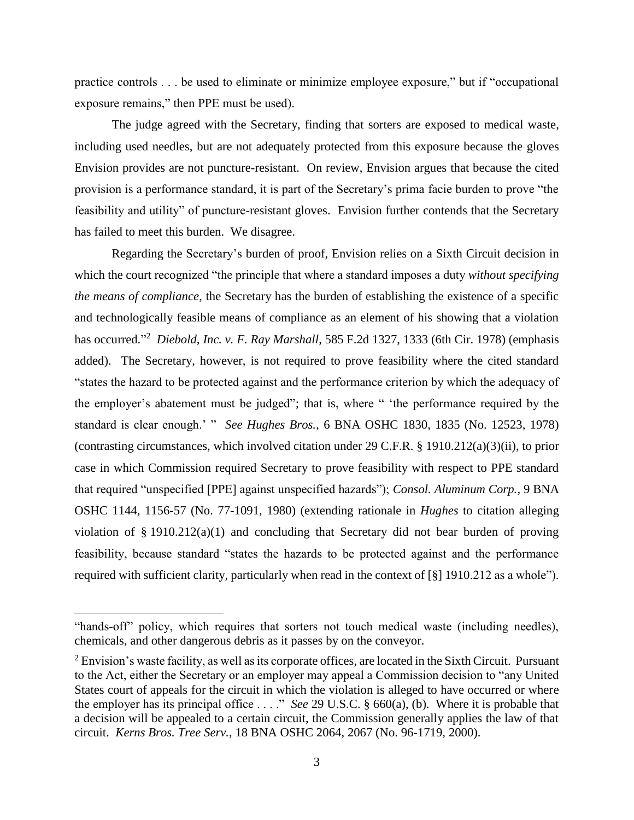practice controls . . . be used to eliminate or minimize employee exposure," but if "occupational exposure remains," then PPE must be used).

The judge agreed with the Secretary, finding that sorters are exposed to medical waste, including used needles, but are not adequately protected from this exposure because the gloves Envision provides are not puncture-resistant. On review, Envision argues that because the cited provision is a performance standard, it is part of the Secretary's prima facie burden to prove "the feasibility and utility" of puncture-resistant gloves. Envision further contends that the Secretary has failed to meet this burden. We disagree.

Regarding the Secretary's burden of proof, Envision relies on a Sixth Circuit decision in which the court recognized "the principle that where a standard imposes a duty *without specifying the means of compliance*, the Secretary has the burden of establishing the existence of a specific and technologically feasible means of compliance as an element of his showing that a violation has occurred." <sup>2</sup> *Diebold, Inc. v. F. Ray Marshall*, 585 F.2d 1327, 1333 (6th Cir. 1978) (emphasis added). The Secretary, however, is not required to prove feasibility where the cited standard "states the hazard to be protected against and the performance criterion by which the adequacy of the employer's abatement must be judged"; that is, where " 'the performance required by the standard is clear enough.' " *See Hughes Bros.*, 6 BNA OSHC 1830, 1835 (No. 12523, 1978) (contrasting circumstances, which involved citation under 29 C.F.R. § 1910.212(a)(3)(ii), to prior case in which Commission required Secretary to prove feasibility with respect to PPE standard that required "unspecified [PPE] against unspecified hazards"); *Consol. Aluminum Corp.*, 9 BNA OSHC 1144, 1156-57 (No. 77-1091, 1980) (extending rationale in *Hughes* to citation alleging violation of § 1910.212(a)(1) and concluding that Secretary did not bear burden of proving feasibility, because standard "states the hazards to be protected against and the performance required with sufficient clarity, particularly when read in the context of [§] 1910.212 as a whole").

 $\overline{a}$ 

<sup>&</sup>quot;hands-off" policy, which requires that sorters not touch medical waste (including needles), chemicals, and other dangerous debris as it passes by on the conveyor.

<sup>&</sup>lt;sup>2</sup> Envision's waste facility, as well as its corporate offices, are located in the Sixth Circuit. Pursuant to the Act, either the Secretary or an employer may appeal a Commission decision to "any United States court of appeals for the circuit in which the violation is alleged to have occurred or where the employer has its principal office . . . ." *See* 29 U.S.C. § 660(a), (b). Where it is probable that a decision will be appealed to a certain circuit, the Commission generally applies the law of that circuit. *Kerns Bros. Tree Serv.*, 18 BNA OSHC 2064, 2067 (No. 96-1719, 2000).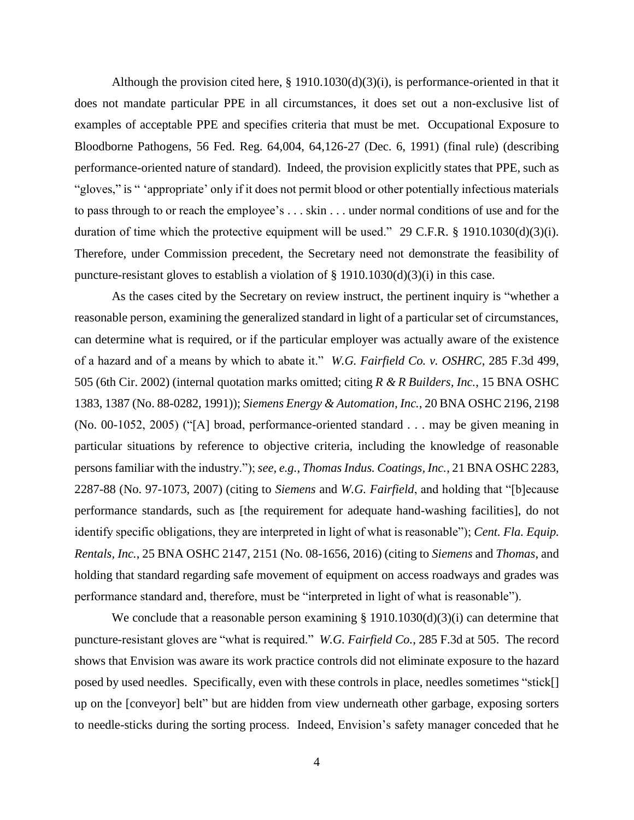Although the provision cited here,  $\S 1910.1030(d)(3)(i)$ , is performance-oriented in that it does not mandate particular PPE in all circumstances, it does set out a non-exclusive list of examples of acceptable PPE and specifies criteria that must be met. Occupational Exposure to Bloodborne Pathogens, 56 Fed. Reg. 64,004, 64,126-27 (Dec. 6, 1991) (final rule) (describing performance-oriented nature of standard). Indeed, the provision explicitly states that PPE, such as "gloves," is " 'appropriate' only if it does not permit blood or other potentially infectious materials to pass through to or reach the employee's . . . skin . . . under normal conditions of use and for the duration of time which the protective equipment will be used." 29 C.F.R.  $\S$  1910.1030(d)(3)(i). Therefore, under Commission precedent, the Secretary need not demonstrate the feasibility of puncture-resistant gloves to establish a violation of  $\S$  1910.1030(d)(3)(i) in this case.

As the cases cited by the Secretary on review instruct, the pertinent inquiry is "whether a reasonable person, examining the generalized standard in light of a particular set of circumstances, can determine what is required, or if the particular employer was actually aware of the existence of a hazard and of a means by which to abate it." *W.G. Fairfield Co. v. OSHRC*, 285 F.3d 499, 505 (6th Cir. 2002) (internal quotation marks omitted; citing *R & R Builders, Inc.*, 15 BNA OSHC 1383, 1387 (No. 88-0282, 1991)); *Siemens Energy & Automation, Inc.*, 20 BNA OSHC 2196, 2198 (No. 00-1052, 2005) ("[A] broad, performance-oriented standard . . . may be given meaning in particular situations by reference to objective criteria, including the knowledge of reasonable persons familiar with the industry."); *see, e.g.*, *Thomas Indus. Coatings, Inc.*, 21 BNA OSHC 2283, 2287-88 (No. 97-1073, 2007) (citing to *Siemens* and *W.G. Fairfield*, and holding that "[b]ecause performance standards, such as [the requirement for adequate hand-washing facilities], do not identify specific obligations, they are interpreted in light of what is reasonable"); *Cent. Fla. Equip. Rentals, Inc.*, 25 BNA OSHC 2147, 2151 (No. 08-1656, 2016) (citing to *Siemens* and *Thomas*, and holding that standard regarding safe movement of equipment on access roadways and grades was performance standard and, therefore, must be "interpreted in light of what is reasonable").

We conclude that a reasonable person examining § 1910.1030(d)(3)(i) can determine that puncture-resistant gloves are "what is required." *W.G. Fairfield Co.*, 285 F.3d at 505. The record shows that Envision was aware its work practice controls did not eliminate exposure to the hazard posed by used needles. Specifically, even with these controls in place, needles sometimes "stick[] up on the [conveyor] belt" but are hidden from view underneath other garbage, exposing sorters to needle-sticks during the sorting process. Indeed, Envision's safety manager conceded that he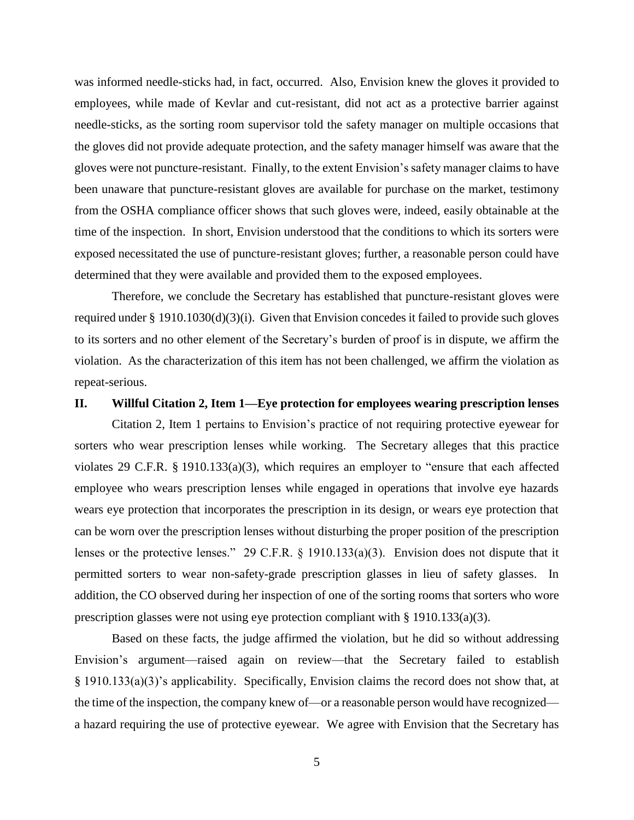was informed needle-sticks had, in fact, occurred. Also, Envision knew the gloves it provided to employees, while made of Kevlar and cut-resistant, did not act as a protective barrier against needle-sticks, as the sorting room supervisor told the safety manager on multiple occasions that the gloves did not provide adequate protection, and the safety manager himself was aware that the gloves were not puncture-resistant. Finally, to the extent Envision's safety manager claims to have been unaware that puncture-resistant gloves are available for purchase on the market, testimony from the OSHA compliance officer shows that such gloves were, indeed, easily obtainable at the time of the inspection. In short, Envision understood that the conditions to which its sorters were exposed necessitated the use of puncture-resistant gloves; further, a reasonable person could have determined that they were available and provided them to the exposed employees.

Therefore, we conclude the Secretary has established that puncture-resistant gloves were required under § 1910.1030(d)(3)(i). Given that Envision concedes it failed to provide such gloves to its sorters and no other element of the Secretary's burden of proof is in dispute, we affirm the violation. As the characterization of this item has not been challenged, we affirm the violation as repeat-serious.

## **II. Willful Citation 2, Item 1—Eye protection for employees wearing prescription lenses**

Citation 2, Item 1 pertains to Envision's practice of not requiring protective eyewear for sorters who wear prescription lenses while working. The Secretary alleges that this practice violates 29 C.F.R. § 1910.133(a)(3), which requires an employer to "ensure that each affected employee who wears prescription lenses while engaged in operations that involve eye hazards wears eye protection that incorporates the prescription in its design, or wears eye protection that can be worn over the prescription lenses without disturbing the proper position of the prescription lenses or the protective lenses." 29 C.F.R. § 1910.133(a)(3). Envision does not dispute that it permitted sorters to wear non-safety-grade prescription glasses in lieu of safety glasses. In addition, the CO observed during her inspection of one of the sorting rooms that sorters who wore prescription glasses were not using eye protection compliant with  $\S$  1910.133(a)(3).

Based on these facts, the judge affirmed the violation, but he did so without addressing Envision's argument—raised again on review—that the Secretary failed to establish § 1910.133(a)(3)'s applicability. Specifically, Envision claims the record does not show that, at the time of the inspection, the company knew of—or a reasonable person would have recognized a hazard requiring the use of protective eyewear. We agree with Envision that the Secretary has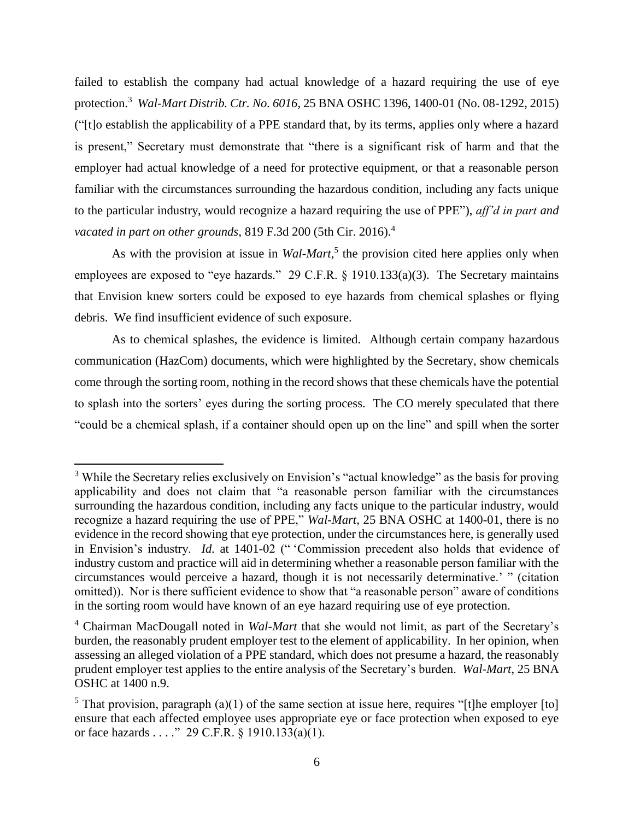failed to establish the company had actual knowledge of a hazard requiring the use of eye protection. 3 *Wal-Mart Distrib. Ctr. No. 6016*, 25 BNA OSHC 1396, 1400-01 (No. 08-1292, 2015) ("[t]o establish the applicability of a PPE standard that, by its terms, applies only where a hazard is present," Secretary must demonstrate that "there is a significant risk of harm and that the employer had actual knowledge of a need for protective equipment, or that a reasonable person familiar with the circumstances surrounding the hazardous condition, including any facts unique to the particular industry, would recognize a hazard requiring the use of PPE"), *aff'd in part and vacated in part on other grounds*, 819 F.3d 200 (5th Cir. 2016). 4

As with the provision at issue in *Wal-Mart*<sup>5</sup>, the provision cited here applies only when employees are exposed to "eye hazards." 29 C.F.R. § 1910.133(a)(3). The Secretary maintains that Envision knew sorters could be exposed to eye hazards from chemical splashes or flying debris. We find insufficient evidence of such exposure.

As to chemical splashes, the evidence is limited. Although certain company hazardous communication (HazCom) documents, which were highlighted by the Secretary, show chemicals come through the sorting room, nothing in the record shows that these chemicals have the potential to splash into the sorters' eyes during the sorting process. The CO merely speculated that there "could be a chemical splash, if a container should open up on the line" and spill when the sorter

 $\overline{a}$ 

<sup>&</sup>lt;sup>3</sup> While the Secretary relies exclusively on Envision's "actual knowledge" as the basis for proving applicability and does not claim that "a reasonable person familiar with the circumstances surrounding the hazardous condition, including any facts unique to the particular industry, would recognize a hazard requiring the use of PPE," *Wal-Mart*, 25 BNA OSHC at 1400-01, there is no evidence in the record showing that eye protection, under the circumstances here, is generally used in Envision's industry. *Id.* at 1401-02 (" 'Commission precedent also holds that evidence of industry custom and practice will aid in determining whether a reasonable person familiar with the circumstances would perceive a hazard, though it is not necessarily determinative.' " (citation omitted)). Nor is there sufficient evidence to show that "a reasonable person" aware of conditions in the sorting room would have known of an eye hazard requiring use of eye protection.

<sup>4</sup> Chairman MacDougall noted in *Wal-Mart* that she would not limit, as part of the Secretary's burden, the reasonably prudent employer test to the element of applicability. In her opinion, when assessing an alleged violation of a PPE standard, which does not presume a hazard, the reasonably prudent employer test applies to the entire analysis of the Secretary's burden. *Wal-Mart*, 25 BNA OSHC at 1400 n.9.

<sup>&</sup>lt;sup>5</sup> That provision, paragraph (a)(1) of the same section at issue here, requires "[t]he employer [to] ensure that each affected employee uses appropriate eye or face protection when exposed to eye or face hazards . . . ." 29 C.F.R. § 1910.133(a)(1).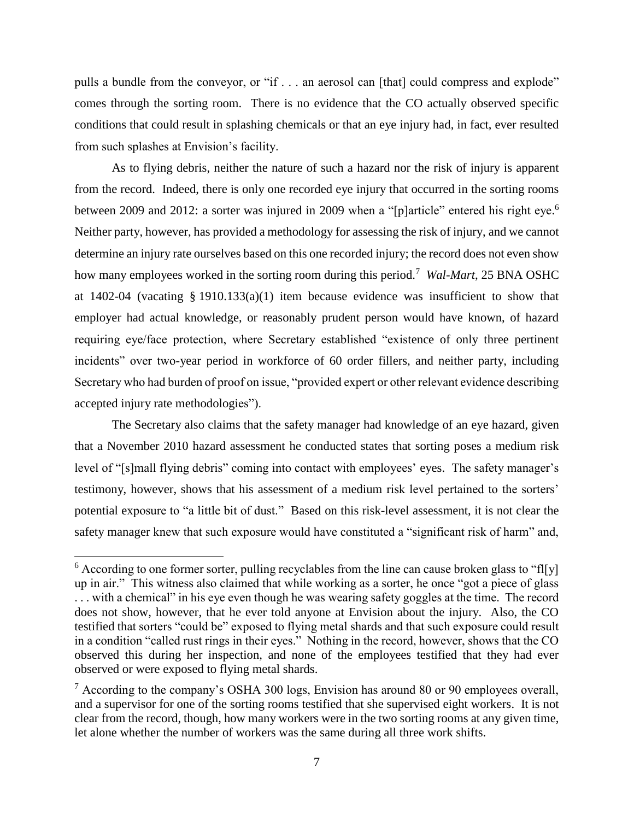pulls a bundle from the conveyor, or "if . . . an aerosol can [that] could compress and explode" comes through the sorting room. There is no evidence that the CO actually observed specific conditions that could result in splashing chemicals or that an eye injury had, in fact, ever resulted from such splashes at Envision's facility.

As to flying debris, neither the nature of such a hazard nor the risk of injury is apparent from the record. Indeed, there is only one recorded eye injury that occurred in the sorting rooms between 2009 and 2012: a sorter was injured in 2009 when a "[p]article" entered his right eye.<sup>6</sup> Neither party, however, has provided a methodology for assessing the risk of injury, and we cannot determine an injury rate ourselves based on this one recorded injury; the record does not even show how many employees worked in the sorting room during this period.<sup>7</sup> Wal-Mart, 25 BNA OSHC at 1402-04 (vacating § 1910.133(a)(1) item because evidence was insufficient to show that employer had actual knowledge, or reasonably prudent person would have known, of hazard requiring eye/face protection, where Secretary established "existence of only three pertinent incidents" over two-year period in workforce of 60 order fillers, and neither party, including Secretary who had burden of proof on issue, "provided expert or other relevant evidence describing accepted injury rate methodologies").

The Secretary also claims that the safety manager had knowledge of an eye hazard, given that a November 2010 hazard assessment he conducted states that sorting poses a medium risk level of "[s]mall flying debris" coming into contact with employees' eyes. The safety manager's testimony, however, shows that his assessment of a medium risk level pertained to the sorters' potential exposure to "a little bit of dust." Based on this risk-level assessment, it is not clear the safety manager knew that such exposure would have constituted a "significant risk of harm" and,

 $\overline{a}$ 

 $6$  According to one former sorter, pulling recyclables from the line can cause broken glass to "fl[y] up in air." This witness also claimed that while working as a sorter, he once "got a piece of glass . . . with a chemical" in his eye even though he was wearing safety goggles at the time. The record does not show, however, that he ever told anyone at Envision about the injury. Also, the CO testified that sorters "could be" exposed to flying metal shards and that such exposure could result in a condition "called rust rings in their eyes." Nothing in the record, however, shows that the CO observed this during her inspection, and none of the employees testified that they had ever observed or were exposed to flying metal shards.

 $7$  According to the company's OSHA 300 logs, Envision has around 80 or 90 employees overall, and a supervisor for one of the sorting rooms testified that she supervised eight workers. It is not clear from the record, though, how many workers were in the two sorting rooms at any given time, let alone whether the number of workers was the same during all three work shifts.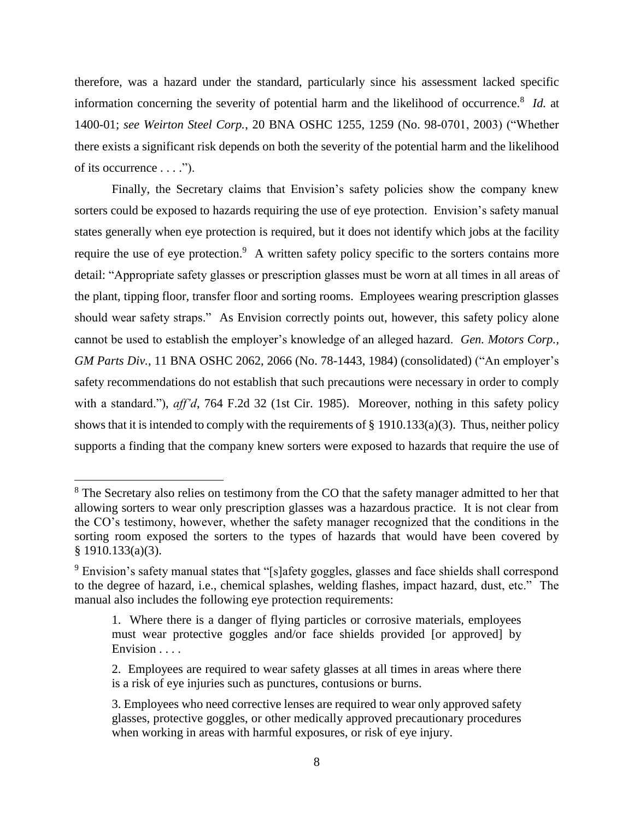therefore, was a hazard under the standard, particularly since his assessment lacked specific information concerning the severity of potential harm and the likelihood of occurrence.<sup>8</sup> *Id.* at 1400-01; *see Weirton Steel Corp.*, 20 BNA OSHC 1255, 1259 (No. 98-0701, 2003) ("Whether there exists a significant risk depends on both the severity of the potential harm and the likelihood of its occurrence  $\dots$ .").

Finally, the Secretary claims that Envision's safety policies show the company knew sorters could be exposed to hazards requiring the use of eye protection. Envision's safety manual states generally when eye protection is required, but it does not identify which jobs at the facility require the use of eye protection.<sup>9</sup> A written safety policy specific to the sorters contains more detail: "Appropriate safety glasses or prescription glasses must be worn at all times in all areas of the plant, tipping floor, transfer floor and sorting rooms. Employees wearing prescription glasses should wear safety straps." As Envision correctly points out, however, this safety policy alone cannot be used to establish the employer's knowledge of an alleged hazard. *Gen. Motors Corp., GM Parts Div.*, 11 BNA OSHC 2062, 2066 (No. 78-1443, 1984) (consolidated) ("An employer's safety recommendations do not establish that such precautions were necessary in order to comply with a standard."), *aff'd*, 764 F.2d 32 (1st Cir. 1985). Moreover, nothing in this safety policy shows that it is intended to comply with the requirements of § 1910.133(a)(3). Thus, neither policy supports a finding that the company knew sorters were exposed to hazards that require the use of

<sup>&</sup>lt;sup>8</sup> The Secretary also relies on testimony from the CO that the safety manager admitted to her that allowing sorters to wear only prescription glasses was a hazardous practice. It is not clear from the CO's testimony, however, whether the safety manager recognized that the conditions in the sorting room exposed the sorters to the types of hazards that would have been covered by § 1910.133(a)(3).

<sup>&</sup>lt;sup>9</sup> Envision's safety manual states that "[s]afety goggles, glasses and face shields shall correspond to the degree of hazard, i.e., chemical splashes, welding flashes, impact hazard, dust, etc." The manual also includes the following eye protection requirements:

<sup>1.</sup> Where there is a danger of flying particles or corrosive materials, employees must wear protective goggles and/or face shields provided [or approved] by Envision . . . .

<sup>2.</sup> Employees are required to wear safety glasses at all times in areas where there is a risk of eye injuries such as punctures, contusions or burns.

<sup>3.</sup> Employees who need corrective lenses are required to wear only approved safety glasses, protective goggles, or other medically approved precautionary procedures when working in areas with harmful exposures, or risk of eye injury.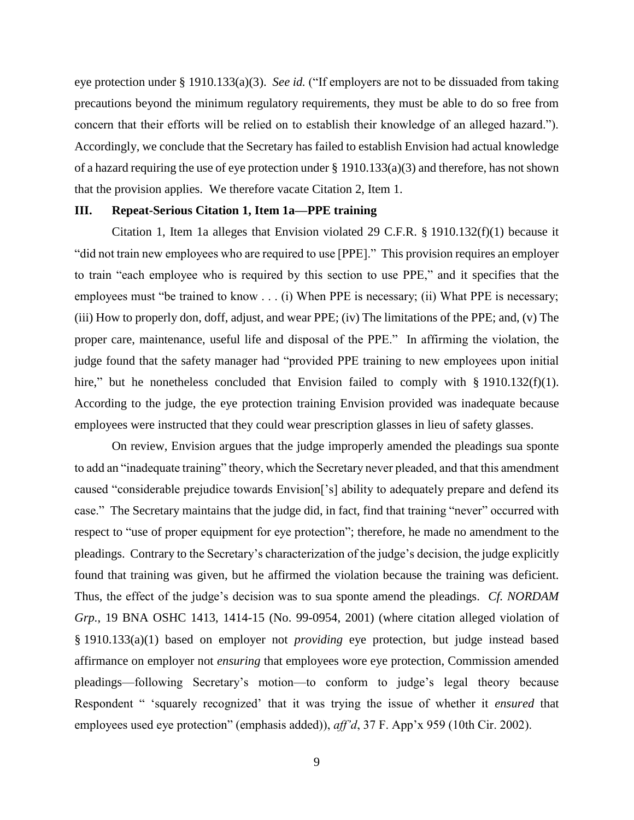eye protection under § 1910.133(a)(3). *See id.* ("If employers are not to be dissuaded from taking precautions beyond the minimum regulatory requirements, they must be able to do so free from concern that their efforts will be relied on to establish their knowledge of an alleged hazard."). Accordingly, we conclude that the Secretary has failed to establish Envision had actual knowledge of a hazard requiring the use of eye protection under § 1910.133(a)(3) and therefore, has not shown that the provision applies. We therefore vacate Citation 2, Item 1.

## **III. Repeat-Serious Citation 1, Item 1a—PPE training**

Citation 1, Item 1a alleges that Envision violated 29 C.F.R. § 1910.132(f)(1) because it "did not train new employees who are required to use [PPE]." This provision requires an employer to train "each employee who is required by this section to use PPE," and it specifies that the employees must "be trained to know . . . (i) When PPE is necessary; (ii) What PPE is necessary; (iii) How to properly don, doff, adjust, and wear PPE; (iv) The limitations of the PPE; and, (v) The proper care, maintenance, useful life and disposal of the PPE." In affirming the violation, the judge found that the safety manager had "provided PPE training to new employees upon initial hire," but he nonetheless concluded that Envision failed to comply with § 1910.132(f)(1). According to the judge, the eye protection training Envision provided was inadequate because employees were instructed that they could wear prescription glasses in lieu of safety glasses.

On review, Envision argues that the judge improperly amended the pleadings sua sponte to add an "inadequate training" theory, which the Secretary never pleaded, and that this amendment caused "considerable prejudice towards Envision['s] ability to adequately prepare and defend its case." The Secretary maintains that the judge did, in fact, find that training "never" occurred with respect to "use of proper equipment for eye protection"; therefore, he made no amendment to the pleadings. Contrary to the Secretary's characterization of the judge's decision, the judge explicitly found that training was given, but he affirmed the violation because the training was deficient. Thus, the effect of the judge's decision was to sua sponte amend the pleadings. *Cf. NORDAM Grp.*, 19 BNA OSHC 1413, 1414-15 (No. 99-0954, 2001) (where citation alleged violation of § 1910.133(a)(1) based on employer not *providing* eye protection, but judge instead based affirmance on employer not *ensuring* that employees wore eye protection, Commission amended pleadings—following Secretary's motion—to conform to judge's legal theory because Respondent " 'squarely recognized' that it was trying the issue of whether it *ensured* that employees used eye protection" (emphasis added)), *aff'd*, 37 F. App'x 959 (10th Cir. 2002).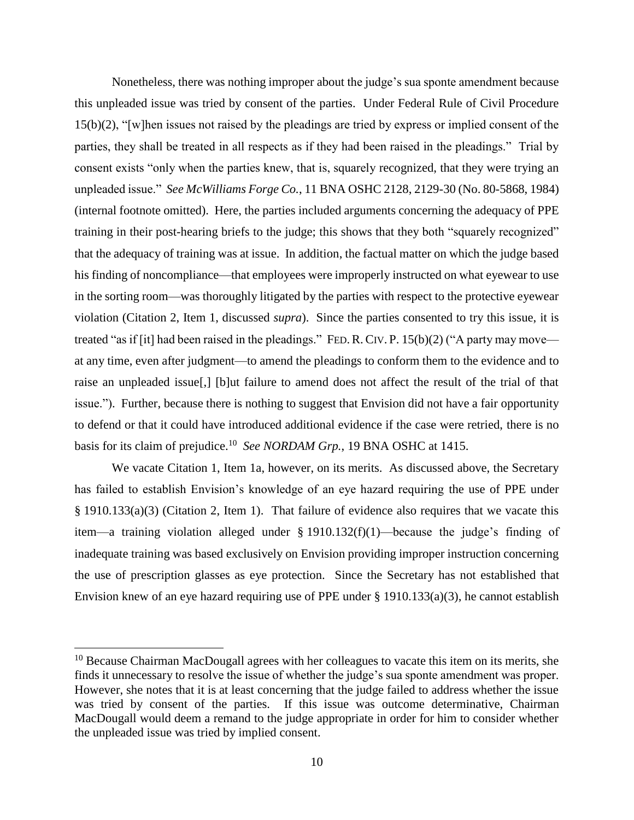Nonetheless, there was nothing improper about the judge's sua sponte amendment because this unpleaded issue was tried by consent of the parties. Under Federal Rule of Civil Procedure 15(b)(2), "[w]hen issues not raised by the pleadings are tried by express or implied consent of the parties, they shall be treated in all respects as if they had been raised in the pleadings." Trial by consent exists "only when the parties knew, that is, squarely recognized, that they were trying an unpleaded issue." *See McWilliams Forge Co.*, 11 BNA OSHC 2128, 2129-30 (No. 80-5868, 1984) (internal footnote omitted). Here, the parties included arguments concerning the adequacy of PPE training in their post-hearing briefs to the judge; this shows that they both "squarely recognized" that the adequacy of training was at issue. In addition, the factual matter on which the judge based his finding of noncompliance—that employees were improperly instructed on what eyewear to use in the sorting room—was thoroughly litigated by the parties with respect to the protective eyewear violation (Citation 2, Item 1, discussed *supra*). Since the parties consented to try this issue, it is treated "as if [it] had been raised in the pleadings." FED. R. CIV. P.  $15(b)(2)$  ("A party may move at any time, even after judgment—to amend the pleadings to conform them to the evidence and to raise an unpleaded issue[,] [b]ut failure to amend does not affect the result of the trial of that issue."). Further, because there is nothing to suggest that Envision did not have a fair opportunity to defend or that it could have introduced additional evidence if the case were retried, there is no basis for its claim of prejudice. 10 *See NORDAM Grp.*, 19 BNA OSHC at 1415.

We vacate Citation 1, Item 1a, however, on its merits. As discussed above, the Secretary has failed to establish Envision's knowledge of an eye hazard requiring the use of PPE under § 1910.133(a)(3) (Citation 2, Item 1). That failure of evidence also requires that we vacate this item—a training violation alleged under § 1910.132(f)(1)—because the judge's finding of inadequate training was based exclusively on Envision providing improper instruction concerning the use of prescription glasses as eye protection. Since the Secretary has not established that Envision knew of an eye hazard requiring use of PPE under  $\S$  1910.133(a)(3), he cannot establish

 $10$  Because Chairman MacDougall agrees with her colleagues to vacate this item on its merits, she finds it unnecessary to resolve the issue of whether the judge's sua sponte amendment was proper. However, she notes that it is at least concerning that the judge failed to address whether the issue was tried by consent of the parties. If this issue was outcome determinative, Chairman MacDougall would deem a remand to the judge appropriate in order for him to consider whether the unpleaded issue was tried by implied consent.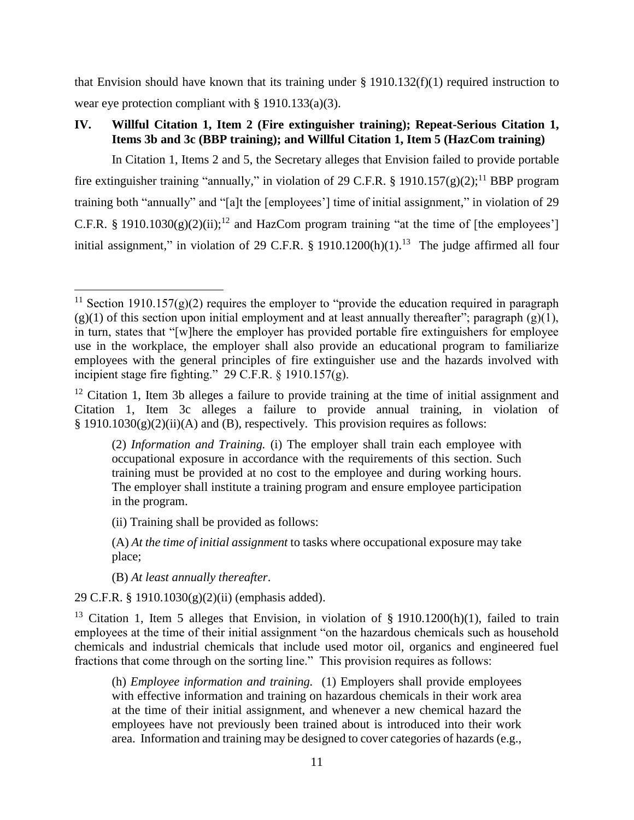that Envision should have known that its training under  $\S$  1910.132(f)(1) required instruction to wear eye protection compliant with § 1910.133(a)(3).

# **IV. Willful Citation 1, Item 2 (Fire extinguisher training); Repeat-Serious Citation 1, Items 3b and 3c (BBP training); and Willful Citation 1, Item 5 (HazCom training)**

In Citation 1, Items 2 and 5, the Secretary alleges that Envision failed to provide portable fire extinguisher training "annually," in violation of 29 C.F.R. § 1910.157(g)(2);<sup>11</sup> BBP program training both "annually" and "[a]t the [employees'] time of initial assignment," in violation of 29 C.F.R. § 1910.1030(g)(2)(ii);<sup>12</sup> and HazCom program training "at the time of [the employees'] initial assignment," in violation of 29 C.F.R. § 1910.1200(h)(1).<sup>13</sup> The judge affirmed all four

(B) *At least annually thereafter*.

 $\overline{a}$ 

29 C.F.R. § 1910.1030(g)(2)(ii) (emphasis added).

<sup>13</sup> Citation 1, Item 5 alleges that Envision, in violation of § 1910.1200(h)(1), failed to train employees at the time of their initial assignment "on the hazardous chemicals such as household chemicals and industrial chemicals that include used motor oil, organics and engineered fuel fractions that come through on the sorting line." This provision requires as follows:

(h) *Employee information and training.* (1) Employers shall provide employees with effective information and training on hazardous chemicals in their work area at the time of their initial assignment, and whenever a new chemical hazard the employees have not previously been trained about is introduced into their work area. Information and training may be designed to cover categories of hazards (e.g.,

<sup>&</sup>lt;sup>11</sup> Section 1910.157(g)(2) requires the employer to "provide the education required in paragraph  $(g)(1)$  of this section upon initial employment and at least annually thereafter"; paragraph  $(g)(1)$ , in turn, states that "[w]here the employer has provided portable fire extinguishers for employee use in the workplace, the employer shall also provide an educational program to familiarize employees with the general principles of fire extinguisher use and the hazards involved with incipient stage fire fighting." 29 C.F.R. § 1910.157(g).

 $12$  Citation 1, Item 3b alleges a failure to provide training at the time of initial assignment and Citation 1, Item 3c alleges a failure to provide annual training, in violation of  $§$  1910.1030(g)(2)(ii)(A) and (B), respectively. This provision requires as follows:

<sup>(2)</sup> *Information and Training.* (i) The employer shall train each employee with occupational exposure in accordance with the requirements of this section. Such training must be provided at no cost to the employee and during working hours. The employer shall institute a training program and ensure employee participation in the program.

<sup>(</sup>ii) Training shall be provided as follows:

<sup>(</sup>A) *At the time of initial assignment* to tasks where occupational exposure may take place;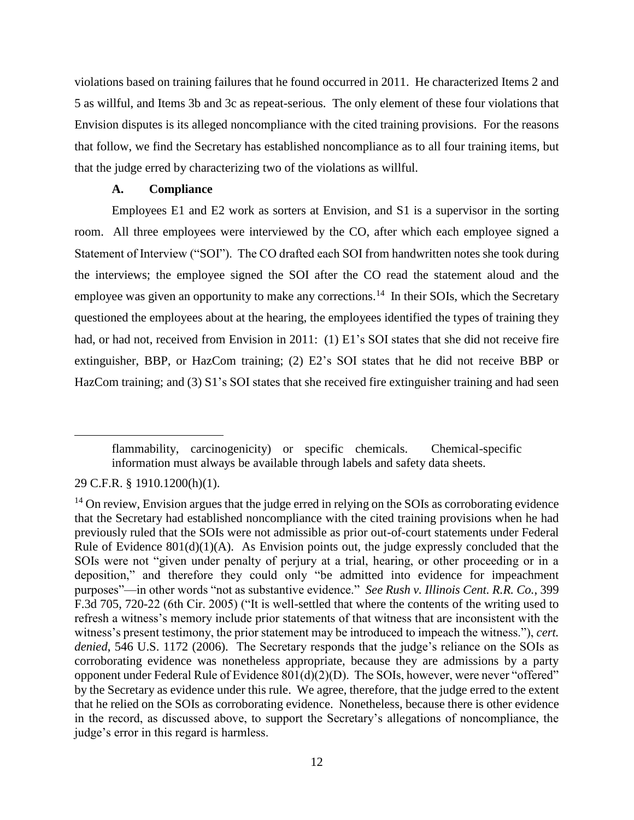violations based on training failures that he found occurred in 2011. He characterized Items 2 and 5 as willful, and Items 3b and 3c as repeat-serious. The only element of these four violations that Envision disputes is its alleged noncompliance with the cited training provisions. For the reasons that follow, we find the Secretary has established noncompliance as to all four training items, but that the judge erred by characterizing two of the violations as willful.

## **A. Compliance**

Employees E1 and E2 work as sorters at Envision, and S1 is a supervisor in the sorting room. All three employees were interviewed by the CO, after which each employee signed a Statement of Interview ("SOI"). The CO drafted each SOI from handwritten notes she took during the interviews; the employee signed the SOI after the CO read the statement aloud and the employee was given an opportunity to make any corrections.<sup>14</sup> In their SOIs, which the Secretary questioned the employees about at the hearing, the employees identified the types of training they had, or had not, received from Envision in 2011: (1) E1's SOI states that she did not receive fire extinguisher, BBP, or HazCom training; (2) E2's SOI states that he did not receive BBP or HazCom training; and (3) S1's SOI states that she received fire extinguisher training and had seen

flammability, carcinogenicity) or specific chemicals. Chemical-specific information must always be available through labels and safety data sheets.

<sup>29</sup> C.F.R. § 1910.1200(h)(1).

<sup>&</sup>lt;sup>14</sup> On review, Envision argues that the judge erred in relying on the SOIs as corroborating evidence that the Secretary had established noncompliance with the cited training provisions when he had previously ruled that the SOIs were not admissible as prior out-of-court statements under Federal Rule of Evidence  $801(d)(1)(A)$ . As Envision points out, the judge expressly concluded that the SOIs were not "given under penalty of perjury at a trial, hearing, or other proceeding or in a deposition," and therefore they could only "be admitted into evidence for impeachment purposes"—in other words "not as substantive evidence." *See Rush v. Illinois Cent. R.R. Co.*, 399 F.3d 705, 720-22 (6th Cir. 2005) ("It is well-settled that where the contents of the writing used to refresh a witness's memory include prior statements of that witness that are inconsistent with the witness's present testimony, the prior statement may be introduced to impeach the witness."), *cert. denied*, 546 U.S. 1172 (2006). The Secretary responds that the judge's reliance on the SOIs as corroborating evidence was nonetheless appropriate, because they are admissions by a party opponent under Federal Rule of Evidence 801(d)(2)(D). The SOIs, however, were never "offered" by the Secretary as evidence under this rule. We agree, therefore, that the judge erred to the extent that he relied on the SOIs as corroborating evidence. Nonetheless, because there is other evidence in the record, as discussed above, to support the Secretary's allegations of noncompliance, the judge's error in this regard is harmless.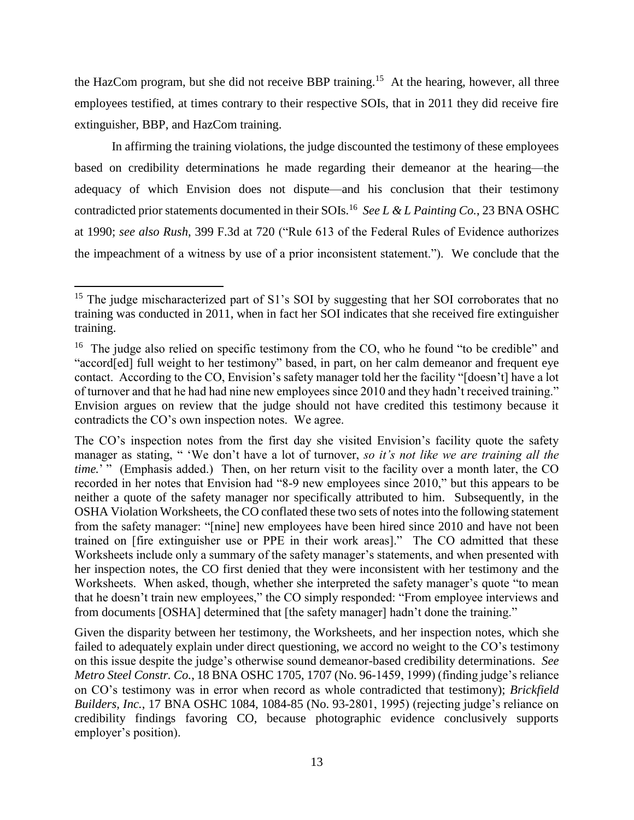the HazCom program, but she did not receive BBP training.<sup>15</sup> At the hearing, however, all three employees testified, at times contrary to their respective SOIs, that in 2011 they did receive fire extinguisher, BBP, and HazCom training.

In affirming the training violations, the judge discounted the testimony of these employees based on credibility determinations he made regarding their demeanor at the hearing—the adequacy of which Envision does not dispute—and his conclusion that their testimony contradicted prior statements documented in their SOIs.<sup>16</sup> *See L & L Painting Co.*, 23 BNA OSHC at 1990; *see also Rush*, 399 F.3d at 720 ("Rule 613 of the Federal Rules of Evidence authorizes the impeachment of a witness by use of a prior inconsistent statement."). We conclude that the

<sup>&</sup>lt;sup>15</sup> The judge mischaracterized part of S1's SOI by suggesting that her SOI corroborates that no training was conducted in 2011, when in fact her SOI indicates that she received fire extinguisher training.

<sup>&</sup>lt;sup>16</sup> The judge also relied on specific testimony from the CO, who he found "to be credible" and "accord[ed] full weight to her testimony" based, in part, on her calm demeanor and frequent eye contact. According to the CO, Envision's safety manager told her the facility "[doesn't] have a lot of turnover and that he had had nine new employees since 2010 and they hadn't received training." Envision argues on review that the judge should not have credited this testimony because it contradicts the CO's own inspection notes. We agree.

The CO's inspection notes from the first day she visited Envision's facility quote the safety manager as stating, " 'We don't have a lot of turnover, *so it's not like we are training all the time.*'" (Emphasis added.) Then, on her return visit to the facility over a month later, the CO recorded in her notes that Envision had "8-9 new employees since 2010," but this appears to be neither a quote of the safety manager nor specifically attributed to him. Subsequently, in the OSHA Violation Worksheets, the CO conflated these two sets of notes into the following statement from the safety manager: "[nine] new employees have been hired since 2010 and have not been trained on [fire extinguisher use or PPE in their work areas]." The CO admitted that these Worksheets include only a summary of the safety manager's statements, and when presented with her inspection notes, the CO first denied that they were inconsistent with her testimony and the Worksheets. When asked, though, whether she interpreted the safety manager's quote "to mean that he doesn't train new employees," the CO simply responded: "From employee interviews and from documents [OSHA] determined that [the safety manager] hadn't done the training."

Given the disparity between her testimony, the Worksheets, and her inspection notes, which she failed to adequately explain under direct questioning, we accord no weight to the CO's testimony on this issue despite the judge's otherwise sound demeanor-based credibility determinations. *See Metro Steel Constr. Co.*, 18 BNA OSHC 1705, 1707 (No. 96-1459, 1999) (finding judge's reliance on CO's testimony was in error when record as whole contradicted that testimony); *Brickfield Builders, Inc.*, 17 BNA OSHC 1084, 1084-85 (No. 93-2801, 1995) (rejecting judge's reliance on credibility findings favoring CO, because photographic evidence conclusively supports employer's position).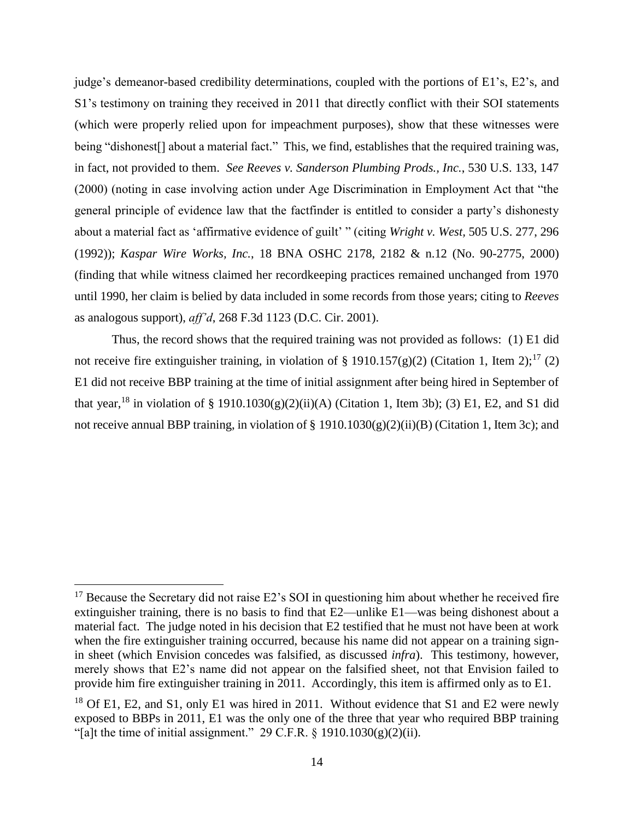judge's demeanor-based credibility determinations, coupled with the portions of E1's, E2's, and S1's testimony on training they received in 2011 that directly conflict with their SOI statements (which were properly relied upon for impeachment purposes), show that these witnesses were being "dishonest<sup>[]</sup> about a material fact." This, we find, establishes that the required training was, in fact, not provided to them. *See Reeves v. Sanderson Plumbing Prods., Inc.*, 530 U.S. 133, 147 (2000) (noting in case involving action under Age Discrimination in Employment Act that "the general principle of evidence law that the factfinder is entitled to consider a party's dishonesty about a material fact as 'affirmative evidence of guilt' " (citing *Wright v. West,* 505 U.S. 277, 296 (1992)); *Kaspar Wire Works, Inc.*, 18 BNA OSHC 2178, 2182 & n.12 (No. 90-2775, 2000) (finding that while witness claimed her recordkeeping practices remained unchanged from 1970 until 1990, her claim is belied by data included in some records from those years; citing to *Reeves* as analogous support), *aff'd*, 268 F.3d 1123 (D.C. Cir. 2001).

Thus, the record shows that the required training was not provided as follows: (1) E1 did not receive fire extinguisher training, in violation of § 1910.157(g)(2) (Citation 1, Item 2);<sup>17</sup> (2) E1 did not receive BBP training at the time of initial assignment after being hired in September of that year,<sup>18</sup> in violation of § 1910.1030(g)(2)(ii)(A) (Citation 1, Item 3b); (3) E1, E2, and S1 did not receive annual BBP training, in violation of § 1910.1030(g)(2)(ii)(B) (Citation 1, Item 3c); and

 $17$  Because the Secretary did not raise E2's SOI in questioning him about whether he received fire extinguisher training, there is no basis to find that E2—unlike E1—was being dishonest about a material fact. The judge noted in his decision that E2 testified that he must not have been at work when the fire extinguisher training occurred, because his name did not appear on a training signin sheet (which Envision concedes was falsified, as discussed *infra*). This testimony, however, merely shows that E2's name did not appear on the falsified sheet, not that Envision failed to provide him fire extinguisher training in 2011. Accordingly, this item is affirmed only as to E1.

<sup>&</sup>lt;sup>18</sup> Of E1, E2, and S1, only E1 was hired in 2011. Without evidence that S1 and E2 were newly exposed to BBPs in 2011, E1 was the only one of the three that year who required BBP training "[a]t the time of initial assignment." 29 C.F.R.  $\S$  1910.1030(g)(2)(ii).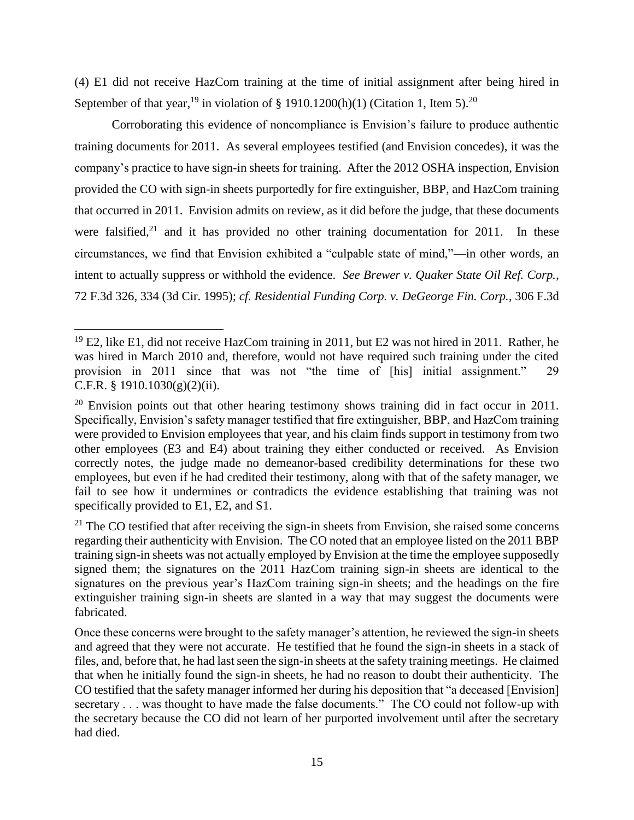(4) E1 did not receive HazCom training at the time of initial assignment after being hired in September of that year, <sup>19</sup> in violation of § 1910.1200(h)(1) (Citation 1, Item 5).<sup>20</sup>

Corroborating this evidence of noncompliance is Envision's failure to produce authentic training documents for 2011. As several employees testified (and Envision concedes), it was the company's practice to have sign-in sheets for training. After the 2012 OSHA inspection, Envision provided the CO with sign-in sheets purportedly for fire extinguisher, BBP, and HazCom training that occurred in 2011. Envision admits on review, as it did before the judge, that these documents were falsified,<sup>21</sup> and it has provided no other training documentation for 2011. In these circumstances, we find that Envision exhibited a "culpable state of mind,"—in other words, an intent to actually suppress or withhold the evidence. *See Brewer v. Quaker State Oil Ref. Corp.*, 72 F.3d 326, 334 (3d Cir. 1995); *cf. Residential Funding Corp. v. DeGeorge Fin. Corp.*, 306 F.3d

<sup>&</sup>lt;sup>19</sup> E2, like E1, did not receive HazCom training in 2011, but E2 was not hired in 2011. Rather, he was hired in March 2010 and, therefore, would not have required such training under the cited provision in 2011 since that was not "the time of [his] initial assignment." 29 C.F.R. § 1910.1030(g)(2)(ii).

 $20$  Envision points out that other hearing testimony shows training did in fact occur in 2011. Specifically, Envision's safety manager testified that fire extinguisher, BBP, and HazCom training were provided to Envision employees that year, and his claim finds support in testimony from two other employees (E3 and E4) about training they either conducted or received. As Envision correctly notes, the judge made no demeanor-based credibility determinations for these two employees, but even if he had credited their testimony, along with that of the safety manager, we fail to see how it undermines or contradicts the evidence establishing that training was not specifically provided to E1, E2, and S1.

 $21$  The CO testified that after receiving the sign-in sheets from Envision, she raised some concerns regarding their authenticity with Envision. The CO noted that an employee listed on the 2011 BBP training sign-in sheets was not actually employed by Envision at the time the employee supposedly signed them; the signatures on the 2011 HazCom training sign-in sheets are identical to the signatures on the previous year's HazCom training sign-in sheets; and the headings on the fire extinguisher training sign-in sheets are slanted in a way that may suggest the documents were fabricated.

Once these concerns were brought to the safety manager's attention, he reviewed the sign-in sheets and agreed that they were not accurate. He testified that he found the sign-in sheets in a stack of files, and, before that, he had last seen the sign-in sheets at the safety training meetings. He claimed that when he initially found the sign-in sheets, he had no reason to doubt their authenticity. The CO testified that the safety manager informed her during his deposition that "a deceased [Envision] secretary . . . was thought to have made the false documents." The CO could not follow-up with the secretary because the CO did not learn of her purported involvement until after the secretary had died.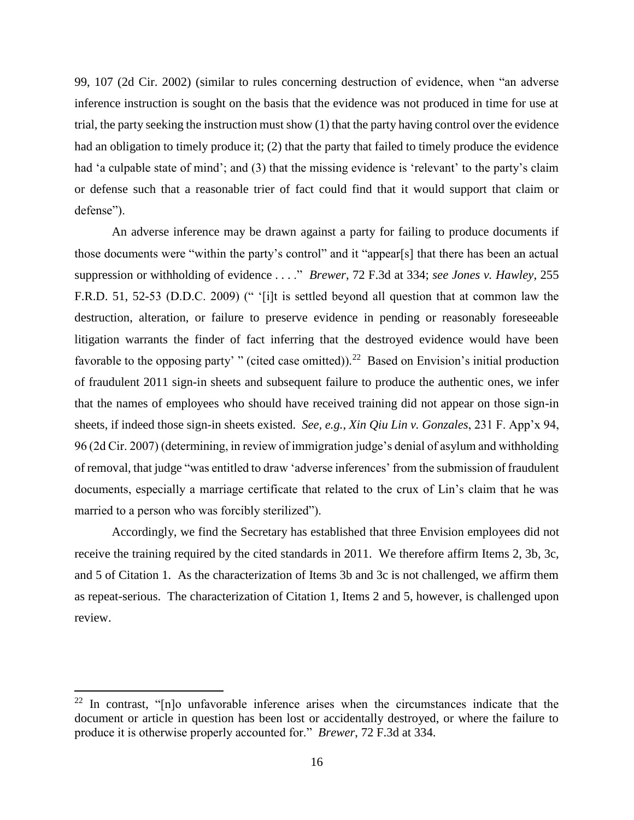99, 107 (2d Cir. 2002) (similar to rules concerning destruction of evidence, when "an adverse inference instruction is sought on the basis that the evidence was not produced in time for use at trial, the party seeking the instruction must show (1) that the party having control over the evidence had an obligation to timely produce it; (2) that the party that failed to timely produce the evidence had 'a culpable state of mind'; and (3) that the missing evidence is 'relevant' to the party's claim or defense such that a reasonable trier of fact could find that it would support that claim or defense").

An adverse inference may be drawn against a party for failing to produce documents if those documents were "within the party's control" and it "appear[s] that there has been an actual suppression or withholding of evidence . . . ." *Brewer*, 72 F.3d at 334; *see Jones v. Hawley*, 255 F.R.D. 51, 52-53 (D.D.C. 2009) (" '[i]t is settled beyond all question that at common law the destruction, alteration, or failure to preserve evidence in pending or reasonably foreseeable litigation warrants the finder of fact inferring that the destroyed evidence would have been favorable to the opposing party' " (cited case omitted)).<sup>22</sup> Based on Envision's initial production of fraudulent 2011 sign-in sheets and subsequent failure to produce the authentic ones, we infer that the names of employees who should have received training did not appear on those sign-in sheets, if indeed those sign-in sheets existed. *See, e.g.*, *Xin Qiu Lin v. Gonzales*, 231 F. App'x 94, 96 (2d Cir. 2007) (determining, in review of immigration judge's denial of asylum and withholding of removal, that judge "was entitled to draw 'adverse inferences' from the submission of fraudulent documents, especially a marriage certificate that related to the crux of Lin's claim that he was married to a person who was forcibly sterilized").

Accordingly, we find the Secretary has established that three Envision employees did not receive the training required by the cited standards in 2011. We therefore affirm Items 2, 3b, 3c, and 5 of Citation 1. As the characterization of Items 3b and 3c is not challenged, we affirm them as repeat-serious. The characterization of Citation 1, Items 2 and 5, however, is challenged upon review.

l

 $22$  In contrast, "[n]o unfavorable inference arises when the circumstances indicate that the document or article in question has been lost or accidentally destroyed, or where the failure to produce it is otherwise properly accounted for." *Brewer*, 72 F.3d at 334.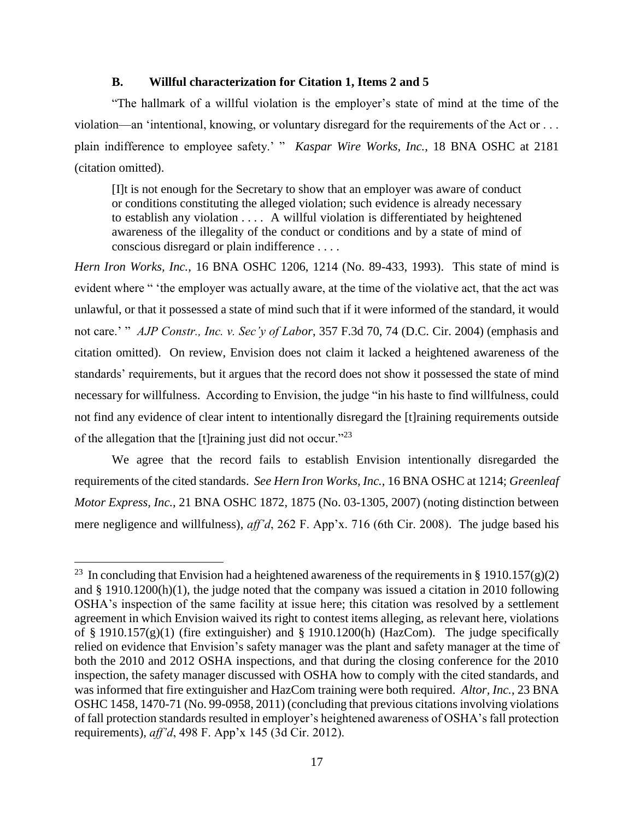## **B. Willful characterization for Citation 1, Items 2 and 5**

"The hallmark of a willful violation is the employer's state of mind at the time of the violation—an 'intentional, knowing, or voluntary disregard for the requirements of the Act or . . . plain indifference to employee safety.' " *Kaspar Wire Works, Inc.*, 18 BNA OSHC at 2181 (citation omitted).

[I]t is not enough for the Secretary to show that an employer was aware of conduct or conditions constituting the alleged violation; such evidence is already necessary to establish any violation . . . . A willful violation is differentiated by heightened awareness of the illegality of the conduct or conditions and by a state of mind of conscious disregard or plain indifference . . . .

*Hern Iron Works, Inc.*, 16 BNA OSHC 1206, 1214 (No. 89-433, 1993). This state of mind is evident where " 'the employer was actually aware, at the time of the violative act, that the act was unlawful, or that it possessed a state of mind such that if it were informed of the standard, it would not care.' " *AJP Constr., Inc. v. Sec'y of Labor*, 357 F.3d 70, 74 (D.C. Cir. 2004) (emphasis and citation omitted). On review, Envision does not claim it lacked a heightened awareness of the standards' requirements, but it argues that the record does not show it possessed the state of mind necessary for willfulness. According to Envision, the judge "in his haste to find willfulness, could not find any evidence of clear intent to intentionally disregard the [t]raining requirements outside of the allegation that the [t]raining just did not occur."<sup>23</sup>

We agree that the record fails to establish Envision intentionally disregarded the requirements of the cited standards. *See Hern Iron Works, Inc.*, 16 BNA OSHC at 1214; *Greenleaf Motor Express, Inc.*, 21 BNA OSHC 1872, 1875 (No. 03-1305, 2007) (noting distinction between mere negligence and willfulness), *aff'd*, 262 F. App'x. 716 (6th Cir. 2008). The judge based his

 $\overline{a}$ 

<sup>&</sup>lt;sup>23</sup> In concluding that Envision had a heightened awareness of the requirements in § 1910.157(g)(2) and § 1910.1200(h)(1), the judge noted that the company was issued a citation in 2010 following OSHA's inspection of the same facility at issue here; this citation was resolved by a settlement agreement in which Envision waived its right to contest items alleging, as relevant here, violations of § 1910.157(g)(1) (fire extinguisher) and § 1910.1200(h) (HazCom). The judge specifically relied on evidence that Envision's safety manager was the plant and safety manager at the time of both the 2010 and 2012 OSHA inspections, and that during the closing conference for the 2010 inspection, the safety manager discussed with OSHA how to comply with the cited standards, and was informed that fire extinguisher and HazCom training were both required. *Altor, Inc.*, 23 BNA OSHC 1458, 1470-71 (No. 99-0958, 2011) (concluding that previous citations involving violations of fall protection standards resulted in employer's heightened awareness of OSHA's fall protection requirements), *aff'd*, 498 F. App'x 145 (3d Cir. 2012).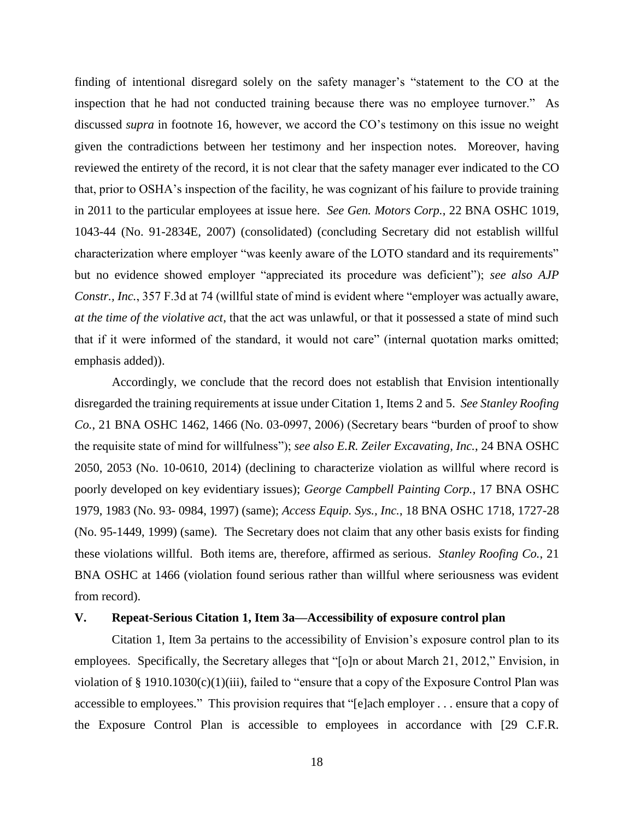finding of intentional disregard solely on the safety manager's "statement to the CO at the inspection that he had not conducted training because there was no employee turnover." As discussed *supra* in footnote 16, however, we accord the CO's testimony on this issue no weight given the contradictions between her testimony and her inspection notes. Moreover, having reviewed the entirety of the record, it is not clear that the safety manager ever indicated to the CO that, prior to OSHA's inspection of the facility, he was cognizant of his failure to provide training in 2011 to the particular employees at issue here. *See Gen. Motors Corp.*, 22 BNA OSHC 1019, 1043-44 (No. 91-2834E, 2007) (consolidated) (concluding Secretary did not establish willful characterization where employer "was keenly aware of the LOTO standard and its requirements" but no evidence showed employer "appreciated its procedure was deficient"); *see also AJP Constr., Inc.*, 357 F.3d at 74 (willful state of mind is evident where "employer was actually aware, *at the time of the violative act*, that the act was unlawful, or that it possessed a state of mind such that if it were informed of the standard, it would not care" (internal quotation marks omitted; emphasis added)).

Accordingly, we conclude that the record does not establish that Envision intentionally disregarded the training requirements at issue under Citation 1, Items 2 and 5. *See Stanley Roofing Co.*, 21 BNA OSHC 1462, 1466 (No. 03-0997, 2006) (Secretary bears "burden of proof to show the requisite state of mind for willfulness"); *see also E.R. Zeiler Excavating, Inc.*, 24 BNA OSHC 2050, 2053 (No. 10-0610, 2014) (declining to characterize violation as willful where record is poorly developed on key evidentiary issues); *George Campbell Painting Corp.*, 17 BNA OSHC 1979, 1983 (No. 93- 0984, 1997) (same); *Access Equip. Sys., Inc.*, 18 BNA OSHC 1718, 1727-28 (No. 95-1449, 1999) (same). The Secretary does not claim that any other basis exists for finding these violations willful. Both items are, therefore, affirmed as serious. *Stanley Roofing Co.*, 21 BNA OSHC at 1466 (violation found serious rather than willful where seriousness was evident from record).

### **V. Repeat-Serious Citation 1, Item 3a—Accessibility of exposure control plan**

Citation 1, Item 3a pertains to the accessibility of Envision's exposure control plan to its employees. Specifically, the Secretary alleges that "[o]n or about March 21, 2012," Envision, in violation of § 1910.1030(c)(1)(iii), failed to "ensure that a copy of the Exposure Control Plan was accessible to employees." This provision requires that "[e]ach employer . . . ensure that a copy of the Exposure Control Plan is accessible to employees in accordance with [29 C.F.R.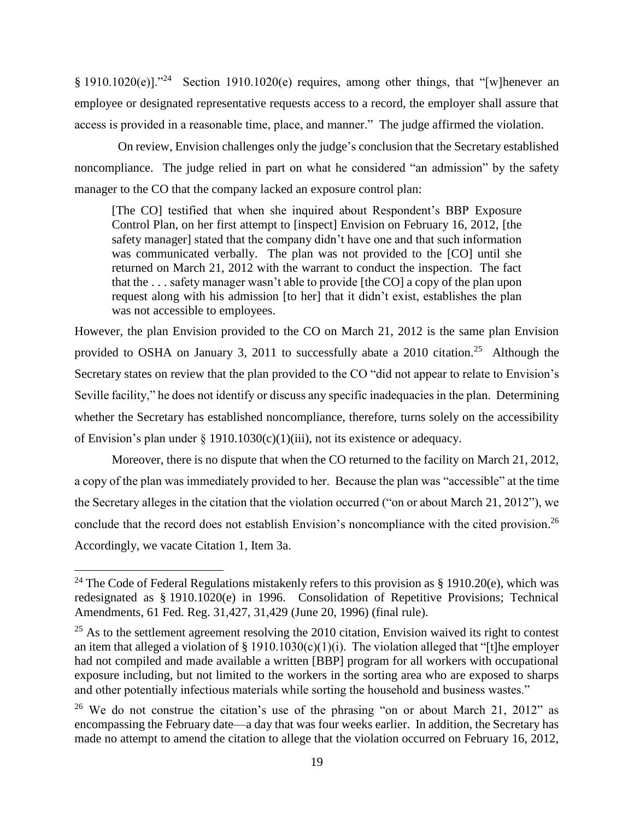§ 1910.1020(e)]."<sup>24</sup> Section 1910.1020(e) requires, among other things, that "[w]henever an employee or designated representative requests access to a record, the employer shall assure that access is provided in a reasonable time, place, and manner." The judge affirmed the violation.

 On review, Envision challenges only the judge's conclusion that the Secretary established noncompliance. The judge relied in part on what he considered "an admission" by the safety manager to the CO that the company lacked an exposure control plan:

[The CO] testified that when she inquired about Respondent's BBP Exposure Control Plan, on her first attempt to [inspect] Envision on February 16, 2012, [the safety manager] stated that the company didn't have one and that such information was communicated verbally. The plan was not provided to the [CO] until she returned on March 21, 2012 with the warrant to conduct the inspection. The fact that the . . . safety manager wasn't able to provide [the CO] a copy of the plan upon request along with his admission [to her] that it didn't exist, establishes the plan was not accessible to employees.

However, the plan Envision provided to the CO on March 21, 2012 is the same plan Envision provided to OSHA on January 3, 2011 to successfully abate a 2010 citation.<sup>25</sup> Although the Secretary states on review that the plan provided to the CO "did not appear to relate to Envision's Seville facility," he does not identify or discuss any specific inadequacies in the plan. Determining whether the Secretary has established noncompliance, therefore, turns solely on the accessibility of Envision's plan under § 1910.1030(c)(1)(iii), not its existence or adequacy.

Moreover, there is no dispute that when the CO returned to the facility on March 21, 2012, a copy of the plan was immediately provided to her. Because the plan was "accessible" at the time the Secretary alleges in the citation that the violation occurred ("on or about March 21, 2012"), we conclude that the record does not establish Envision's noncompliance with the cited provision. 26 Accordingly, we vacate Citation 1, Item 3a.

<sup>&</sup>lt;sup>24</sup> The Code of Federal Regulations mistakenly refers to this provision as  $\S$  1910.20(e), which was redesignated as § 1910.1020(e) in 1996. Consolidation of Repetitive Provisions; Technical Amendments, 61 Fed. Reg. 31,427, 31,429 (June 20, 1996) (final rule).

 $^{25}$  As to the settlement agreement resolving the 2010 citation, Envision waived its right to contest an item that alleged a violation of  $\S$  1910.1030(c)(1)(i). The violation alleged that "[t]he employer had not compiled and made available a written [BBP] program for all workers with occupational exposure including, but not limited to the workers in the sorting area who are exposed to sharps and other potentially infectious materials while sorting the household and business wastes."

<sup>&</sup>lt;sup>26</sup> We do not construe the citation's use of the phrasing "on or about March 21, 2012" as encompassing the February date—a day that was four weeks earlier. In addition, the Secretary has made no attempt to amend the citation to allege that the violation occurred on February 16, 2012,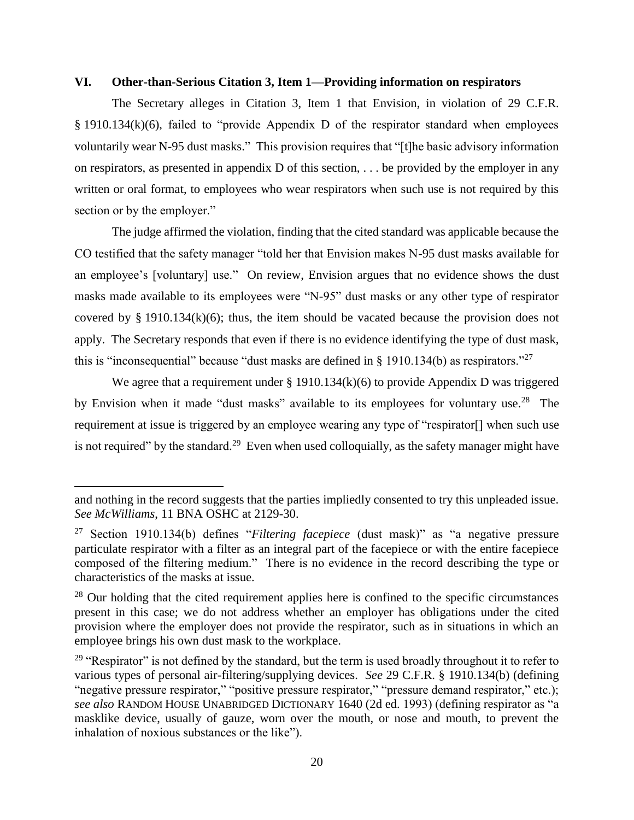## **VI. Other-than-Serious Citation 3, Item 1—Providing information on respirators**

The Secretary alleges in Citation 3, Item 1 that Envision, in violation of 29 C.F.R. § 1910.134(k)(6), failed to "provide Appendix D of the respirator standard when employees voluntarily wear N-95 dust masks." This provision requires that "[t]he basic advisory information on respirators, as presented in appendix D of this section, . . . be provided by the employer in any written or oral format, to employees who wear respirators when such use is not required by this section or by the employer."

The judge affirmed the violation, finding that the cited standard was applicable because the CO testified that the safety manager "told her that Envision makes N-95 dust masks available for an employee's [voluntary] use." On review, Envision argues that no evidence shows the dust masks made available to its employees were "N-95" dust masks or any other type of respirator covered by  $\S$  1910.134(k)(6); thus, the item should be vacated because the provision does not apply. The Secretary responds that even if there is no evidence identifying the type of dust mask, this is "inconsequential" because "dust masks are defined in  $\S$  1910.134(b) as respirators."<sup>27</sup>

We agree that a requirement under § 1910.134(k)(6) to provide Appendix D was triggered by Envision when it made "dust masks" available to its employees for voluntary use.<sup>28</sup> The requirement at issue is triggered by an employee wearing any type of "respirator[] when such use is not required" by the standard.<sup>29</sup> Even when used colloquially, as the safety manager might have

and nothing in the record suggests that the parties impliedly consented to try this unpleaded issue. *See McWilliams*, 11 BNA OSHC at 2129-30.

<sup>27</sup> Section 1910.134(b) defines "*Filtering facepiece* (dust mask)" as "a negative pressure particulate respirator with a filter as an integral part of the facepiece or with the entire facepiece composed of the filtering medium." There is no evidence in the record describing the type or characteristics of the masks at issue.

<sup>&</sup>lt;sup>28</sup> Our holding that the cited requirement applies here is confined to the specific circumstances present in this case; we do not address whether an employer has obligations under the cited provision where the employer does not provide the respirator, such as in situations in which an employee brings his own dust mask to the workplace.

<sup>&</sup>lt;sup>29</sup> "Respirator" is not defined by the standard, but the term is used broadly throughout it to refer to various types of personal air-filtering/supplying devices. *See* 29 C.F.R. § 1910.134(b) (defining "negative pressure respirator," "positive pressure respirator," "pressure demand respirator," etc.); *see also* RANDOM HOUSE UNABRIDGED DICTIONARY 1640 (2d ed. 1993) (defining respirator as "a masklike device, usually of gauze, worn over the mouth, or nose and mouth, to prevent the inhalation of noxious substances or the like").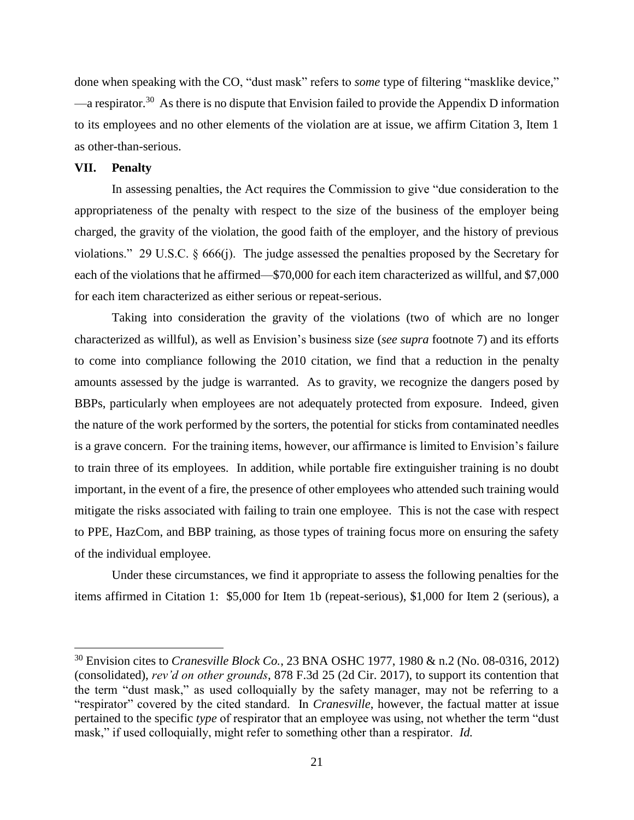done when speaking with the CO, "dust mask" refers to *some* type of filtering "masklike device,"  $\sim$  a respirator.<sup>30</sup> As there is no dispute that Envision failed to provide the Appendix D information to its employees and no other elements of the violation are at issue, we affirm Citation 3, Item 1 as other-than-serious.

## **VII. Penalty**

 $\overline{\phantom{a}}$ 

In assessing penalties, the Act requires the Commission to give "due consideration to the appropriateness of the penalty with respect to the size of the business of the employer being charged, the gravity of the violation, the good faith of the employer, and the history of previous violations." 29 U.S.C. § 666(j). The judge assessed the penalties proposed by the Secretary for each of the violations that he affirmed—\$70,000 for each item characterized as willful, and \$7,000 for each item characterized as either serious or repeat-serious.

Taking into consideration the gravity of the violations (two of which are no longer characterized as willful), as well as Envision's business size (*see supra* footnote 7) and its efforts to come into compliance following the 2010 citation, we find that a reduction in the penalty amounts assessed by the judge is warranted. As to gravity, we recognize the dangers posed by BBPs, particularly when employees are not adequately protected from exposure. Indeed, given the nature of the work performed by the sorters, the potential for sticks from contaminated needles is a grave concern. For the training items, however, our affirmance is limited to Envision's failure to train three of its employees. In addition, while portable fire extinguisher training is no doubt important, in the event of a fire, the presence of other employees who attended such training would mitigate the risks associated with failing to train one employee. This is not the case with respect to PPE, HazCom, and BBP training, as those types of training focus more on ensuring the safety of the individual employee.

Under these circumstances, we find it appropriate to assess the following penalties for the items affirmed in Citation 1: \$5,000 for Item 1b (repeat-serious), \$1,000 for Item 2 (serious), a

<sup>30</sup> Envision cites to *Cranesville Block Co.*, 23 BNA OSHC 1977, 1980 & n.2 (No. 08-0316, 2012) (consolidated), *rev'd on other grounds*, 878 F.3d 25 (2d Cir. 2017), to support its contention that the term "dust mask," as used colloquially by the safety manager, may not be referring to a "respirator" covered by the cited standard. In *Cranesville*, however, the factual matter at issue pertained to the specific *type* of respirator that an employee was using, not whether the term "dust mask," if used colloquially, might refer to something other than a respirator. *Id.*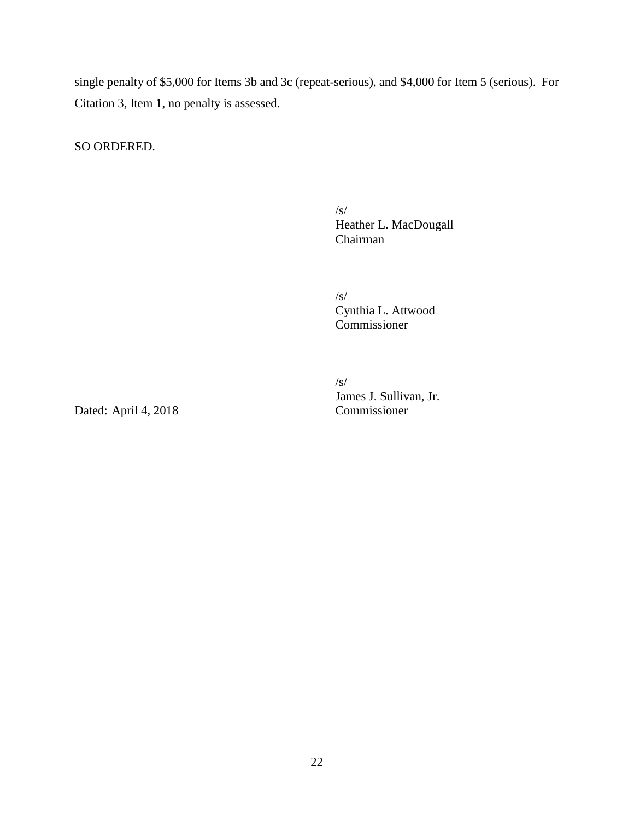single penalty of \$5,000 for Items 3b and 3c (repeat-serious), and \$4,000 for Item 5 (serious). For Citation 3, Item 1, no penalty is assessed.

SO ORDERED.

 $\sqrt{s/}$ 

Heather L. MacDougall Chairman

 $\sqrt{s/}$ 

Cynthia L. Attwood Commissioner

 $\sqrt{s/}$ 

Dated: April 4, 2018 Commissioner

James J. Sullivan, Jr.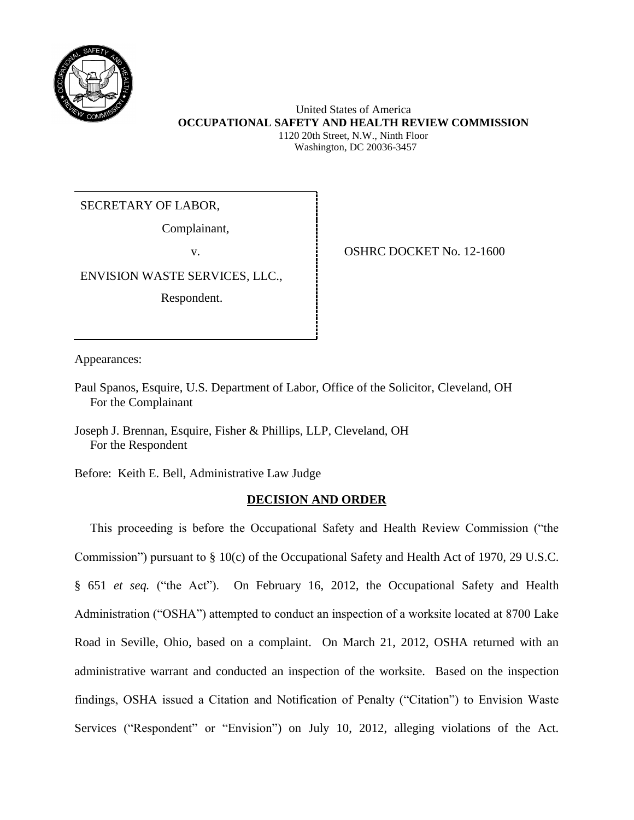

# United States of America **OCCUPATIONAL SAFETY AND HEALTH REVIEW COMMISSION** 1120 20th Street, N.W., Ninth Floor

Washington, DC 20036-3457

SECRETARY OF LABOR,

Complainant,

ENVISION WASTE SERVICES, LLC.,

Respondent.

v. **1999 | COSHRC DOCKET No. 12-1600** 

Appearances:

Paul Spanos, Esquire, U.S. Department of Labor, Office of the Solicitor, Cleveland, OH For the Complainant

Joseph J. Brennan, Esquire, Fisher & Phillips, LLP, Cleveland, OH For the Respondent

Before: Keith E. Bell, Administrative Law Judge

# **DECISION AND ORDER**

 This proceeding is before the Occupational Safety and Health Review Commission ("the Commission") pursuant to § 10(c) of the Occupational Safety and Health Act of 1970, 29 U.S.C. § 651 *et seq.* ("the Act"). On February 16, 2012, the Occupational Safety and Health Administration ("OSHA") attempted to conduct an inspection of a worksite located at 8700 Lake Road in Seville, Ohio, based on a complaint. On March 21, 2012, OSHA returned with an administrative warrant and conducted an inspection of the worksite. Based on the inspection findings, OSHA issued a Citation and Notification of Penalty ("Citation") to Envision Waste Services ("Respondent" or "Envision") on July 10, 2012, alleging violations of the Act.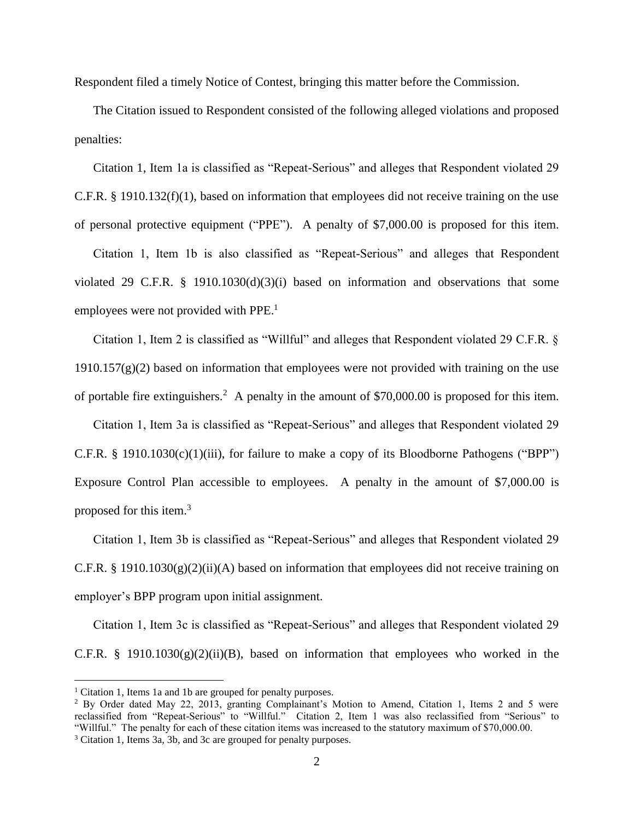Respondent filed a timely Notice of Contest, bringing this matter before the Commission.

The Citation issued to Respondent consisted of the following alleged violations and proposed penalties:

Citation 1, Item 1a is classified as "Repeat-Serious" and alleges that Respondent violated 29 C.F.R. § 1910.132(f)(1), based on information that employees did not receive training on the use of personal protective equipment ("PPE"). A penalty of \$7,000.00 is proposed for this item.

Citation 1, Item 1b is also classified as "Repeat-Serious" and alleges that Respondent violated 29 C.F.R. § 1910.1030(d)(3)(i) based on information and observations that some employees were not provided with PPE.<sup>1</sup>

Citation 1, Item 2 is classified as "Willful" and alleges that Respondent violated 29 C.F.R. §  $1910.157(g)(2)$  based on information that employees were not provided with training on the use of portable fire extinguishers.<sup>2</sup> A penalty in the amount of \$70,000.00 is proposed for this item.

Citation 1, Item 3a is classified as "Repeat-Serious" and alleges that Respondent violated 29 C.F.R. § 1910.1030(c)(1)(iii), for failure to make a copy of its Bloodborne Pathogens ("BPP") Exposure Control Plan accessible to employees. A penalty in the amount of \$7,000.00 is proposed for this item.<sup>3</sup>

Citation 1, Item 3b is classified as "Repeat-Serious" and alleges that Respondent violated 29 C.F.R. § 1910.1030(g)(2)(ii)(A) based on information that employees did not receive training on employer's BPP program upon initial assignment.

Citation 1, Item 3c is classified as "Repeat-Serious" and alleges that Respondent violated 29 C.F.R. § 1910.1030 $(g)(2)(ii)(B)$ , based on information that employees who worked in the

 $\overline{a}$ 

<sup>&</sup>lt;sup>1</sup> Citation 1, Items 1a and 1b are grouped for penalty purposes.

<sup>2</sup> By Order dated May 22, 2013, granting Complainant's Motion to Amend, Citation 1, Items 2 and 5 were reclassified from "Repeat-Serious" to "Willful." Citation 2, Item 1 was also reclassified from "Serious" to "Willful." The penalty for each of these citation items was increased to the statutory maximum of \$70,000.00.

<sup>3</sup> Citation 1, Items 3a, 3b, and 3c are grouped for penalty purposes.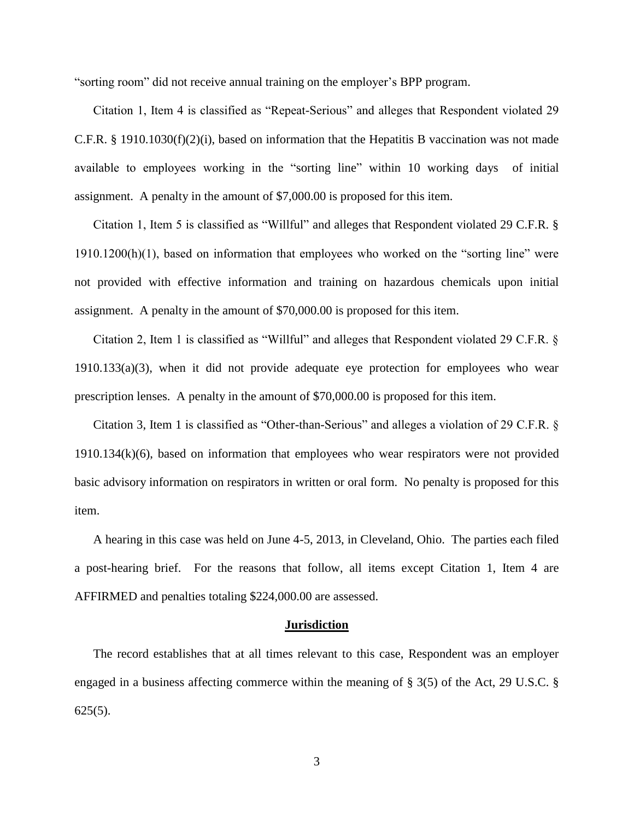"sorting room" did not receive annual training on the employer's BPP program.

Citation 1, Item 4 is classified as "Repeat-Serious" and alleges that Respondent violated 29 C.F.R. § 1910.1030(f)(2)(i), based on information that the Hepatitis B vaccination was not made available to employees working in the "sorting line" within 10 working days of initial assignment. A penalty in the amount of \$7,000.00 is proposed for this item.

Citation 1, Item 5 is classified as "Willful" and alleges that Respondent violated 29 C.F.R. § 1910.1200(h)(1), based on information that employees who worked on the "sorting line" were not provided with effective information and training on hazardous chemicals upon initial assignment. A penalty in the amount of \$70,000.00 is proposed for this item.

Citation 2, Item 1 is classified as "Willful" and alleges that Respondent violated 29 C.F.R. § 1910.133(a)(3), when it did not provide adequate eye protection for employees who wear prescription lenses. A penalty in the amount of \$70,000.00 is proposed for this item.

Citation 3, Item 1 is classified as "Other-than-Serious" and alleges a violation of 29 C.F.R. § 1910.134(k)(6), based on information that employees who wear respirators were not provided basic advisory information on respirators in written or oral form. No penalty is proposed for this item.

A hearing in this case was held on June 4-5, 2013, in Cleveland, Ohio. The parties each filed a post-hearing brief. For the reasons that follow, all items except Citation 1, Item 4 are AFFIRMED and penalties totaling \$224,000.00 are assessed.

#### **Jurisdiction**

The record establishes that at all times relevant to this case, Respondent was an employer engaged in a business affecting commerce within the meaning of § 3(5) of the Act, 29 U.S.C. § 625(5).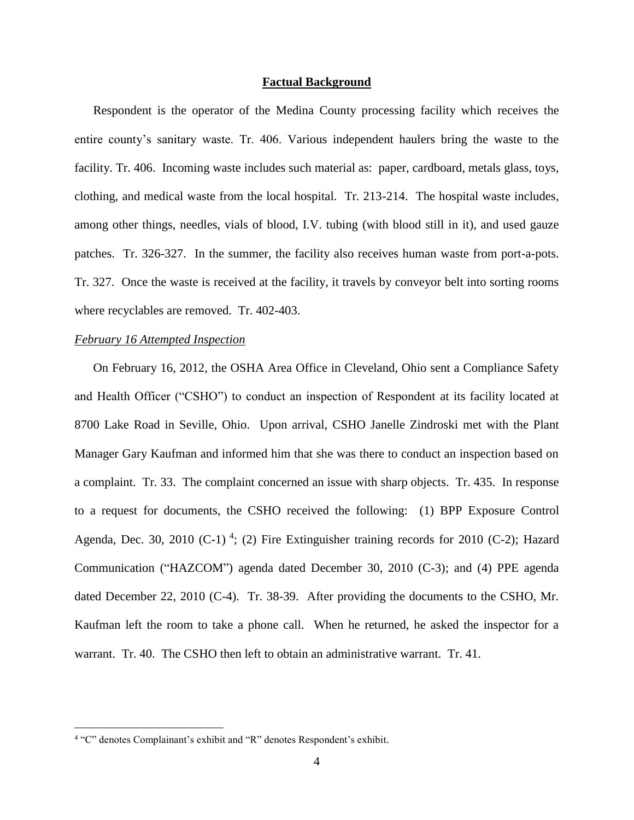#### **Factual Background**

Respondent is the operator of the Medina County processing facility which receives the entire county's sanitary waste. Tr. 406. Various independent haulers bring the waste to the facility. Tr. 406. Incoming waste includes such material as: paper, cardboard, metals glass, toys, clothing, and medical waste from the local hospital. Tr. 213-214. The hospital waste includes, among other things, needles, vials of blood, I.V. tubing (with blood still in it), and used gauze patches. Tr. 326-327. In the summer, the facility also receives human waste from port-a-pots. Tr. 327. Once the waste is received at the facility, it travels by conveyor belt into sorting rooms where recyclables are removed. Tr. 402-403.

## *February 16 Attempted Inspection*

On February 16, 2012, the OSHA Area Office in Cleveland, Ohio sent a Compliance Safety and Health Officer ("CSHO") to conduct an inspection of Respondent at its facility located at 8700 Lake Road in Seville, Ohio. Upon arrival, CSHO Janelle Zindroski met with the Plant Manager Gary Kaufman and informed him that she was there to conduct an inspection based on a complaint. Tr. 33. The complaint concerned an issue with sharp objects. Tr. 435. In response to a request for documents, the CSHO received the following: (1) BPP Exposure Control Agenda, Dec. 30, 2010 (C-1)<sup>4</sup>; (2) Fire Extinguisher training records for 2010 (C-2); Hazard Communication ("HAZCOM") agenda dated December 30, 2010 (C-3); and (4) PPE agenda dated December 22, 2010 (C-4). Tr. 38-39. After providing the documents to the CSHO, Mr. Kaufman left the room to take a phone call. When he returned, he asked the inspector for a warrant. Tr. 40. The CSHO then left to obtain an administrative warrant. Tr. 41.

 $\overline{a}$ 

<sup>&</sup>lt;sup>4</sup> "C" denotes Complainant's exhibit and "R" denotes Respondent's exhibit.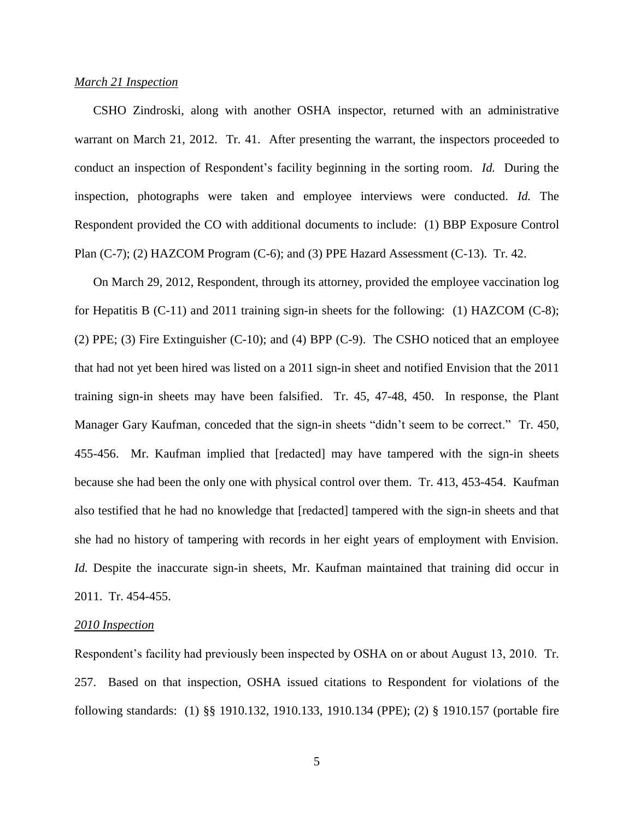### *March 21 Inspection*

CSHO Zindroski, along with another OSHA inspector, returned with an administrative warrant on March 21, 2012. Tr. 41. After presenting the warrant, the inspectors proceeded to conduct an inspection of Respondent's facility beginning in the sorting room. *Id.* During the inspection, photographs were taken and employee interviews were conducted. *Id.* The Respondent provided the CO with additional documents to include: (1) BBP Exposure Control Plan (C-7); (2) HAZCOM Program (C-6); and (3) PPE Hazard Assessment (C-13). Tr. 42.

On March 29, 2012, Respondent, through its attorney, provided the employee vaccination log for Hepatitis B (C-11) and 2011 training sign-in sheets for the following: (1) HAZCOM (C-8); (2) PPE; (3) Fire Extinguisher (C-10); and (4) BPP (C-9). The CSHO noticed that an employee that had not yet been hired was listed on a 2011 sign-in sheet and notified Envision that the 2011 training sign-in sheets may have been falsified. Tr. 45, 47-48, 450. In response, the Plant Manager Gary Kaufman, conceded that the sign-in sheets "didn't seem to be correct." Tr. 450, 455-456. Mr. Kaufman implied that [redacted] may have tampered with the sign-in sheets because she had been the only one with physical control over them. Tr. 413, 453-454. Kaufman also testified that he had no knowledge that [redacted] tampered with the sign-in sheets and that she had no history of tampering with records in her eight years of employment with Envision. *Id.* Despite the inaccurate sign-in sheets, Mr. Kaufman maintained that training did occur in 2011. Tr. 454-455.

### *2010 Inspection*

Respondent's facility had previously been inspected by OSHA on or about August 13, 2010. Tr. 257. Based on that inspection, OSHA issued citations to Respondent for violations of the following standards: (1) §§ 1910.132, 1910.133, 1910.134 (PPE); (2) § 1910.157 (portable fire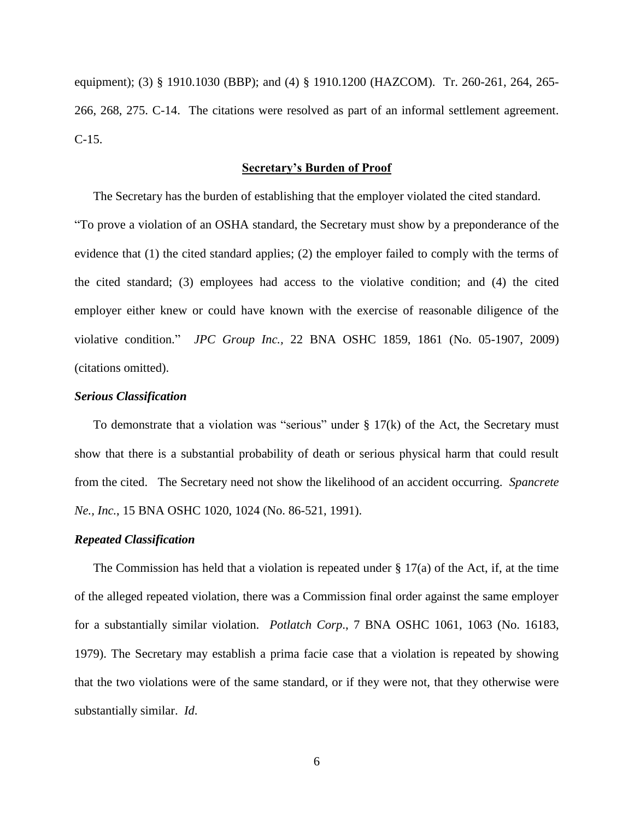equipment); (3) § 1910.1030 (BBP); and (4) § 1910.1200 (HAZCOM). Tr. 260-261, 264, 265- 266, 268, 275. C-14. The citations were resolved as part of an informal settlement agreement. C-15.

#### **Secretary's Burden of Proof**

The Secretary has the burden of establishing that the employer violated the cited standard. "To prove a violation of an OSHA standard, the Secretary must show by a preponderance of the evidence that (1) the cited standard applies; (2) the employer failed to comply with the terms of the cited standard; (3) employees had access to the violative condition; and (4) the cited employer either knew or could have known with the exercise of reasonable diligence of the violative condition." *JPC Group Inc.,* 22 BNA OSHC 1859, 1861 (No. 05-1907, 2009) (citations omitted).

## *Serious Classification*

To demonstrate that a violation was "serious" under  $\S 17(k)$  of the Act, the Secretary must show that there is a substantial probability of death or serious physical harm that could result from the cited. The Secretary need not show the likelihood of an accident occurring. *[Spancrete](http://web2.westlaw.com/find/default.wl?mt=Westlaw&db=0003227&tc=-1&rp=%2ffind%2fdefault.wl&findtype=Y&ordoc=2026579713&serialnum=1991434457&vr=2.0&fn=_top&sv=Split&tf=-1&referencepositiontype=S&pbc=99658F2F&referenceposition=1024&rs=WLW12.04)  Ne., Inc.*[, 15 BNA OSHC 1020, 1024 \(No. 86-521, 1991\).](http://web2.westlaw.com/find/default.wl?mt=Westlaw&db=0003227&tc=-1&rp=%2ffind%2fdefault.wl&findtype=Y&ordoc=2026579713&serialnum=1991434457&vr=2.0&fn=_top&sv=Split&tf=-1&referencepositiontype=S&pbc=99658F2F&referenceposition=1024&rs=WLW12.04)

#### *Repeated Classification*

The Commission has held that a violation is repeated under  $\S 17(a)$  of the Act, if, at the time of the alleged repeated violation, there was a Commission final order against the same employer for a substantially similar violation. *Potlatch Corp*., 7 BNA OSHC 1061, 1063 (No. 16183, 1979). The Secretary may establish a prima facie case that a violation is repeated by showing that the two violations were of the same standard, or if they were not, that they otherwise were substantially similar. *Id*.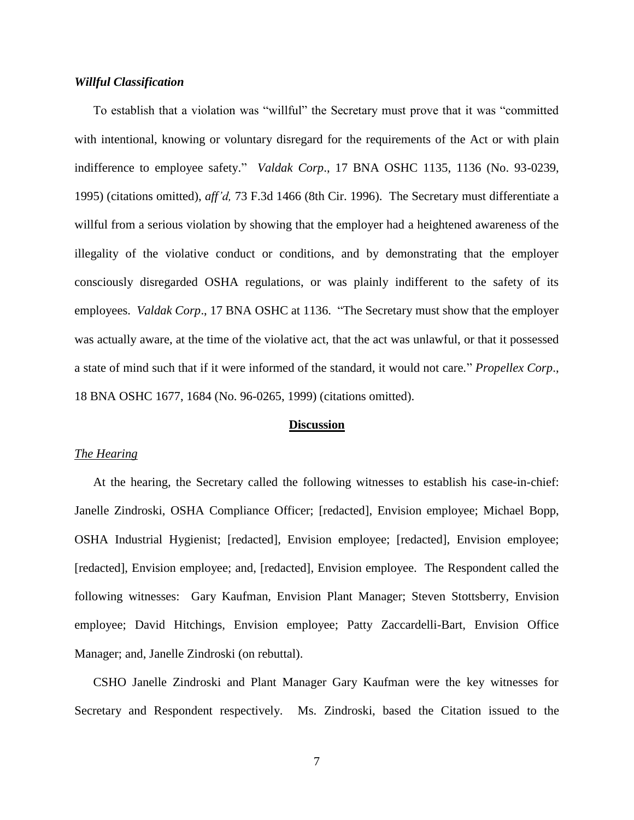## *Willful Classification*

To establish that a violation was "willful" the Secretary must prove that it was "committed with intentional, knowing or voluntary disregard for the requirements of the Act or with plain indifference to employee safety." *Valdak Corp*., 17 BNA OSHC 1135, 1136 (No. 93-0239, 1995) (citations omitted), *aff'd,* 73 F.3d 1466 (8th Cir. 1996). The Secretary must differentiate a willful from a serious violation by showing that the employer had a heightened awareness of the illegality of the violative conduct or conditions, and by demonstrating that the employer consciously disregarded OSHA regulations, or was plainly indifferent to the safety of its employees. *Valdak Corp*., 17 BNA OSHC at 1136. "The Secretary must show that the employer was actually aware, at the time of the violative act, that the act was unlawful, or that it possessed a state of mind such that if it were informed of the standard, it would not care." *Propellex Corp*., 18 BNA OSHC 1677, 1684 (No. 96-0265, 1999) (citations omitted).

#### **Discussion**

## *The Hearing*

At the hearing, the Secretary called the following witnesses to establish his case-in-chief: Janelle Zindroski, OSHA Compliance Officer; [redacted], Envision employee; Michael Bopp, OSHA Industrial Hygienist; [redacted], Envision employee; [redacted], Envision employee; [redacted], Envision employee; and, [redacted], Envision employee. The Respondent called the following witnesses: Gary Kaufman, Envision Plant Manager; Steven Stottsberry, Envision employee; David Hitchings, Envision employee; Patty Zaccardelli-Bart, Envision Office Manager; and, Janelle Zindroski (on rebuttal).

CSHO Janelle Zindroski and Plant Manager Gary Kaufman were the key witnesses for Secretary and Respondent respectively. Ms. Zindroski, based the Citation issued to the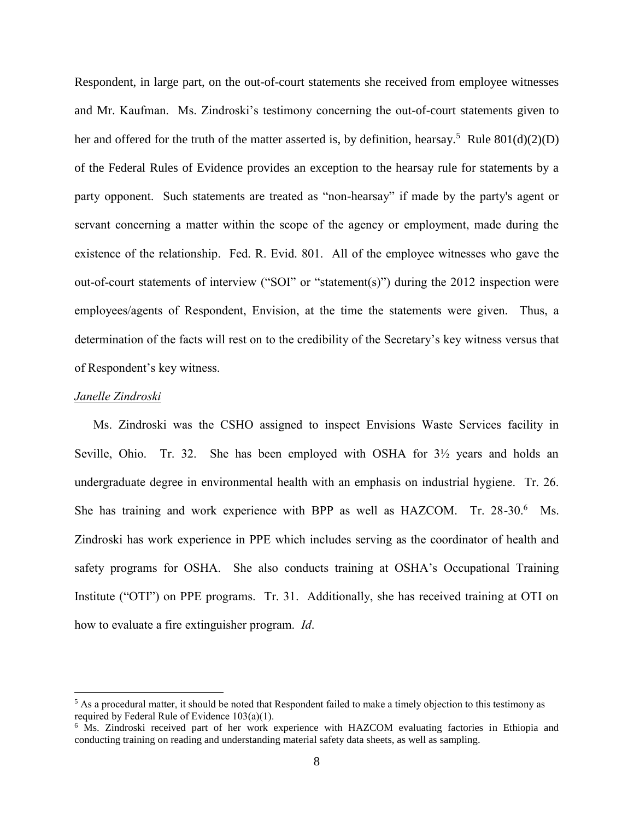Respondent, in large part, on the out-of-court statements she received from employee witnesses and Mr. Kaufman. Ms. Zindroski's testimony concerning the out-of-court statements given to her and offered for the truth of the matter asserted is, by definition, hearsay.<sup>5</sup> Rule  $801(d)(2)(D)$ of the Federal Rules of Evidence provides an exception to the hearsay rule for statements by a party opponent. Such statements are treated as "non-hearsay" if made by the party's agent or servant concerning a matter within the scope of the agency or employment, made during the existence of the relationship. Fed. R. Evid. 801. All of the employee witnesses who gave the out-of-court statements of interview ("SOI" or "statement(s)") during the 2012 inspection were employees/agents of Respondent, Envision, at the time the statements were given. Thus, a determination of the facts will rest on to the credibility of the Secretary's key witness versus that of Respondent's key witness.

#### *Janelle Zindroski*

 $\overline{a}$ 

Ms. Zindroski was the CSHO assigned to inspect Envisions Waste Services facility in Seville, Ohio. Tr. 32. She has been employed with OSHA for 3½ years and holds an undergraduate degree in environmental health with an emphasis on industrial hygiene. Tr. 26. She has training and work experience with BPP as well as HAZCOM. Tr. 28-30.<sup>6</sup> Ms. Zindroski has work experience in PPE which includes serving as the coordinator of health and safety programs for OSHA. She also conducts training at OSHA's Occupational Training Institute ("OTI") on PPE programs. Tr. 31. Additionally, she has received training at OTI on how to evaluate a fire extinguisher program. *Id*.

 $<sup>5</sup>$  As a procedural matter, it should be noted that Respondent failed to make a timely objection to this testimony as</sup> required by Federal Rule of Evidence 103(a)(1).

<sup>&</sup>lt;sup>6</sup> Ms. Zindroski received part of her work experience with HAZCOM evaluating factories in Ethiopia and conducting training on reading and understanding material safety data sheets, as well as sampling.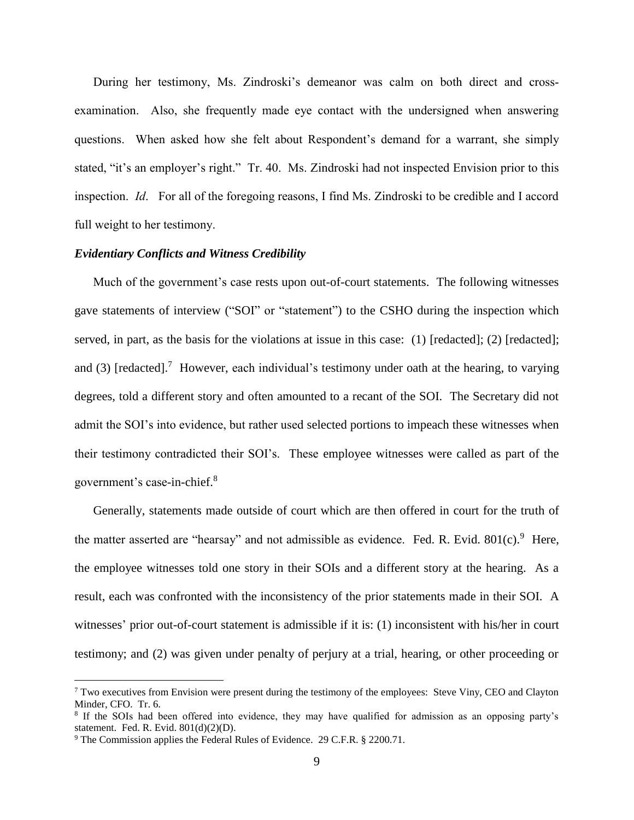During her testimony, Ms. Zindroski's demeanor was calm on both direct and crossexamination. Also, she frequently made eye contact with the undersigned when answering questions. When asked how she felt about Respondent's demand for a warrant, she simply stated, "it's an employer's right." Tr. 40. Ms. Zindroski had not inspected Envision prior to this inspection. *Id*. For all of the foregoing reasons, I find Ms. Zindroski to be credible and I accord full weight to her testimony.

## *Evidentiary Conflicts and Witness Credibility*

Much of the government's case rests upon out-of-court statements. The following witnesses gave statements of interview ("SOI" or "statement") to the CSHO during the inspection which served, in part, as the basis for the violations at issue in this case: (1) [redacted]; (2) [redacted]; and (3) [redacted].<sup>7</sup> However, each individual's testimony under oath at the hearing, to varying degrees, told a different story and often amounted to a recant of the SOI. The Secretary did not admit the SOI's into evidence, but rather used selected portions to impeach these witnesses when their testimony contradicted their SOI's. These employee witnesses were called as part of the government's case-in-chief.<sup>8</sup>

Generally, statements made outside of court which are then offered in court for the truth of the matter asserted are "hearsay" and not admissible as evidence. Fed. R. Evid.  $801(c)$ . Here, the employee witnesses told one story in their SOIs and a different story at the hearing. As a result, each was confronted with the inconsistency of the prior statements made in their SOI. A witnesses' prior out-of-court statement is admissible if it is: (1) inconsistent with his/her in court testimony; and (2) was given under penalty of perjury at a trial, hearing, or other proceeding or

 $\overline{a}$ 

<sup>7</sup> Two executives from Envision were present during the testimony of the employees: Steve Viny, CEO and Clayton Minder, CFO. Tr. 6.

<sup>&</sup>lt;sup>8</sup> If the SOIs had been offered into evidence, they may have qualified for admission as an opposing party's statement. Fed. R. Evid. 801(d)(2)(D).

<sup>&</sup>lt;sup>9</sup> The Commission applies the Federal Rules of Evidence. 29 C.F.R. § 2200.71.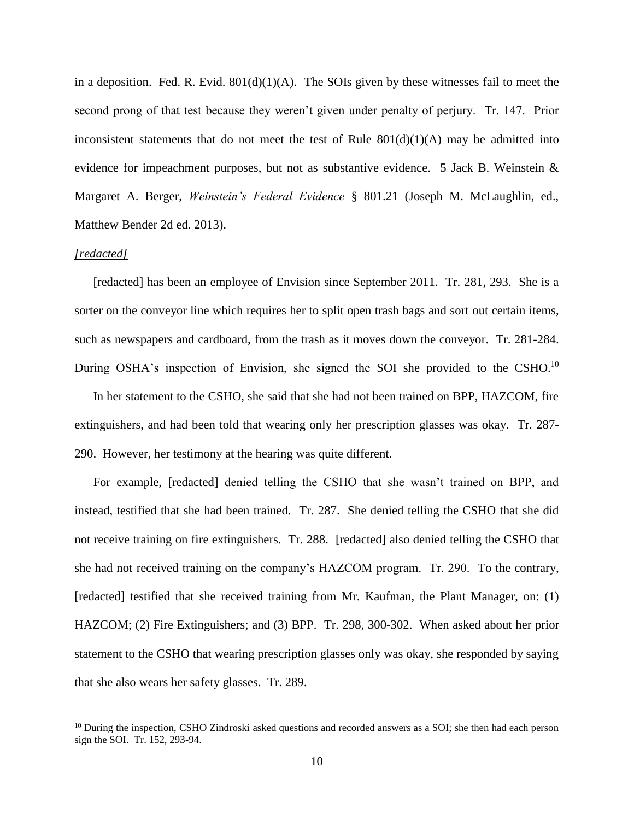in a deposition. Fed. R. Evid.  $801(d)(1)(A)$ . The SOIs given by these witnesses fail to meet the second prong of that test because they weren't given under penalty of perjury. Tr. 147. Prior inconsistent statements that do not meet the test of Rule  $801(d)(1)(A)$  may be admitted into evidence for impeachment purposes, but not as substantive evidence. 5 Jack B. Weinstein & Margaret A. Berger, *Weinstein's Federal Evidence* § 801.21 (Joseph M. McLaughlin, ed., Matthew Bender 2d ed. 2013).

#### *[redacted]*

 $\overline{a}$ 

[redacted] has been an employee of Envision since September 2011. Tr. 281, 293. She is a sorter on the conveyor line which requires her to split open trash bags and sort out certain items, such as newspapers and cardboard, from the trash as it moves down the conveyor. Tr. 281-284. During OSHA's inspection of Envision, she signed the SOI she provided to the CSHO.<sup>10</sup>

In her statement to the CSHO, she said that she had not been trained on BPP, HAZCOM, fire extinguishers, and had been told that wearing only her prescription glasses was okay. Tr. 287- 290. However, her testimony at the hearing was quite different.

For example, [redacted] denied telling the CSHO that she wasn't trained on BPP, and instead, testified that she had been trained. Tr. 287. She denied telling the CSHO that she did not receive training on fire extinguishers. Tr. 288. [redacted] also denied telling the CSHO that she had not received training on the company's HAZCOM program. Tr. 290. To the contrary, [redacted] testified that she received training from Mr. Kaufman, the Plant Manager, on: (1) HAZCOM; (2) Fire Extinguishers; and (3) BPP. Tr. 298, 300-302. When asked about her prior statement to the CSHO that wearing prescription glasses only was okay, she responded by saying that she also wears her safety glasses. Tr. 289.

<sup>&</sup>lt;sup>10</sup> During the inspection, CSHO Zindroski asked questions and recorded answers as a SOI; she then had each person sign the SOI. Tr. 152, 293-94.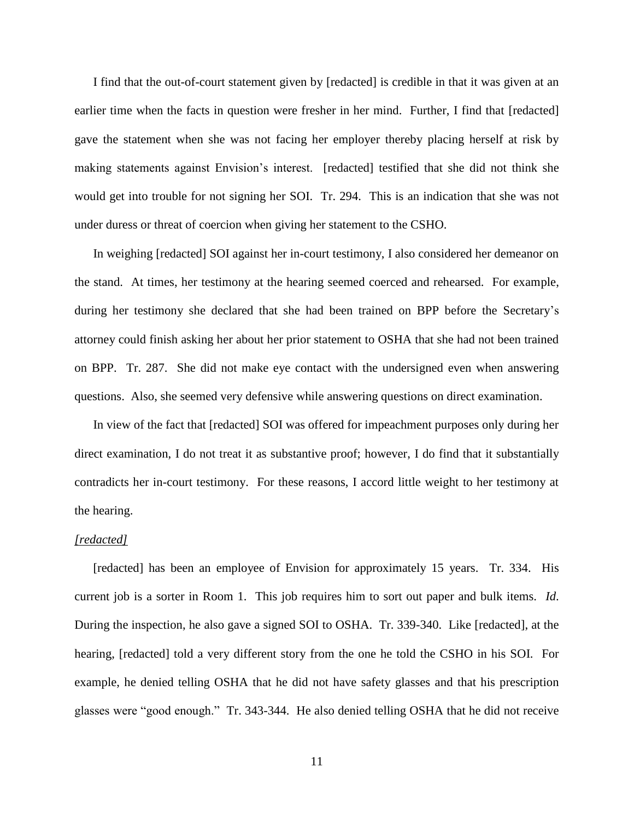I find that the out-of-court statement given by [redacted] is credible in that it was given at an earlier time when the facts in question were fresher in her mind. Further, I find that [redacted] gave the statement when she was not facing her employer thereby placing herself at risk by making statements against Envision's interest. [redacted] testified that she did not think she would get into trouble for not signing her SOI. Tr. 294. This is an indication that she was not under duress or threat of coercion when giving her statement to the CSHO.

In weighing [redacted] SOI against her in-court testimony, I also considered her demeanor on the stand. At times, her testimony at the hearing seemed coerced and rehearsed. For example, during her testimony she declared that she had been trained on BPP before the Secretary's attorney could finish asking her about her prior statement to OSHA that she had not been trained on BPP. Tr. 287. She did not make eye contact with the undersigned even when answering questions. Also, she seemed very defensive while answering questions on direct examination.

In view of the fact that [redacted] SOI was offered for impeachment purposes only during her direct examination, I do not treat it as substantive proof; however, I do find that it substantially contradicts her in-court testimony. For these reasons, I accord little weight to her testimony at the hearing.

#### *[redacted]*

[redacted] has been an employee of Envision for approximately 15 years. Tr. 334. His current job is a sorter in Room 1. This job requires him to sort out paper and bulk items. *Id*. During the inspection, he also gave a signed SOI to OSHA. Tr. 339-340. Like [redacted], at the hearing, [redacted] told a very different story from the one he told the CSHO in his SOI. For example, he denied telling OSHA that he did not have safety glasses and that his prescription glasses were "good enough." Tr. 343-344. He also denied telling OSHA that he did not receive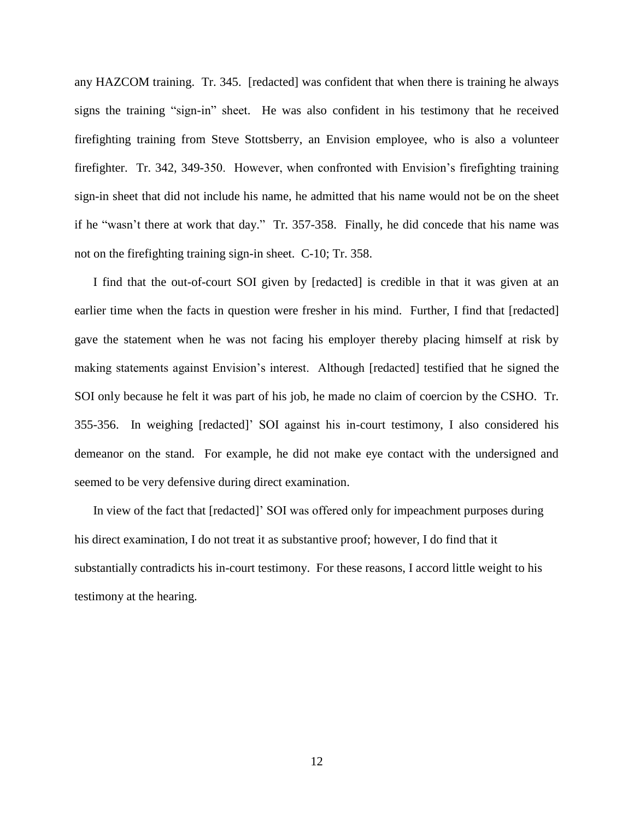any HAZCOM training. Tr. 345. [redacted] was confident that when there is training he always signs the training "sign-in" sheet. He was also confident in his testimony that he received firefighting training from Steve Stottsberry, an Envision employee, who is also a volunteer firefighter. Tr. 342, 349-350. However, when confronted with Envision's firefighting training sign-in sheet that did not include his name, he admitted that his name would not be on the sheet if he "wasn't there at work that day." Tr. 357-358. Finally, he did concede that his name was not on the firefighting training sign-in sheet. C-10; Tr. 358.

I find that the out-of-court SOI given by [redacted] is credible in that it was given at an earlier time when the facts in question were fresher in his mind. Further, I find that [redacted] gave the statement when he was not facing his employer thereby placing himself at risk by making statements against Envision's interest. Although [redacted] testified that he signed the SOI only because he felt it was part of his job, he made no claim of coercion by the CSHO. Tr. 355-356. In weighing [redacted]' SOI against his in-court testimony, I also considered his demeanor on the stand. For example, he did not make eye contact with the undersigned and seemed to be very defensive during direct examination.

In view of the fact that [redacted]' SOI was offered only for impeachment purposes during his direct examination, I do not treat it as substantive proof; however, I do find that it substantially contradicts his in-court testimony. For these reasons, I accord little weight to his testimony at the hearing.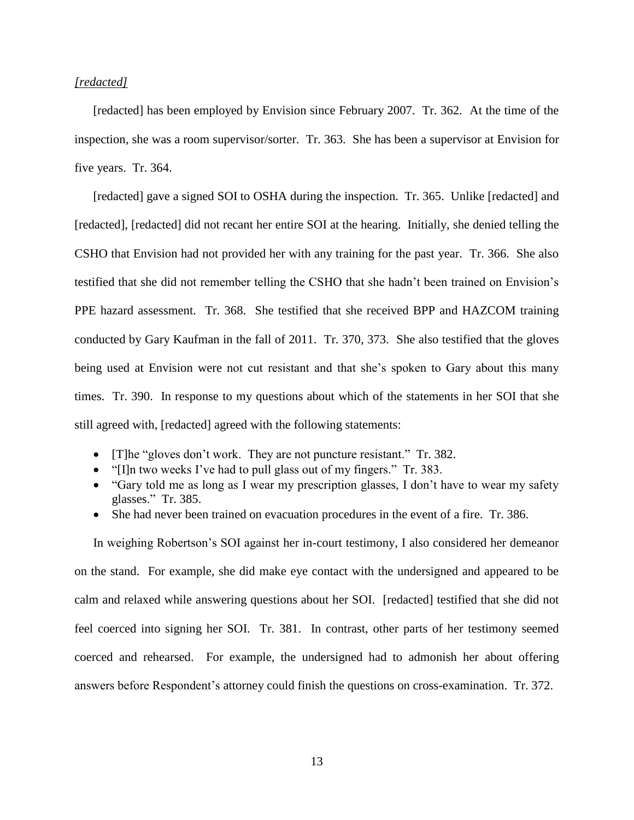## *[redacted]*

[redacted] has been employed by Envision since February 2007. Tr. 362. At the time of the inspection, she was a room supervisor/sorter. Tr. 363. She has been a supervisor at Envision for five years. Tr. 364.

[redacted] gave a signed SOI to OSHA during the inspection. Tr. 365. Unlike [redacted] and [redacted], [redacted] did not recant her entire SOI at the hearing. Initially, she denied telling the CSHO that Envision had not provided her with any training for the past year. Tr. 366. She also testified that she did not remember telling the CSHO that she hadn't been trained on Envision's PPE hazard assessment. Tr. 368. She testified that she received BPP and HAZCOM training conducted by Gary Kaufman in the fall of 2011. Tr. 370, 373. She also testified that the gloves being used at Envision were not cut resistant and that she's spoken to Gary about this many times. Tr. 390. In response to my questions about which of the statements in her SOI that she still agreed with, [redacted] agreed with the following statements:

- [T]he "gloves don't work. They are not puncture resistant." Tr. 382.
- "[I]n two weeks I've had to pull glass out of my fingers." Tr. 383.
- "Gary told me as long as I wear my prescription glasses, I don't have to wear my safety glasses." Tr. 385.
- She had never been trained on evacuation procedures in the event of a fire. Tr. 386.

In weighing Robertson's SOI against her in-court testimony, I also considered her demeanor on the stand. For example, she did make eye contact with the undersigned and appeared to be calm and relaxed while answering questions about her SOI. [redacted] testified that she did not feel coerced into signing her SOI. Tr. 381. In contrast, other parts of her testimony seemed coerced and rehearsed. For example, the undersigned had to admonish her about offering answers before Respondent's attorney could finish the questions on cross-examination. Tr. 372.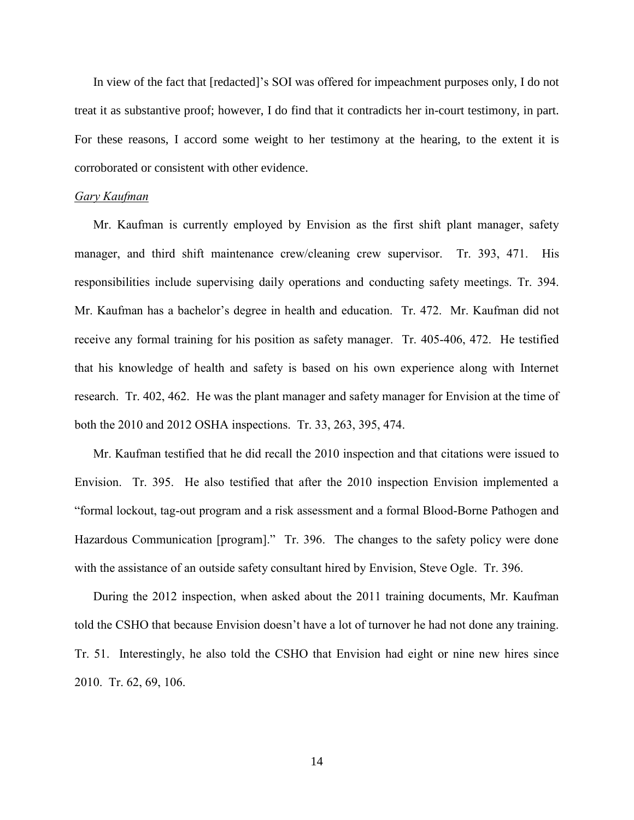In view of the fact that [redacted]'s SOI was offered for impeachment purposes only, I do not treat it as substantive proof; however, I do find that it contradicts her in-court testimony, in part. For these reasons, I accord some weight to her testimony at the hearing, to the extent it is corroborated or consistent with other evidence.

### *Gary Kaufman*

Mr. Kaufman is currently employed by Envision as the first shift plant manager, safety manager, and third shift maintenance crew/cleaning crew supervisor. Tr. 393, 471. His responsibilities include supervising daily operations and conducting safety meetings. Tr. 394. Mr. Kaufman has a bachelor's degree in health and education. Tr. 472. Mr. Kaufman did not receive any formal training for his position as safety manager. Tr. 405-406, 472. He testified that his knowledge of health and safety is based on his own experience along with Internet research. Tr. 402, 462. He was the plant manager and safety manager for Envision at the time of both the 2010 and 2012 OSHA inspections. Tr. 33, 263, 395, 474.

Mr. Kaufman testified that he did recall the 2010 inspection and that citations were issued to Envision. Tr. 395. He also testified that after the 2010 inspection Envision implemented a "formal lockout, tag-out program and a risk assessment and a formal Blood-Borne Pathogen and Hazardous Communication [program]." Tr. 396. The changes to the safety policy were done with the assistance of an outside safety consultant hired by Envision, Steve Ogle. Tr. 396.

During the 2012 inspection, when asked about the 2011 training documents, Mr. Kaufman told the CSHO that because Envision doesn't have a lot of turnover he had not done any training. Tr. 51. Interestingly, he also told the CSHO that Envision had eight or nine new hires since 2010. Tr. 62, 69, 106.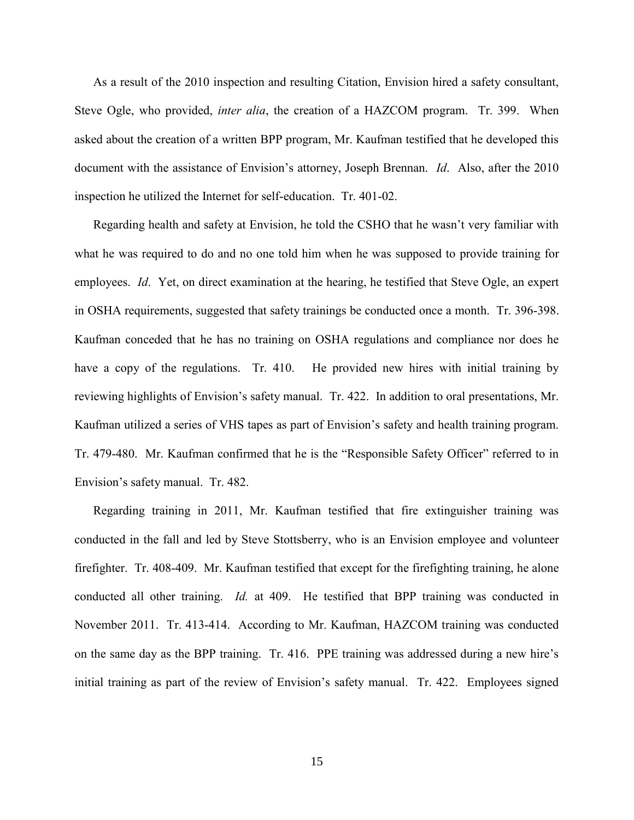As a result of the 2010 inspection and resulting Citation, Envision hired a safety consultant, Steve Ogle, who provided, *inter alia*, the creation of a HAZCOM program. Tr. 399. When asked about the creation of a written BPP program, Mr. Kaufman testified that he developed this document with the assistance of Envision's attorney, Joseph Brennan. *Id*. Also, after the 2010 inspection he utilized the Internet for self-education. Tr. 401-02.

Regarding health and safety at Envision, he told the CSHO that he wasn't very familiar with what he was required to do and no one told him when he was supposed to provide training for employees. *Id*. Yet, on direct examination at the hearing, he testified that Steve Ogle, an expert in OSHA requirements, suggested that safety trainings be conducted once a month. Tr. 396-398. Kaufman conceded that he has no training on OSHA regulations and compliance nor does he have a copy of the regulations. Tr. 410. He provided new hires with initial training by reviewing highlights of Envision's safety manual. Tr. 422. In addition to oral presentations, Mr. Kaufman utilized a series of VHS tapes as part of Envision's safety and health training program. Tr. 479-480. Mr. Kaufman confirmed that he is the "Responsible Safety Officer" referred to in Envision's safety manual. Tr. 482.

Regarding training in 2011, Mr. Kaufman testified that fire extinguisher training was conducted in the fall and led by Steve Stottsberry, who is an Envision employee and volunteer firefighter. Tr. 408-409. Mr. Kaufman testified that except for the firefighting training, he alone conducted all other training. *Id.* at 409. He testified that BPP training was conducted in November 2011. Tr. 413-414. According to Mr. Kaufman, HAZCOM training was conducted on the same day as the BPP training. Tr. 416. PPE training was addressed during a new hire's initial training as part of the review of Envision's safety manual. Tr. 422. Employees signed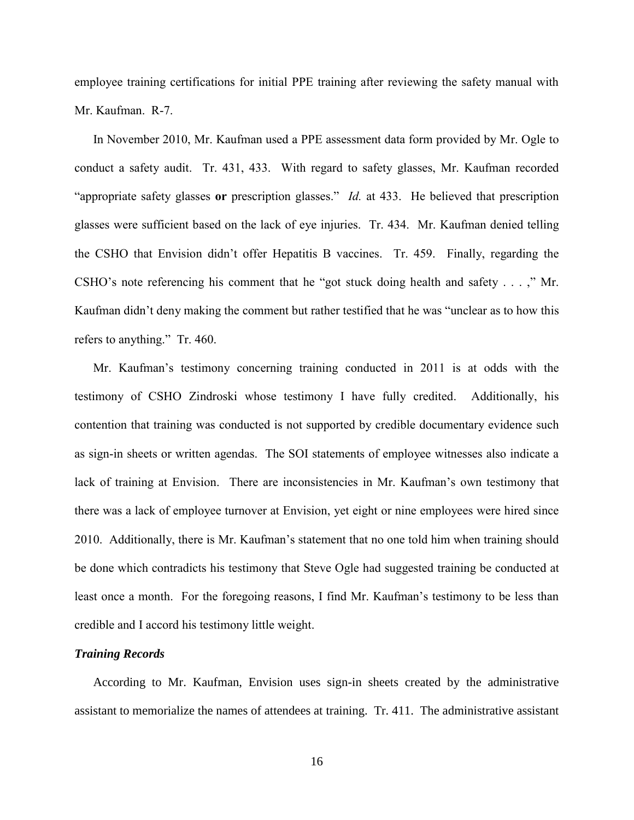employee training certifications for initial PPE training after reviewing the safety manual with Mr. Kaufman. R-7.

In November 2010, Mr. Kaufman used a PPE assessment data form provided by Mr. Ogle to conduct a safety audit. Tr. 431, 433. With regard to safety glasses, Mr. Kaufman recorded "appropriate safety glasses **or** prescription glasses." *Id.* at 433. He believed that prescription glasses were sufficient based on the lack of eye injuries. Tr. 434. Mr. Kaufman denied telling the CSHO that Envision didn't offer Hepatitis B vaccines. Tr. 459. Finally, regarding the CSHO's note referencing his comment that he "got stuck doing health and safety . . . ," Mr. Kaufman didn't deny making the comment but rather testified that he was "unclear as to how this refers to anything." Tr. 460.

Mr. Kaufman's testimony concerning training conducted in 2011 is at odds with the testimony of CSHO Zindroski whose testimony I have fully credited. Additionally, his contention that training was conducted is not supported by credible documentary evidence such as sign-in sheets or written agendas. The SOI statements of employee witnesses also indicate a lack of training at Envision. There are inconsistencies in Mr. Kaufman's own testimony that there was a lack of employee turnover at Envision, yet eight or nine employees were hired since 2010. Additionally, there is Mr. Kaufman's statement that no one told him when training should be done which contradicts his testimony that Steve Ogle had suggested training be conducted at least once a month. For the foregoing reasons, I find Mr. Kaufman's testimony to be less than credible and I accord his testimony little weight.

### *Training Records*

According to Mr. Kaufman, Envision uses sign-in sheets created by the administrative assistant to memorialize the names of attendees at training. Tr. 411. The administrative assistant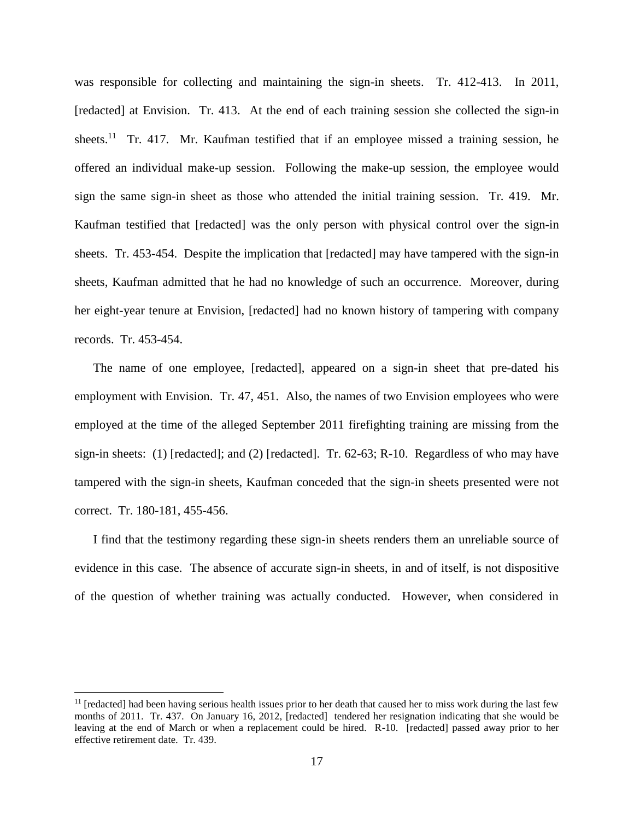was responsible for collecting and maintaining the sign-in sheets. Tr. 412-413. In 2011, [redacted] at Envision. Tr. 413. At the end of each training session she collected the sign-in sheets.<sup>11</sup> Tr. 417. Mr. Kaufman testified that if an employee missed a training session, he offered an individual make-up session. Following the make-up session, the employee would sign the same sign-in sheet as those who attended the initial training session. Tr. 419. Mr. Kaufman testified that [redacted] was the only person with physical control over the sign-in sheets. Tr. 453-454. Despite the implication that [redacted] may have tampered with the sign-in sheets, Kaufman admitted that he had no knowledge of such an occurrence. Moreover, during her eight-year tenure at Envision, [redacted] had no known history of tampering with company records. Tr. 453-454.

The name of one employee, [redacted], appeared on a sign-in sheet that pre-dated his employment with Envision. Tr. 47, 451. Also, the names of two Envision employees who were employed at the time of the alleged September 2011 firefighting training are missing from the sign-in sheets: (1) [redacted]; and (2) [redacted]. Tr. 62-63; R-10. Regardless of who may have tampered with the sign-in sheets, Kaufman conceded that the sign-in sheets presented were not correct. Tr. 180-181, 455-456.

I find that the testimony regarding these sign-in sheets renders them an unreliable source of evidence in this case. The absence of accurate sign-in sheets, in and of itself, is not dispositive of the question of whether training was actually conducted. However, when considered in

 $\overline{a}$ 

 $<sup>11</sup>$  [redacted] had been having serious health issues prior to her death that caused her to miss work during the last few</sup> months of 2011. Tr. 437. On January 16, 2012, [redacted] tendered her resignation indicating that she would be leaving at the end of March or when a replacement could be hired. R-10. [redacted] passed away prior to her effective retirement date. Tr. 439.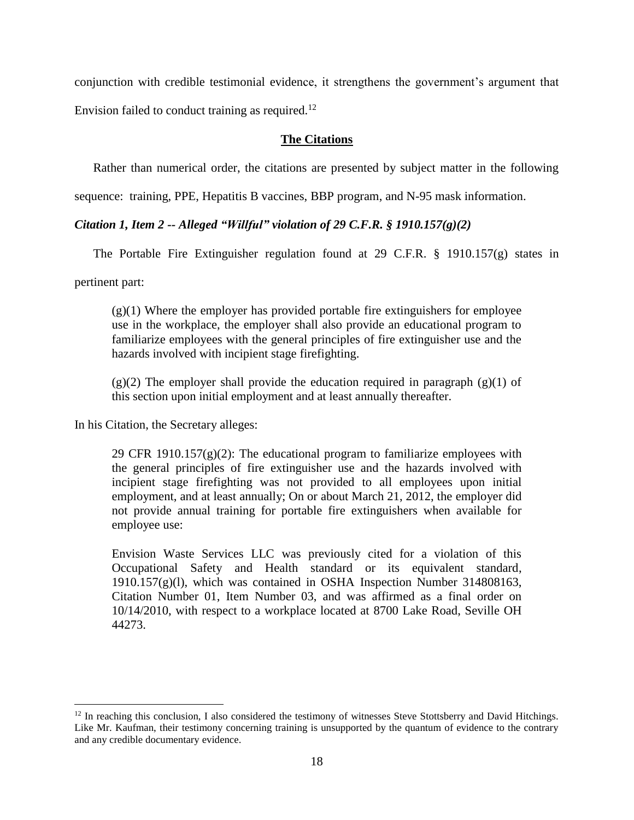conjunction with credible testimonial evidence, it strengthens the government's argument that

Envision failed to conduct training as required.<sup>12</sup>

## **The Citations**

Rather than numerical order, the citations are presented by subject matter in the following

sequence: training, PPE, Hepatitis B vaccines, BBP program, and N-95 mask information.

## *Citation 1, Item 2 -- Alleged "Willful" violation of 29 C.F.R. § 1910.157(g)(2)*

The Portable Fire Extinguisher regulation found at 29 C.F.R. § 1910.157(g) states in

pertinent part:

 $\overline{a}$ 

 $(g(1)$  Where the employer has provided portable fire extinguishers for employee use in the workplace, the employer shall also provide an educational program to familiarize employees with the general principles of fire extinguisher use and the hazards involved with incipient stage firefighting.

 $(g)(2)$  The employer shall provide the education required in paragraph  $(g)(1)$  of this section upon initial employment and at least annually thereafter.

In his Citation, the Secretary alleges:

29 CFR 1910.157 $(g)(2)$ : The educational program to familiarize employees with the general principles of fire extinguisher use and the hazards involved with incipient stage firefighting was not provided to all employees upon initial employment, and at least annually; On or about March 21, 2012, the employer did not provide annual training for portable fire extinguishers when available for employee use:

Envision Waste Services LLC was previously cited for a violation of this Occupational Safety and Health standard or its equivalent standard, 1910.157(g)(l), which was contained in OSHA Inspection Number 314808163, Citation Number 01, Item Number 03, and was affirmed as a final order on 10/14/2010, with respect to a workplace located at 8700 Lake Road, Seville OH 44273.

<sup>&</sup>lt;sup>12</sup> In reaching this conclusion, I also considered the testimony of witnesses Steve Stottsberry and David Hitchings. Like Mr. Kaufman, their testimony concerning training is unsupported by the quantum of evidence to the contrary and any credible documentary evidence.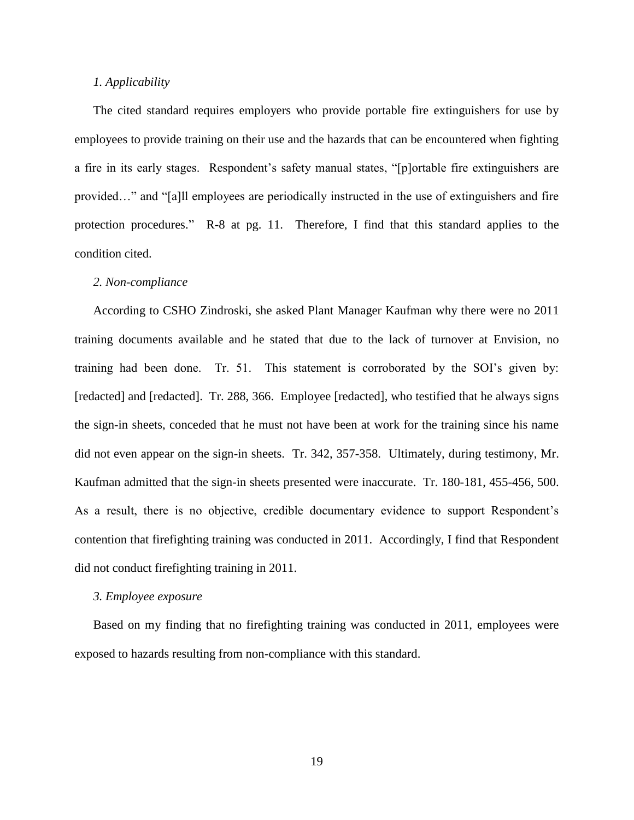## *1. Applicability*

The cited standard requires employers who provide portable fire extinguishers for use by employees to provide training on their use and the hazards that can be encountered when fighting a fire in its early stages. Respondent's safety manual states, "[p]ortable fire extinguishers are provided…" and "[a]ll employees are periodically instructed in the use of extinguishers and fire protection procedures." R-8 at pg. 11. Therefore, I find that this standard applies to the condition cited.

## *2. Non-compliance*

According to CSHO Zindroski, she asked Plant Manager Kaufman why there were no 2011 training documents available and he stated that due to the lack of turnover at Envision, no training had been done. Tr. 51. This statement is corroborated by the SOI's given by: [redacted] and [redacted]. Tr. 288, 366. Employee [redacted], who testified that he always signs the sign-in sheets, conceded that he must not have been at work for the training since his name did not even appear on the sign-in sheets. Tr. 342, 357-358. Ultimately, during testimony, Mr. Kaufman admitted that the sign-in sheets presented were inaccurate. Tr. 180-181, 455-456, 500. As a result, there is no objective, credible documentary evidence to support Respondent's contention that firefighting training was conducted in 2011. Accordingly, I find that Respondent did not conduct firefighting training in 2011.

#### *3. Employee exposure*

Based on my finding that no firefighting training was conducted in 2011, employees were exposed to hazards resulting from non-compliance with this standard.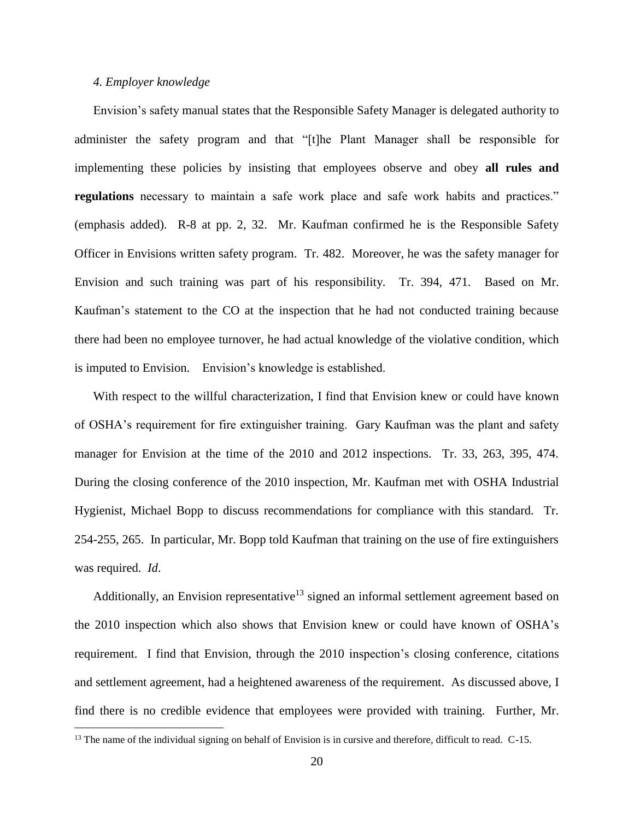### *4. Employer knowledge*

 $\overline{a}$ 

Envision's safety manual states that the Responsible Safety Manager is delegated authority to administer the safety program and that "[t]he Plant Manager shall be responsible for implementing these policies by insisting that employees observe and obey **all rules and regulations** necessary to maintain a safe work place and safe work habits and practices." (emphasis added). R-8 at pp. 2, 32. Mr. Kaufman confirmed he is the Responsible Safety Officer in Envisions written safety program. Tr. 482. Moreover, he was the safety manager for Envision and such training was part of his responsibility. Tr. 394, 471. Based on Mr. Kaufman's statement to the CO at the inspection that he had not conducted training because there had been no employee turnover, he had actual knowledge of the violative condition, which is imputed to Envision. Envision's knowledge is established.

With respect to the willful characterization, I find that Envision knew or could have known of OSHA's requirement for fire extinguisher training. Gary Kaufman was the plant and safety manager for Envision at the time of the 2010 and 2012 inspections. Tr. 33, 263, 395, 474. During the closing conference of the 2010 inspection, Mr. Kaufman met with OSHA Industrial Hygienist, Michael Bopp to discuss recommendations for compliance with this standard. Tr. 254-255, 265. In particular, Mr. Bopp told Kaufman that training on the use of fire extinguishers was required. *Id*.

Additionally, an Envision representative<sup>13</sup> signed an informal settlement agreement based on the 2010 inspection which also shows that Envision knew or could have known of OSHA's requirement. I find that Envision, through the 2010 inspection's closing conference, citations and settlement agreement, had a heightened awareness of the requirement. As discussed above, I find there is no credible evidence that employees were provided with training. Further, Mr.

<sup>&</sup>lt;sup>13</sup> The name of the individual signing on behalf of Envision is in cursive and therefore, difficult to read. C-15.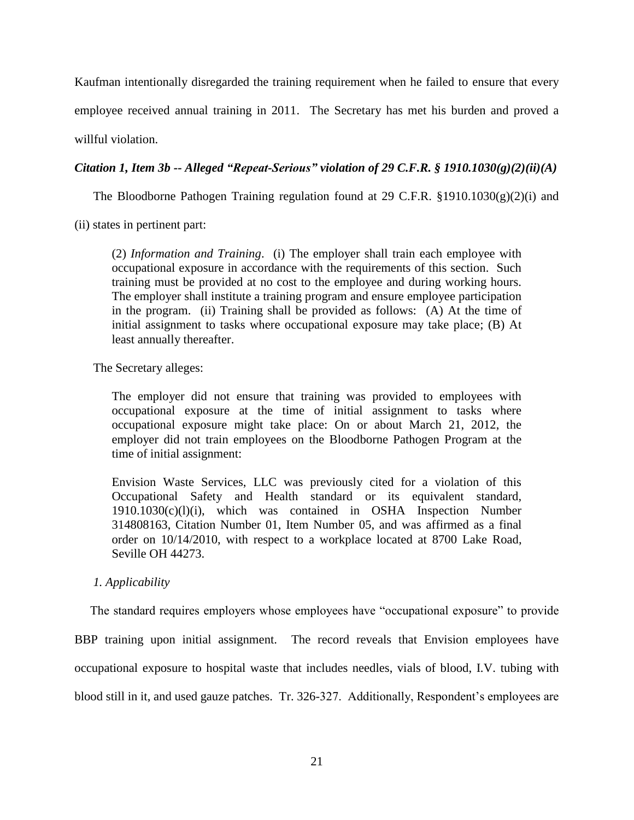Kaufman intentionally disregarded the training requirement when he failed to ensure that every employee received annual training in 2011. The Secretary has met his burden and proved a willful violation.

# *Citation 1, Item 3b -- Alleged "Repeat-Serious" violation of 29 C.F.R. § 1910.1030(g)(2)(ii)(A)*

The Bloodborne Pathogen Training regulation found at 29 C.F.R.  $\S 1910.1030(g)(2)(i)$  and

(ii) states in pertinent part:

(2) *Information and Training*. (i) The employer shall train each employee with occupational exposure in accordance with the requirements of this section. Such training must be provided at no cost to the employee and during working hours. The employer shall institute a training program and ensure employee participation in the program. (ii) Training shall be provided as follows: (A) At the time of initial assignment to tasks where occupational exposure may take place; (B) At least annually thereafter.

The Secretary alleges:

The employer did not ensure that training was provided to employees with occupational exposure at the time of initial assignment to tasks where occupational exposure might take place: On or about March 21, 2012, the employer did not train employees on the Bloodborne Pathogen Program at the time of initial assignment:

Envision Waste Services, LLC was previously cited for a violation of this Occupational Safety and Health standard or its equivalent standard, 1910.1030(c)(l)(i), which was contained in OSHA Inspection Number 314808163, Citation Number 01, Item Number 05, and was affirmed as a final order on 10/14/2010, with respect to a workplace located at 8700 Lake Road, Seville OH 44273.

## *1. Applicability*

The standard requires employers whose employees have "occupational exposure" to provide

BBP training upon initial assignment. The record reveals that Envision employees have occupational exposure to hospital waste that includes needles, vials of blood, I.V. tubing with blood still in it, and used gauze patches. Tr. 326-327. Additionally, Respondent's employees are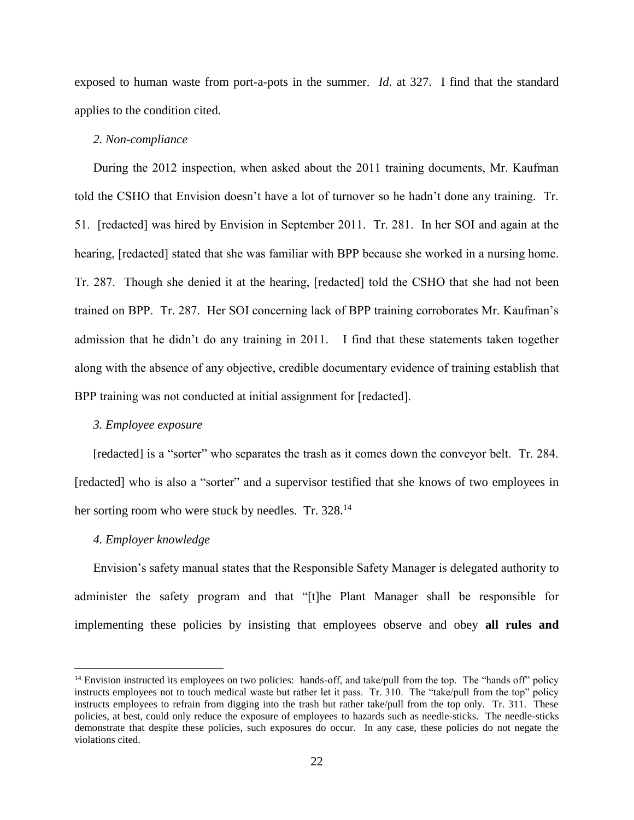exposed to human waste from port-a-pots in the summer. *Id*. at 327. I find that the standard applies to the condition cited.

### *2. Non-compliance*

During the 2012 inspection, when asked about the 2011 training documents, Mr. Kaufman told the CSHO that Envision doesn't have a lot of turnover so he hadn't done any training. Tr. 51. [redacted] was hired by Envision in September 2011. Tr. 281. In her SOI and again at the hearing, [redacted] stated that she was familiar with BPP because she worked in a nursing home. Tr. 287. Though she denied it at the hearing, [redacted] told the CSHO that she had not been trained on BPP. Tr. 287. Her SOI concerning lack of BPP training corroborates Mr. Kaufman's admission that he didn't do any training in 2011. I find that these statements taken together along with the absence of any objective, credible documentary evidence of training establish that BPP training was not conducted at initial assignment for [redacted].

#### *3. Employee exposure*

[redacted] is a "sorter" who separates the trash as it comes down the conveyor belt. Tr. 284. [redacted] who is also a "sorter" and a supervisor testified that she knows of two employees in her sorting room who were stuck by needles. Tr. 328.<sup>14</sup>

#### *4. Employer knowledge*

 $\overline{a}$ 

Envision's safety manual states that the Responsible Safety Manager is delegated authority to administer the safety program and that "[t]he Plant Manager shall be responsible for implementing these policies by insisting that employees observe and obey **all rules and** 

<sup>&</sup>lt;sup>14</sup> Envision instructed its employees on two policies: hands-off, and take/pull from the top. The "hands off" policy instructs employees not to touch medical waste but rather let it pass. Tr. 310. The "take/pull from the top" policy instructs employees to refrain from digging into the trash but rather take/pull from the top only. Tr. 311. These policies, at best, could only reduce the exposure of employees to hazards such as needle-sticks. The needle-sticks demonstrate that despite these policies, such exposures do occur. In any case, these policies do not negate the violations cited.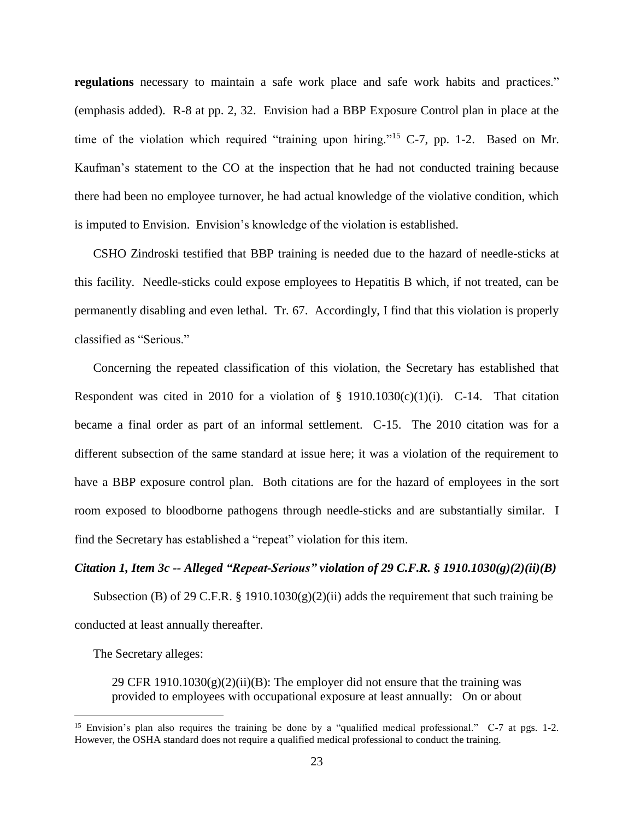**regulations** necessary to maintain a safe work place and safe work habits and practices." (emphasis added). R-8 at pp. 2, 32. Envision had a BBP Exposure Control plan in place at the time of the violation which required "training upon hiring."<sup>15</sup> C-7, pp. 1-2. Based on Mr. Kaufman's statement to the CO at the inspection that he had not conducted training because there had been no employee turnover, he had actual knowledge of the violative condition, which is imputed to Envision. Envision's knowledge of the violation is established.

CSHO Zindroski testified that BBP training is needed due to the hazard of needle-sticks at this facility. Needle-sticks could expose employees to Hepatitis B which, if not treated, can be permanently disabling and even lethal. Tr. 67. Accordingly, I find that this violation is properly classified as "Serious."

Concerning the repeated classification of this violation, the Secretary has established that Respondent was cited in 2010 for a violation of  $\S$  1910.1030(c)(1)(i). C-14. That citation became a final order as part of an informal settlement. C-15. The 2010 citation was for a different subsection of the same standard at issue here; it was a violation of the requirement to have a BBP exposure control plan. Both citations are for the hazard of employees in the sort room exposed to bloodborne pathogens through needle-sticks and are substantially similar. I find the Secretary has established a "repeat" violation for this item.

### *Citation 1, Item 3c -- Alleged "Repeat-Serious" violation of 29 C.F.R. § 1910.1030(g)(2)(ii)(B)*

Subsection (B) of 29 C.F.R. § 1910.1030(g)(2)(ii) adds the requirement that such training be conducted at least annually thereafter.

The Secretary alleges:

 $\overline{a}$ 

29 CFR 1910.1030 $(g)(2)(ii)(B)$ : The employer did not ensure that the training was provided to employees with occupational exposure at least annually: On or about

<sup>&</sup>lt;sup>15</sup> Envision's plan also requires the training be done by a "qualified medical professional." C-7 at pgs. 1-2. However, the OSHA standard does not require a qualified medical professional to conduct the training.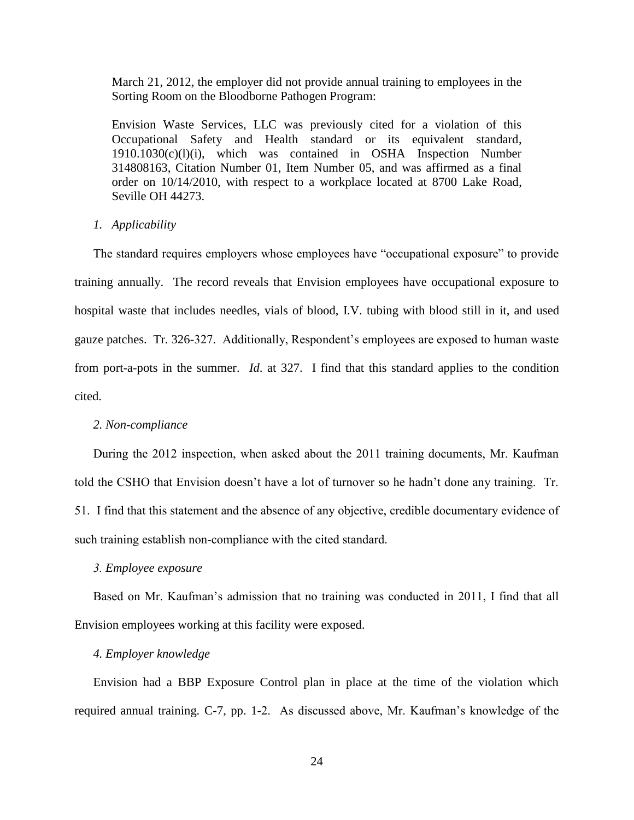March 21, 2012, the employer did not provide annual training to employees in the Sorting Room on the Bloodborne Pathogen Program:

Envision Waste Services, LLC was previously cited for a violation of this Occupational Safety and Health standard or its equivalent standard, 1910.1030(c)(l)(i), which was contained in OSHA Inspection Number 314808163, Citation Number 01, Item Number 05, and was affirmed as a final order on 10/14/2010, with respect to a workplace located at 8700 Lake Road, Seville OH 44273.

#### *1. Applicability*

The standard requires employers whose employees have "occupational exposure" to provide training annually. The record reveals that Envision employees have occupational exposure to hospital waste that includes needles, vials of blood, I.V. tubing with blood still in it, and used gauze patches. Tr. 326-327. Additionally, Respondent's employees are exposed to human waste from port-a-pots in the summer. *Id*. at 327. I find that this standard applies to the condition cited.

#### *2. Non-compliance*

During the 2012 inspection, when asked about the 2011 training documents, Mr. Kaufman told the CSHO that Envision doesn't have a lot of turnover so he hadn't done any training. Tr. 51. I find that this statement and the absence of any objective, credible documentary evidence of such training establish non-compliance with the cited standard.

#### *3. Employee exposure*

Based on Mr. Kaufman's admission that no training was conducted in 2011, I find that all Envision employees working at this facility were exposed.

### *4. Employer knowledge*

Envision had a BBP Exposure Control plan in place at the time of the violation which required annual training. C-7, pp. 1-2. As discussed above, Mr. Kaufman's knowledge of the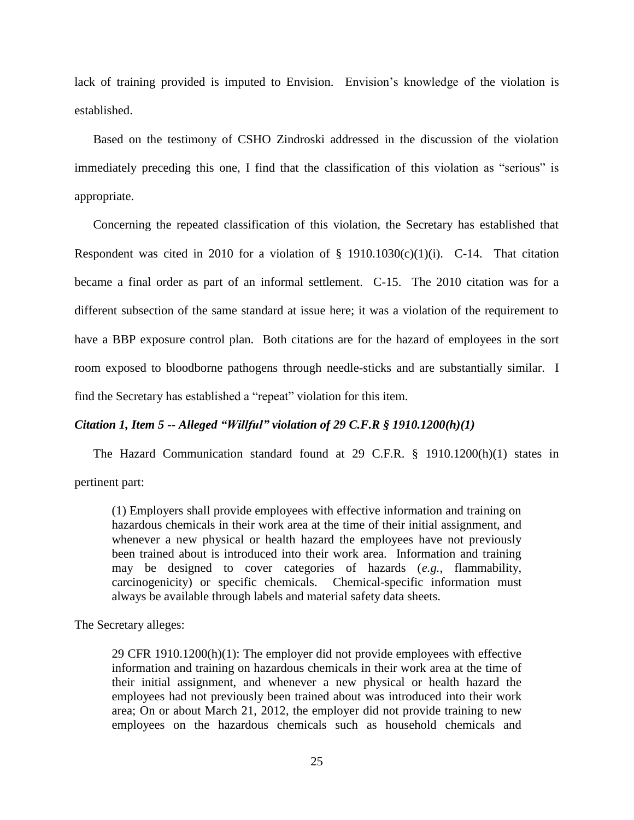lack of training provided is imputed to Envision. Envision's knowledge of the violation is established.

Based on the testimony of CSHO Zindroski addressed in the discussion of the violation immediately preceding this one, I find that the classification of this violation as "serious" is appropriate.

Concerning the repeated classification of this violation, the Secretary has established that Respondent was cited in 2010 for a violation of  $\S$  1910.1030(c)(1)(i). C-14. That citation became a final order as part of an informal settlement. C-15. The 2010 citation was for a different subsection of the same standard at issue here; it was a violation of the requirement to have a BBP exposure control plan. Both citations are for the hazard of employees in the sort room exposed to bloodborne pathogens through needle-sticks and are substantially similar. I find the Secretary has established a "repeat" violation for this item.

## *Citation 1, Item 5 -- Alleged "Willful" violation of 29 C.F.R § 1910.1200(h)(1)*

The Hazard Communication standard found at 29 C.F.R. § 1910.1200(h)(1) states in pertinent part:

(1) Employers shall provide employees with effective information and training on hazardous chemicals in their work area at the time of their initial assignment, and whenever a new physical or health hazard the employees have not previously been trained about is introduced into their work area. Information and training may be designed to cover categories of hazards (*e.g.*, flammability, carcinogenicity) or specific chemicals. Chemical-specific information must always be available through labels and material safety data sheets.

The Secretary alleges:

29 CFR 1910.1200(h)(1): The employer did not provide employees with effective information and training on hazardous chemicals in their work area at the time of their initial assignment, and whenever a new physical or health hazard the employees had not previously been trained about was introduced into their work area; On or about March 21, 2012, the employer did not provide training to new employees on the hazardous chemicals such as household chemicals and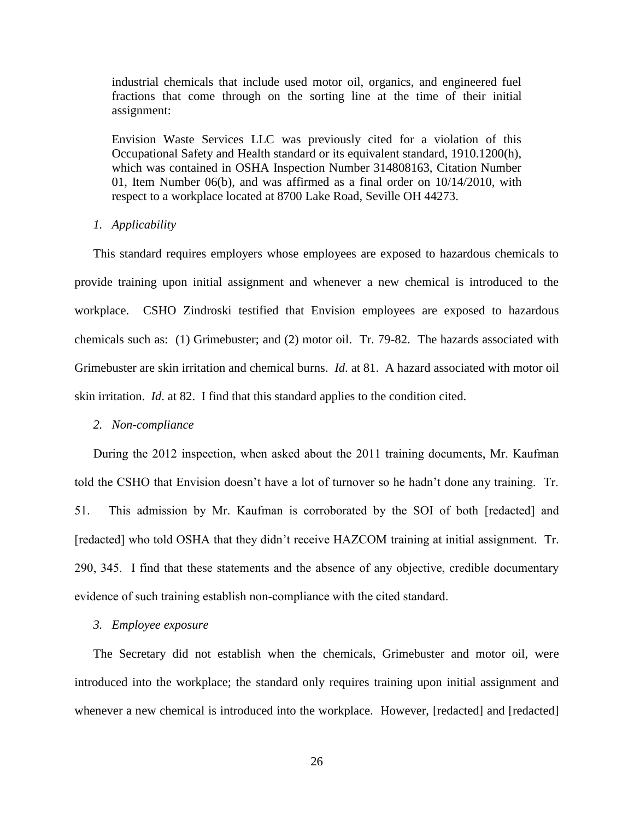industrial chemicals that include used motor oil, organics, and engineered fuel fractions that come through on the sorting line at the time of their initial assignment:

Envision Waste Services LLC was previously cited for a violation of this Occupational Safety and Health standard or its equivalent standard, 1910.1200(h), which was contained in OSHA Inspection Number 314808163, Citation Number 01, Item Number 06(b), and was affirmed as a final order on 10/14/2010, with respect to a workplace located at 8700 Lake Road, Seville OH 44273.

### *1. Applicability*

This standard requires employers whose employees are exposed to hazardous chemicals to provide training upon initial assignment and whenever a new chemical is introduced to the workplace. CSHO Zindroski testified that Envision employees are exposed to hazardous chemicals such as: (1) Grimebuster; and (2) motor oil. Tr. 79-82. The hazards associated with Grimebuster are skin irritation and chemical burns. *Id*. at 81. A hazard associated with motor oil skin irritation. *Id*. at 82. I find that this standard applies to the condition cited.

#### *2. Non-compliance*

During the 2012 inspection, when asked about the 2011 training documents, Mr. Kaufman told the CSHO that Envision doesn't have a lot of turnover so he hadn't done any training. Tr. 51. This admission by Mr. Kaufman is corroborated by the SOI of both [redacted] and [redacted] who told OSHA that they didn't receive HAZCOM training at initial assignment. Tr. 290, 345. I find that these statements and the absence of any objective, credible documentary evidence of such training establish non-compliance with the cited standard.

### *3. Employee exposure*

The Secretary did not establish when the chemicals, Grimebuster and motor oil, were introduced into the workplace; the standard only requires training upon initial assignment and whenever a new chemical is introduced into the workplace. However, [redacted] and [redacted]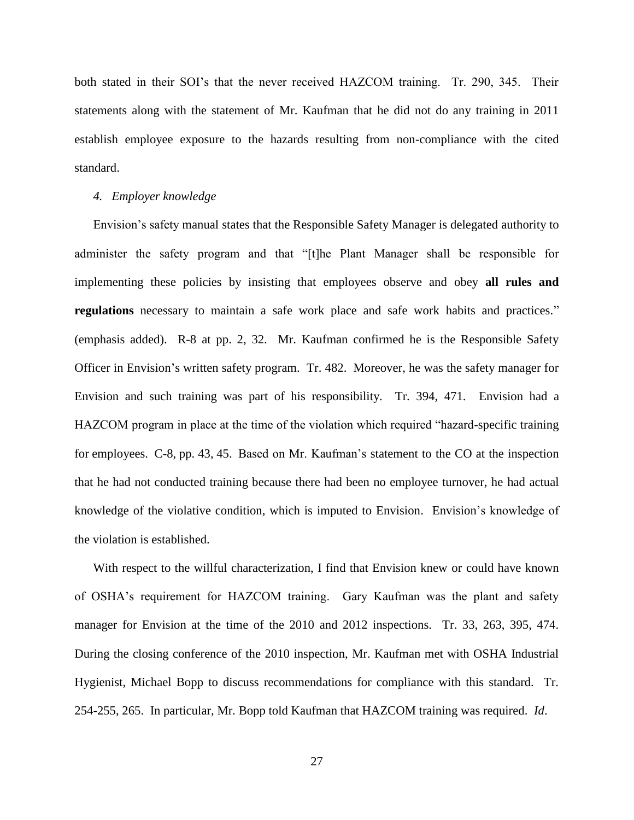both stated in their SOI's that the never received HAZCOM training. Tr. 290, 345. Their statements along with the statement of Mr. Kaufman that he did not do any training in 2011 establish employee exposure to the hazards resulting from non-compliance with the cited standard.

#### *4. Employer knowledge*

Envision's safety manual states that the Responsible Safety Manager is delegated authority to administer the safety program and that "[t]he Plant Manager shall be responsible for implementing these policies by insisting that employees observe and obey **all rules and regulations** necessary to maintain a safe work place and safe work habits and practices." (emphasis added). R-8 at pp. 2, 32. Mr. Kaufman confirmed he is the Responsible Safety Officer in Envision's written safety program. Tr. 482. Moreover, he was the safety manager for Envision and such training was part of his responsibility. Tr. 394, 471. Envision had a HAZCOM program in place at the time of the violation which required "hazard-specific training for employees. C-8, pp. 43, 45. Based on Mr. Kaufman's statement to the CO at the inspection that he had not conducted training because there had been no employee turnover, he had actual knowledge of the violative condition, which is imputed to Envision. Envision's knowledge of the violation is established.

With respect to the willful characterization, I find that Envision knew or could have known of OSHA's requirement for HAZCOM training. Gary Kaufman was the plant and safety manager for Envision at the time of the 2010 and 2012 inspections. Tr. 33, 263, 395, 474. During the closing conference of the 2010 inspection, Mr. Kaufman met with OSHA Industrial Hygienist, Michael Bopp to discuss recommendations for compliance with this standard. Tr. 254-255, 265. In particular, Mr. Bopp told Kaufman that HAZCOM training was required. *Id*.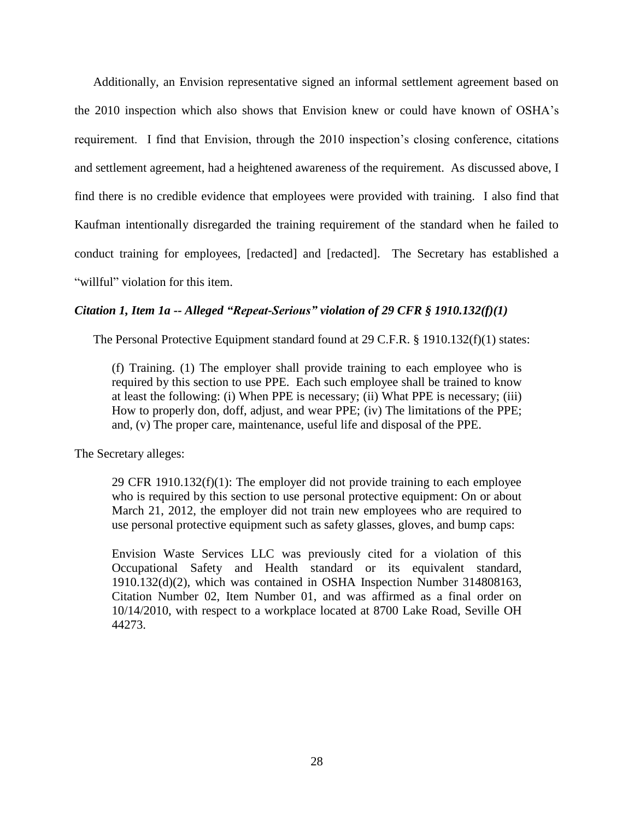Additionally, an Envision representative signed an informal settlement agreement based on the 2010 inspection which also shows that Envision knew or could have known of OSHA's requirement. I find that Envision, through the 2010 inspection's closing conference, citations and settlement agreement, had a heightened awareness of the requirement. As discussed above, I find there is no credible evidence that employees were provided with training. I also find that Kaufman intentionally disregarded the training requirement of the standard when he failed to conduct training for employees, [redacted] and [redacted]. The Secretary has established a "willful" violation for this item.

## *Citation 1, Item 1a -- Alleged "Repeat-Serious" violation of 29 CFR § 1910.132(f)(1)*

The Personal Protective Equipment standard found at 29 C.F.R. § 1910.132(f)(1) states:

(f) Training. (1) The employer shall provide training to each employee who is required by this section to use PPE. Each such employee shall be trained to know at least the following: (i) When PPE is necessary; (ii) What PPE is necessary; (iii) How to properly don, doff, adjust, and wear PPE; (iv) The limitations of the PPE; and, (v) The proper care, maintenance, useful life and disposal of the PPE.

The Secretary alleges:

29 CFR 1910.132(f)(1): The employer did not provide training to each employee who is required by this section to use personal protective equipment: On or about March 21, 2012, the employer did not train new employees who are required to use personal protective equipment such as safety glasses, gloves, and bump caps:

Envision Waste Services LLC was previously cited for a violation of this Occupational Safety and Health standard or its equivalent standard, 1910.132(d)(2), which was contained in OSHA Inspection Number 314808163, Citation Number 02, Item Number 01, and was affirmed as a final order on 10/14/2010, with respect to a workplace located at 8700 Lake Road, Seville OH 44273.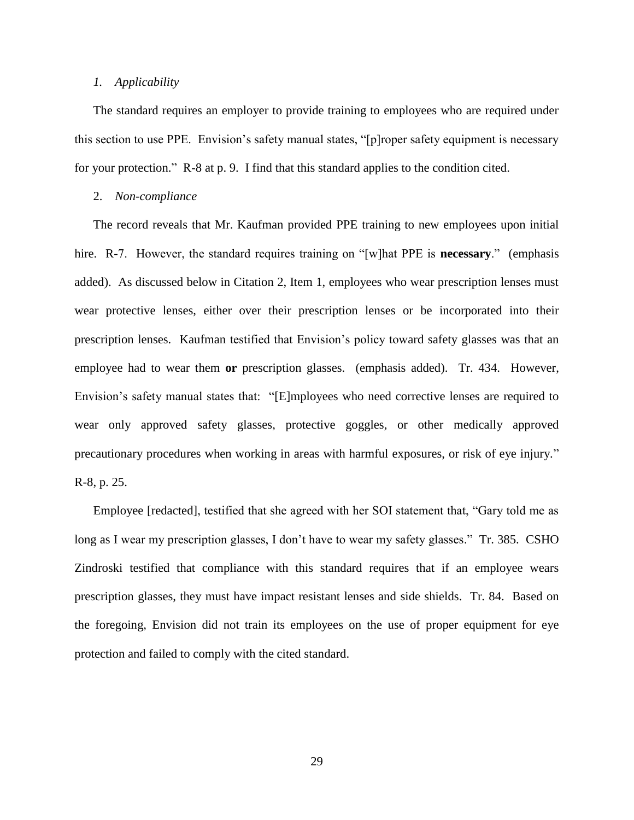### *1. Applicability*

The standard requires an employer to provide training to employees who are required under this section to use PPE. Envision's safety manual states, "[p]roper safety equipment is necessary for your protection." R-8 at p. 9. I find that this standard applies to the condition cited.

#### 2. *Non-compliance*

The record reveals that Mr. Kaufman provided PPE training to new employees upon initial hire. R-7. However, the standard requires training on "[w]hat PPE is **necessary**." (emphasis added). As discussed below in Citation 2, Item 1, employees who wear prescription lenses must wear protective lenses, either over their prescription lenses or be incorporated into their prescription lenses. Kaufman testified that Envision's policy toward safety glasses was that an employee had to wear them **or** prescription glasses. (emphasis added). Tr. 434. However, Envision's safety manual states that: "[E]mployees who need corrective lenses are required to wear only approved safety glasses, protective goggles, or other medically approved precautionary procedures when working in areas with harmful exposures, or risk of eye injury." R-8, p. 25.

Employee [redacted], testified that she agreed with her SOI statement that, "Gary told me as long as I wear my prescription glasses, I don't have to wear my safety glasses." Tr. 385. CSHO Zindroski testified that compliance with this standard requires that if an employee wears prescription glasses, they must have impact resistant lenses and side shields. Tr. 84. Based on the foregoing, Envision did not train its employees on the use of proper equipment for eye protection and failed to comply with the cited standard.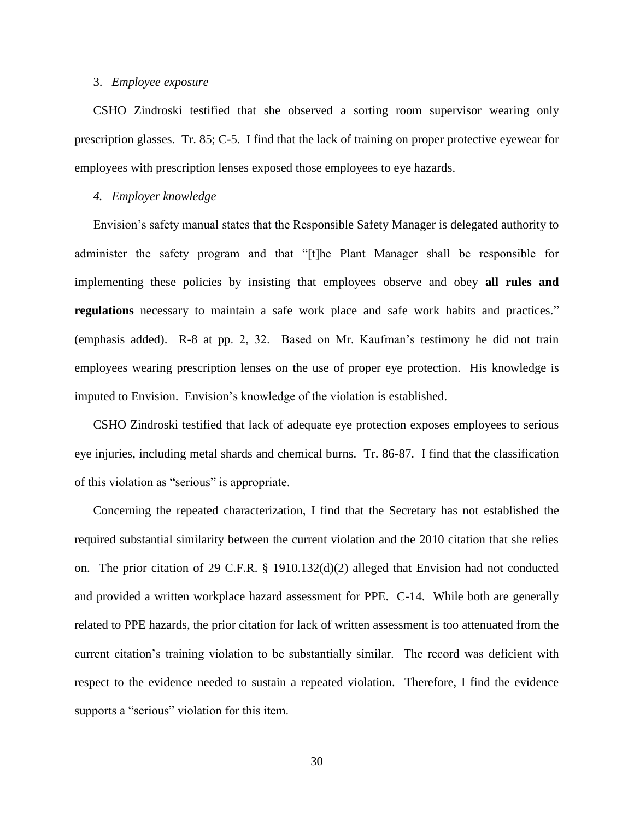### 3. *Employee exposure*

CSHO Zindroski testified that she observed a sorting room supervisor wearing only prescription glasses. Tr. 85; C-5. I find that the lack of training on proper protective eyewear for employees with prescription lenses exposed those employees to eye hazards.

### *4. Employer knowledge*

Envision's safety manual states that the Responsible Safety Manager is delegated authority to administer the safety program and that "[t]he Plant Manager shall be responsible for implementing these policies by insisting that employees observe and obey **all rules and regulations** necessary to maintain a safe work place and safe work habits and practices." (emphasis added). R-8 at pp. 2, 32. Based on Mr. Kaufman's testimony he did not train employees wearing prescription lenses on the use of proper eye protection. His knowledge is imputed to Envision. Envision's knowledge of the violation is established.

CSHO Zindroski testified that lack of adequate eye protection exposes employees to serious eye injuries, including metal shards and chemical burns. Tr. 86-87. I find that the classification of this violation as "serious" is appropriate.

Concerning the repeated characterization, I find that the Secretary has not established the required substantial similarity between the current violation and the 2010 citation that she relies on. The prior citation of 29 C.F.R. § 1910.132(d)(2) alleged that Envision had not conducted and provided a written workplace hazard assessment for PPE. C-14. While both are generally related to PPE hazards, the prior citation for lack of written assessment is too attenuated from the current citation's training violation to be substantially similar. The record was deficient with respect to the evidence needed to sustain a repeated violation. Therefore, I find the evidence supports a "serious" violation for this item.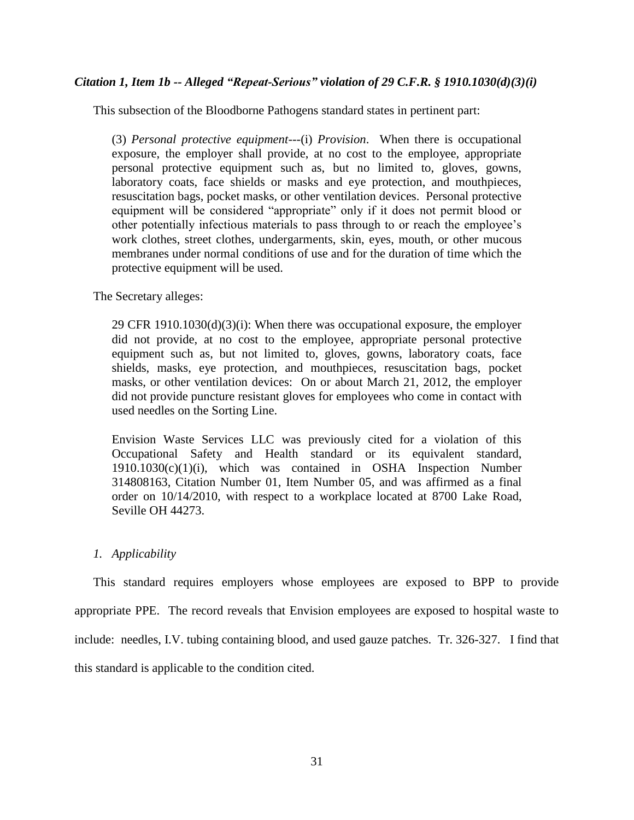## *Citation 1, Item 1b -- Alleged "Repeat-Serious" violation of 29 C.F.R. § 1910.1030(d)(3)(i)*

This subsection of the Bloodborne Pathogens standard states in pertinent part:

(3) *Personal protective equipment*---(i) *Provision*. When there is occupational exposure, the employer shall provide, at no cost to the employee, appropriate personal protective equipment such as, but no limited to, gloves, gowns, laboratory coats, face shields or masks and eye protection, and mouthpieces, resuscitation bags, pocket masks, or other ventilation devices. Personal protective equipment will be considered "appropriate" only if it does not permit blood or other potentially infectious materials to pass through to or reach the employee's work clothes, street clothes, undergarments, skin, eyes, mouth, or other mucous membranes under normal conditions of use and for the duration of time which the protective equipment will be used.

The Secretary alleges:

29 CFR  $1910.1030(d)(3)(i)$ : When there was occupational exposure, the employer did not provide, at no cost to the employee, appropriate personal protective equipment such as, but not limited to, gloves, gowns, laboratory coats, face shields, masks, eye protection, and mouthpieces, resuscitation bags, pocket masks, or other ventilation devices: On or about March 21, 2012, the employer did not provide puncture resistant gloves for employees who come in contact with used needles on the Sorting Line.

Envision Waste Services LLC was previously cited for a violation of this Occupational Safety and Health standard or its equivalent standard, 1910.1030(c)(1)(i), which was contained in OSHA Inspection Number 314808163, Citation Number 01, Item Number 05, and was affirmed as a final order on 10/14/2010, with respect to a workplace located at 8700 Lake Road, Seville OH 44273.

## *1. Applicability*

This standard requires employers whose employees are exposed to BPP to provide appropriate PPE. The record reveals that Envision employees are exposed to hospital waste to include: needles, I.V. tubing containing blood, and used gauze patches. Tr. 326-327. I find that this standard is applicable to the condition cited.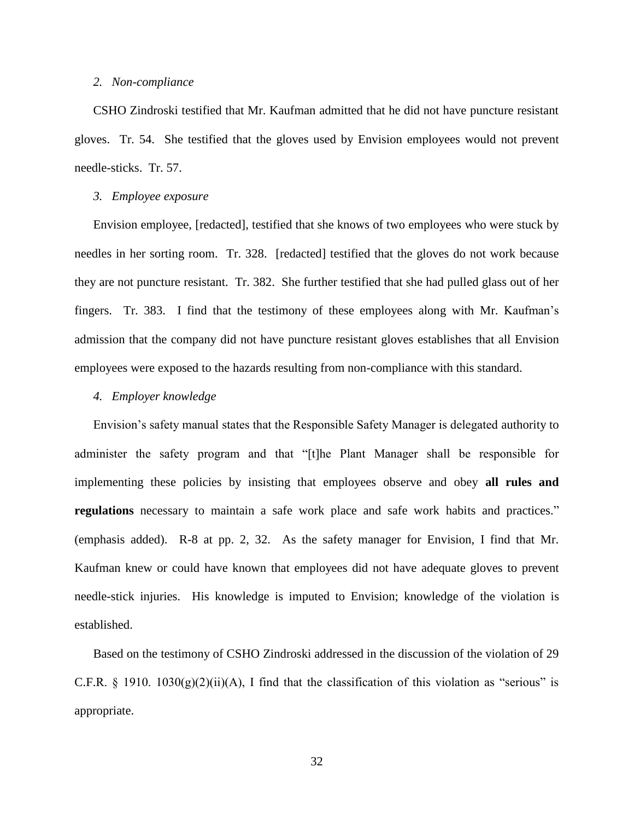### *2. Non-compliance*

CSHO Zindroski testified that Mr. Kaufman admitted that he did not have puncture resistant gloves. Tr. 54. She testified that the gloves used by Envision employees would not prevent needle-sticks. Tr. 57.

#### *3. Employee exposure*

Envision employee, [redacted], testified that she knows of two employees who were stuck by needles in her sorting room. Tr. 328. [redacted] testified that the gloves do not work because they are not puncture resistant. Tr. 382. She further testified that she had pulled glass out of her fingers. Tr. 383. I find that the testimony of these employees along with Mr. Kaufman's admission that the company did not have puncture resistant gloves establishes that all Envision employees were exposed to the hazards resulting from non-compliance with this standard.

## *4. Employer knowledge*

Envision's safety manual states that the Responsible Safety Manager is delegated authority to administer the safety program and that "[t]he Plant Manager shall be responsible for implementing these policies by insisting that employees observe and obey **all rules and regulations** necessary to maintain a safe work place and safe work habits and practices." (emphasis added). R-8 at pp. 2, 32. As the safety manager for Envision, I find that Mr. Kaufman knew or could have known that employees did not have adequate gloves to prevent needle-stick injuries. His knowledge is imputed to Envision; knowledge of the violation is established.

Based on the testimony of CSHO Zindroski addressed in the discussion of the violation of 29 C.F.R. § 1910. 1030(g)(2)(ii)(A), I find that the classification of this violation as "serious" is appropriate.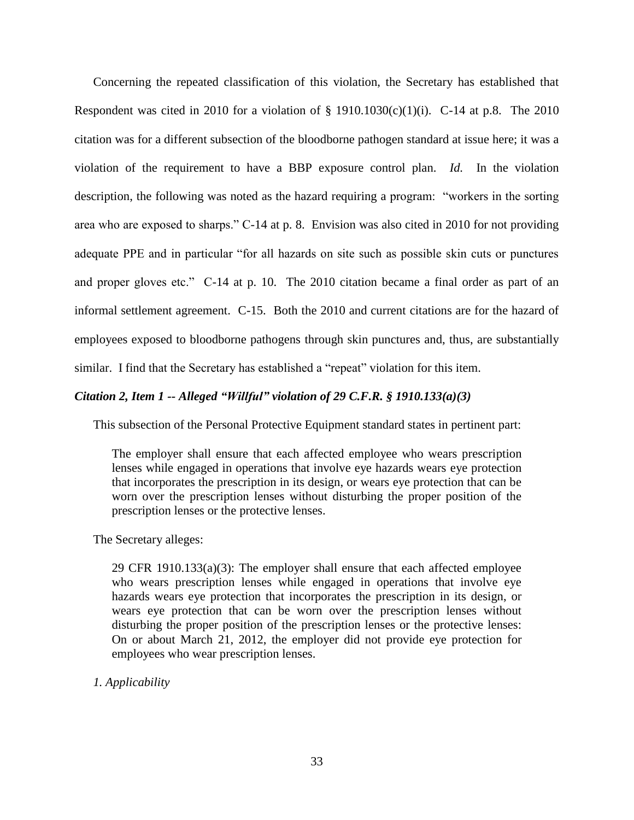Concerning the repeated classification of this violation, the Secretary has established that Respondent was cited in 2010 for a violation of  $\S$  1910.1030(c)(1)(i). C-14 at p.8. The 2010 citation was for a different subsection of the bloodborne pathogen standard at issue here; it was a violation of the requirement to have a BBP exposure control plan. *Id.* In the violation description, the following was noted as the hazard requiring a program: "workers in the sorting area who are exposed to sharps." C-14 at p. 8. Envision was also cited in 2010 for not providing adequate PPE and in particular "for all hazards on site such as possible skin cuts or punctures and proper gloves etc." C-14 at p. 10. The 2010 citation became a final order as part of an informal settlement agreement. C-15. Both the 2010 and current citations are for the hazard of employees exposed to bloodborne pathogens through skin punctures and, thus, are substantially similar. I find that the Secretary has established a "repeat" violation for this item.

## *Citation 2, Item 1 -- Alleged "Willful" violation of 29 C.F.R. § 1910.133(a)(3)*

This subsection of the Personal Protective Equipment standard states in pertinent part:

The employer shall ensure that each affected employee who wears prescription lenses while engaged in operations that involve eye hazards wears eye protection that incorporates the prescription in its design, or wears eye protection that can be worn over the prescription lenses without disturbing the proper position of the prescription lenses or the protective lenses.

The Secretary alleges:

29 CFR 1910.133 $(a)(3)$ : The employer shall ensure that each affected employee who wears prescription lenses while engaged in operations that involve eye hazards wears eye protection that incorporates the prescription in its design, or wears eye protection that can be worn over the prescription lenses without disturbing the proper position of the prescription lenses or the protective lenses: On or about March 21, 2012, the employer did not provide eye protection for employees who wear prescription lenses.

*1. Applicability*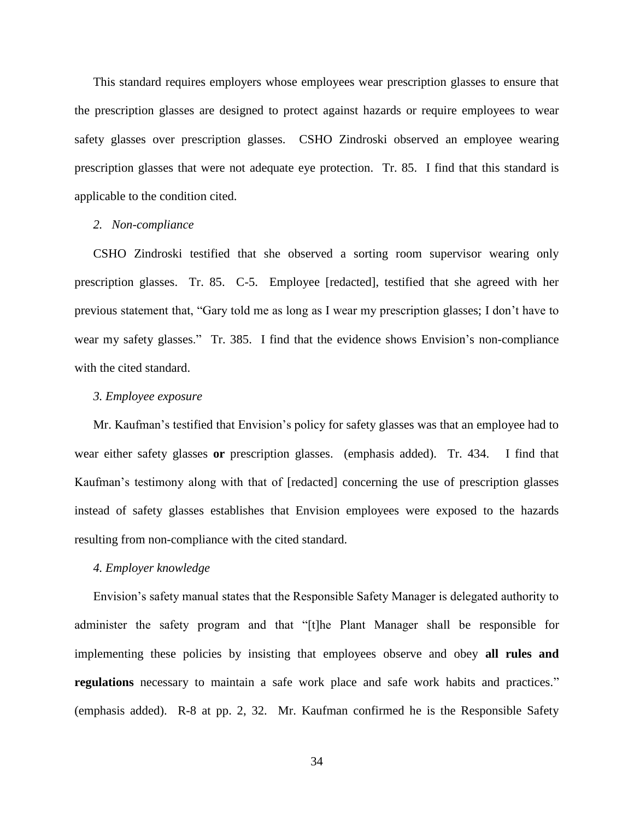This standard requires employers whose employees wear prescription glasses to ensure that the prescription glasses are designed to protect against hazards or require employees to wear safety glasses over prescription glasses. CSHO Zindroski observed an employee wearing prescription glasses that were not adequate eye protection. Tr. 85. I find that this standard is applicable to the condition cited.

## *2. Non-compliance*

CSHO Zindroski testified that she observed a sorting room supervisor wearing only prescription glasses. Tr. 85. C-5. Employee [redacted], testified that she agreed with her previous statement that, "Gary told me as long as I wear my prescription glasses; I don't have to wear my safety glasses." Tr. 385. I find that the evidence shows Envision's non-compliance with the cited standard.

### *3. Employee exposure*

Mr. Kaufman's testified that Envision's policy for safety glasses was that an employee had to wear either safety glasses **or** prescription glasses. (emphasis added). Tr. 434. I find that Kaufman's testimony along with that of [redacted] concerning the use of prescription glasses instead of safety glasses establishes that Envision employees were exposed to the hazards resulting from non-compliance with the cited standard.

## *4. Employer knowledge*

Envision's safety manual states that the Responsible Safety Manager is delegated authority to administer the safety program and that "[t]he Plant Manager shall be responsible for implementing these policies by insisting that employees observe and obey **all rules and regulations** necessary to maintain a safe work place and safe work habits and practices." (emphasis added). R-8 at pp. 2, 32. Mr. Kaufman confirmed he is the Responsible Safety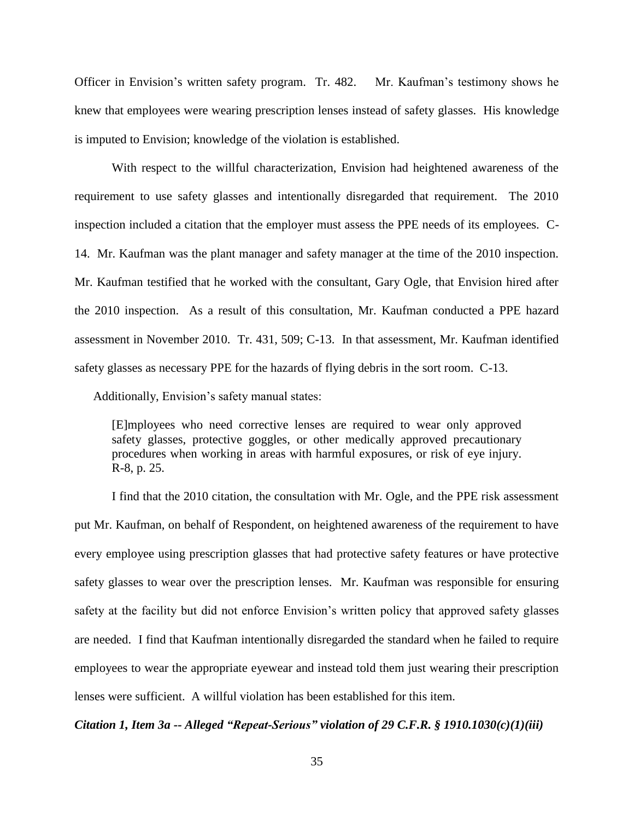Officer in Envision's written safety program. Tr. 482. Mr. Kaufman's testimony shows he knew that employees were wearing prescription lenses instead of safety glasses. His knowledge is imputed to Envision; knowledge of the violation is established.

With respect to the willful characterization, Envision had heightened awareness of the requirement to use safety glasses and intentionally disregarded that requirement. The 2010 inspection included a citation that the employer must assess the PPE needs of its employees. C-14. Mr. Kaufman was the plant manager and safety manager at the time of the 2010 inspection. Mr. Kaufman testified that he worked with the consultant, Gary Ogle, that Envision hired after the 2010 inspection. As a result of this consultation, Mr. Kaufman conducted a PPE hazard assessment in November 2010. Tr. 431, 509; C-13. In that assessment, Mr. Kaufman identified safety glasses as necessary PPE for the hazards of flying debris in the sort room. C-13.

Additionally, Envision's safety manual states:

[E]mployees who need corrective lenses are required to wear only approved safety glasses, protective goggles, or other medically approved precautionary procedures when working in areas with harmful exposures, or risk of eye injury. R-8, p. 25.

I find that the 2010 citation, the consultation with Mr. Ogle, and the PPE risk assessment put Mr. Kaufman, on behalf of Respondent, on heightened awareness of the requirement to have every employee using prescription glasses that had protective safety features or have protective safety glasses to wear over the prescription lenses. Mr. Kaufman was responsible for ensuring safety at the facility but did not enforce Envision's written policy that approved safety glasses are needed. I find that Kaufman intentionally disregarded the standard when he failed to require employees to wear the appropriate eyewear and instead told them just wearing their prescription lenses were sufficient. A willful violation has been established for this item.

*Citation 1, Item 3a -- Alleged "Repeat-Serious" violation of 29 C.F.R. § 1910.1030(c)(1)(iii)*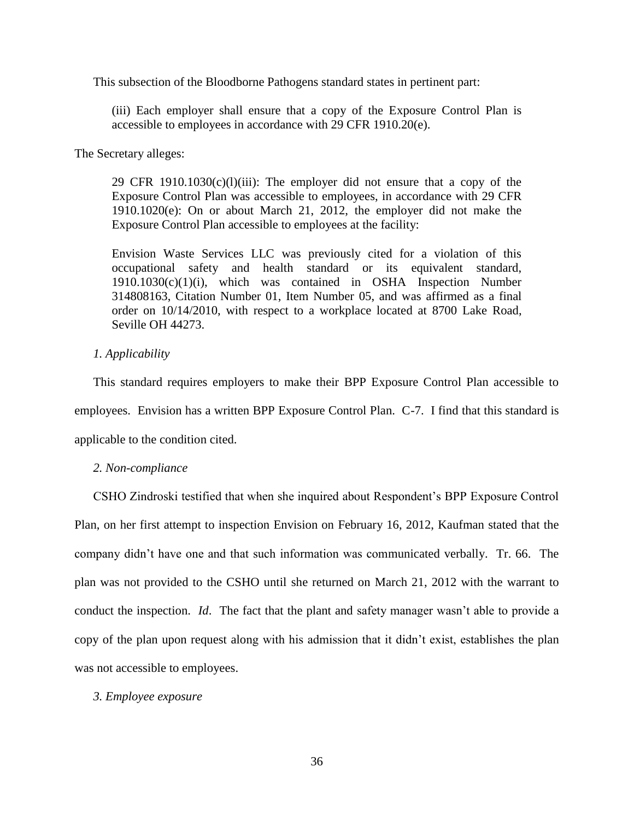This subsection of the Bloodborne Pathogens standard states in pertinent part:

(iii) Each employer shall ensure that a copy of the Exposure Control Plan is accessible to employees in accordance with 29 CFR 1910.20(e).

The Secretary alleges:

29 CFR 1910.1030 $(c)(1)(iii)$ : The employer did not ensure that a copy of the Exposure Control Plan was accessible to employees, in accordance with 29 CFR 1910.1020(e): On or about March 21, 2012, the employer did not make the Exposure Control Plan accessible to employees at the facility:

Envision Waste Services LLC was previously cited for a violation of this occupational safety and health standard or its equivalent standard, 1910.1030(c)(1)(i), which was contained in OSHA Inspection Number 314808163, Citation Number 01, Item Number 05, and was affirmed as a final order on 10/14/2010, with respect to a workplace located at 8700 Lake Road, Seville OH 44273.

## *1. Applicability*

This standard requires employers to make their BPP Exposure Control Plan accessible to employees. Envision has a written BPP Exposure Control Plan. C-7. I find that this standard is applicable to the condition cited.

### *2. Non-compliance*

CSHO Zindroski testified that when she inquired about Respondent's BPP Exposure Control Plan, on her first attempt to inspection Envision on February 16, 2012, Kaufman stated that the company didn't have one and that such information was communicated verbally. Tr. 66. The plan was not provided to the CSHO until she returned on March 21, 2012 with the warrant to conduct the inspection. *Id*. The fact that the plant and safety manager wasn't able to provide a copy of the plan upon request along with his admission that it didn't exist, establishes the plan was not accessible to employees.

#### *3. Employee exposure*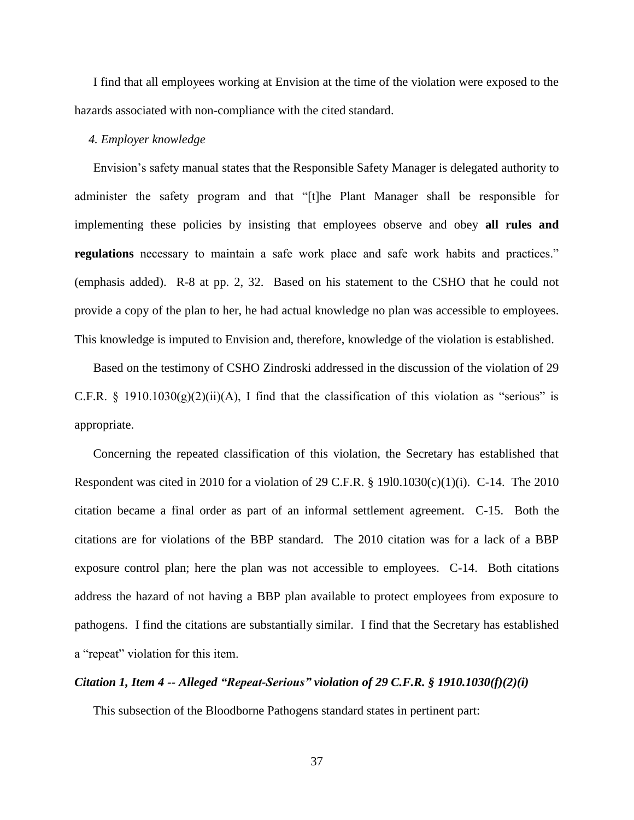I find that all employees working at Envision at the time of the violation were exposed to the hazards associated with non-compliance with the cited standard.

## *4. Employer knowledge*

Envision's safety manual states that the Responsible Safety Manager is delegated authority to administer the safety program and that "[t]he Plant Manager shall be responsible for implementing these policies by insisting that employees observe and obey **all rules and regulations** necessary to maintain a safe work place and safe work habits and practices." (emphasis added). R-8 at pp. 2, 32. Based on his statement to the CSHO that he could not provide a copy of the plan to her, he had actual knowledge no plan was accessible to employees. This knowledge is imputed to Envision and, therefore, knowledge of the violation is established.

Based on the testimony of CSHO Zindroski addressed in the discussion of the violation of 29 C.F.R. § 1910.1030(g)(2)(ii)(A), I find that the classification of this violation as "serious" is appropriate.

Concerning the repeated classification of this violation, the Secretary has established that Respondent was cited in 2010 for a violation of 29 C.F.R.  $\S$  19l0.1030(c)(1)(i). C-14. The 2010 citation became a final order as part of an informal settlement agreement. C-15. Both the citations are for violations of the BBP standard. The 2010 citation was for a lack of a BBP exposure control plan; here the plan was not accessible to employees. C-14. Both citations address the hazard of not having a BBP plan available to protect employees from exposure to pathogens. I find the citations are substantially similar. I find that the Secretary has established a "repeat" violation for this item.

### *Citation 1, Item 4 -- Alleged "Repeat-Serious" violation of 29 C.F.R. § 1910.1030(f)(2)(i)*

This subsection of the Bloodborne Pathogens standard states in pertinent part: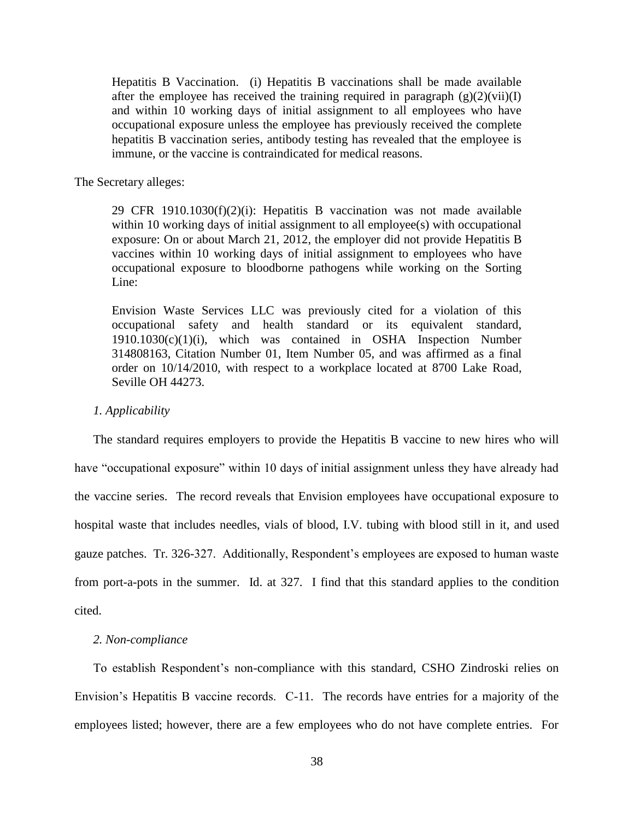Hepatitis B Vaccination. (i) Hepatitis B vaccinations shall be made available after the employee has received the training required in paragraph  $(g)(2)(vii)(I)$ and within 10 working days of initial assignment to all employees who have occupational exposure unless the employee has previously received the complete hepatitis B vaccination series, antibody testing has revealed that the employee is immune, or the vaccine is contraindicated for medical reasons.

The Secretary alleges:

29 CFR 1910.1030 $(f)(2)(i)$ : Hepatitis B vaccination was not made available within 10 working days of initial assignment to all employee(s) with occupational exposure: On or about March 21, 2012, the employer did not provide Hepatitis B vaccines within 10 working days of initial assignment to employees who have occupational exposure to bloodborne pathogens while working on the Sorting Line:

Envision Waste Services LLC was previously cited for a violation of this occupational safety and health standard or its equivalent standard, 1910.1030(c)(1)(i), which was contained in OSHA Inspection Number 314808163, Citation Number 01, Item Number 05, and was affirmed as a final order on 10/14/2010, with respect to a workplace located at 8700 Lake Road, Seville OH 44273.

## *1. Applicability*

The standard requires employers to provide the Hepatitis B vaccine to new hires who will have "occupational exposure" within 10 days of initial assignment unless they have already had the vaccine series. The record reveals that Envision employees have occupational exposure to hospital waste that includes needles, vials of blood, I.V. tubing with blood still in it, and used gauze patches. Tr. 326-327. Additionally, Respondent's employees are exposed to human waste from port-a-pots in the summer. Id. at 327. I find that this standard applies to the condition cited.

## *2. Non-compliance*

To establish Respondent's non-compliance with this standard, CSHO Zindroski relies on Envision's Hepatitis B vaccine records. C-11. The records have entries for a majority of the employees listed; however, there are a few employees who do not have complete entries. For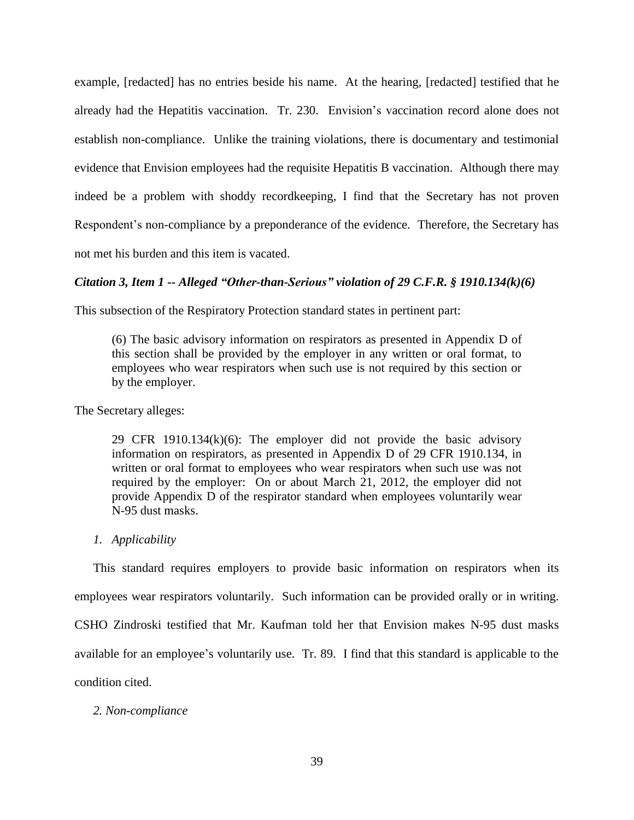example, [redacted] has no entries beside his name. At the hearing, [redacted] testified that he already had the Hepatitis vaccination. Tr. 230. Envision's vaccination record alone does not establish non-compliance. Unlike the training violations, there is documentary and testimonial evidence that Envision employees had the requisite Hepatitis B vaccination. Although there may indeed be a problem with shoddy recordkeeping, I find that the Secretary has not proven Respondent's non-compliance by a preponderance of the evidence. Therefore, the Secretary has not met his burden and this item is vacated.

## *Citation 3, Item 1 -- Alleged "Other-than-Serious" violation of 29 C.F.R. § 1910.134(k)(6)*

This subsection of the Respiratory Protection standard states in pertinent part:

(6) The basic advisory information on respirators as presented in Appendix D of this section shall be provided by the employer in any written or oral format, to employees who wear respirators when such use is not required by this section or by the employer.

The Secretary alleges:

29 CFR 1910.134(k)(6): The employer did not provide the basic advisory information on respirators, as presented in Appendix D of 29 CFR 1910.134, in written or oral format to employees who wear respirators when such use was not required by the employer: On or about March 21, 2012, the employer did not provide Appendix D of the respirator standard when employees voluntarily wear N-95 dust masks.

### *1. Applicability*

This standard requires employers to provide basic information on respirators when its employees wear respirators voluntarily. Such information can be provided orally or in writing. CSHO Zindroski testified that Mr. Kaufman told her that Envision makes N-95 dust masks available for an employee's voluntarily use. Tr. 89. I find that this standard is applicable to the condition cited.

## *2. Non-compliance*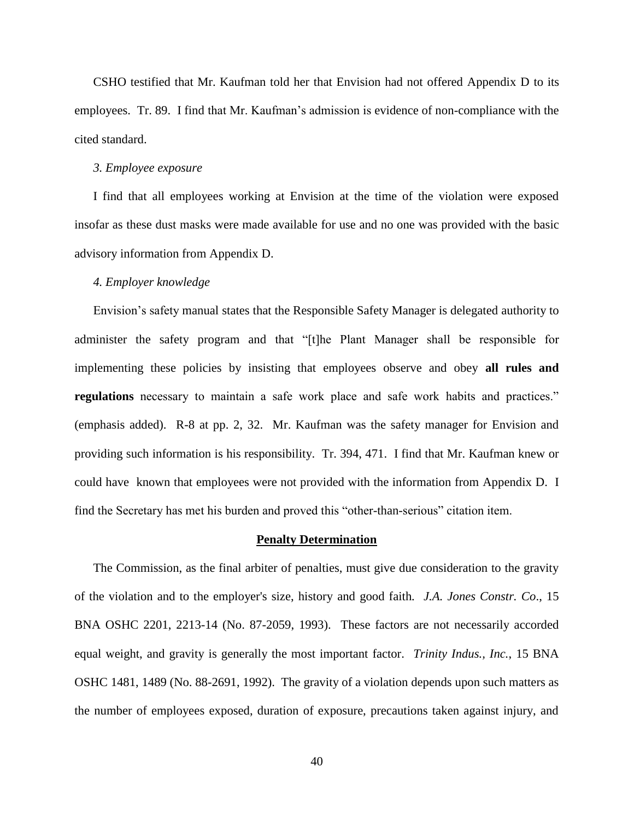CSHO testified that Mr. Kaufman told her that Envision had not offered Appendix D to its employees. Tr. 89. I find that Mr. Kaufman's admission is evidence of non-compliance with the cited standard.

#### *3. Employee exposure*

I find that all employees working at Envision at the time of the violation were exposed insofar as these dust masks were made available for use and no one was provided with the basic advisory information from Appendix D.

## *4. Employer knowledge*

Envision's safety manual states that the Responsible Safety Manager is delegated authority to administer the safety program and that "[t]he Plant Manager shall be responsible for implementing these policies by insisting that employees observe and obey **all rules and regulations** necessary to maintain a safe work place and safe work habits and practices." (emphasis added). R-8 at pp. 2, 32. Mr. Kaufman was the safety manager for Envision and providing such information is his responsibility. Tr. 394, 471. I find that Mr. Kaufman knew or could have known that employees were not provided with the information from Appendix D. I find the Secretary has met his burden and proved this "other-than-serious" citation item.

#### **Penalty Determination**

The Commission, as the final arbiter of penalties, must give due consideration to the gravity of the violation and to the employer's size, history and good faith*. J.A. Jones Constr. Co*., 15 BNA OSHC 2201, 2213-14 (No. 87-2059, 1993). These factors are not necessarily accorded equal weight, and gravity is generally the most important factor. *Trinity Indus., Inc.*, 15 BNA OSHC 1481, 1489 (No. 88-2691, 1992). The gravity of a violation depends upon such matters as the number of employees exposed, duration of exposure, precautions taken against injury, and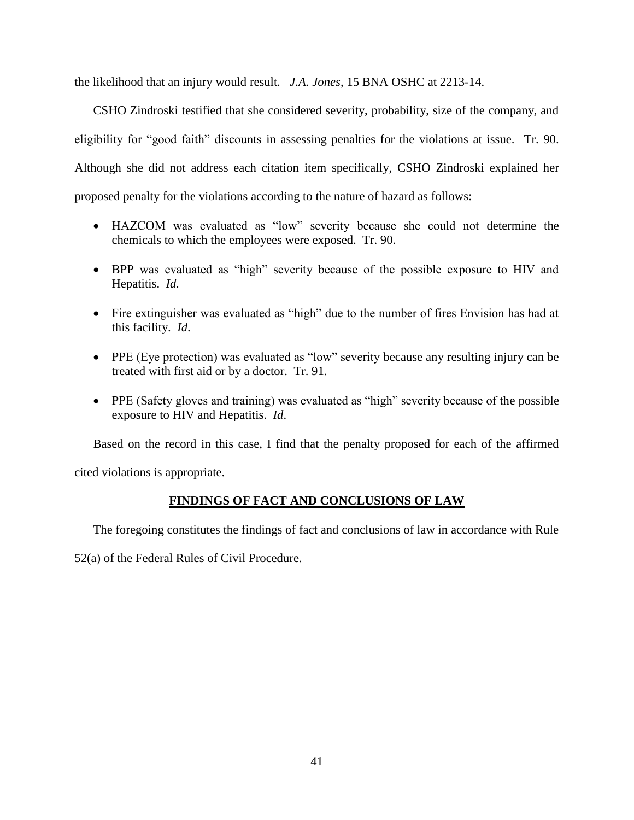the likelihood that an injury would result*. J.A. Jones*, 15 BNA OSHC at 2213-14.

CSHO Zindroski testified that she considered severity, probability, size of the company, and eligibility for "good faith" discounts in assessing penalties for the violations at issue. Tr. 90. Although she did not address each citation item specifically, CSHO Zindroski explained her proposed penalty for the violations according to the nature of hazard as follows:

- HAZCOM was evaluated as "low" severity because she could not determine the chemicals to which the employees were exposed. Tr. 90.
- BPP was evaluated as "high" severity because of the possible exposure to HIV and Hepatitis. *Id.*
- Fire extinguisher was evaluated as "high" due to the number of fires Envision has had at this facility. *Id*.
- PPE (Eye protection) was evaluated as "low" severity because any resulting injury can be treated with first aid or by a doctor. Tr. 91.
- PPE (Safety gloves and training) was evaluated as "high" severity because of the possible exposure to HIV and Hepatitis. *Id*.

Based on the record in this case, I find that the penalty proposed for each of the affirmed

cited violations is appropriate.

# **FINDINGS OF FACT AND CONCLUSIONS OF LAW**

The foregoing constitutes the findings of fact and conclusions of law in accordance with Rule

52(a) of the Federal Rules of Civil Procedure.